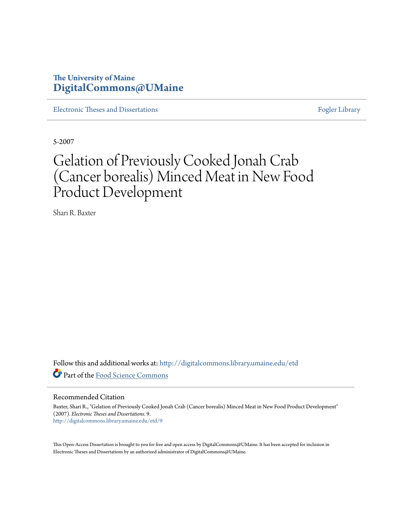## **The University of Maine [DigitalCommons@UMaine](http://digitalcommons.library.umaine.edu?utm_source=digitalcommons.library.umaine.edu%2Fetd%2F9&utm_medium=PDF&utm_campaign=PDFCoverPages)**

[Electronic Theses and Dissertations](http://digitalcommons.library.umaine.edu/etd?utm_source=digitalcommons.library.umaine.edu%2Fetd%2F9&utm_medium=PDF&utm_campaign=PDFCoverPages) [Fogler Library](http://digitalcommons.library.umaine.edu/fogler?utm_source=digitalcommons.library.umaine.edu%2Fetd%2F9&utm_medium=PDF&utm_campaign=PDFCoverPages)

5-2007

## Gelation of Previously Cooked Jonah Crab (Cancer borealis) Minced Meat in New Food Product Development

Shari R. Baxter

Follow this and additional works at: [http://digitalcommons.library.umaine.edu/etd](http://digitalcommons.library.umaine.edu/etd?utm_source=digitalcommons.library.umaine.edu%2Fetd%2F9&utm_medium=PDF&utm_campaign=PDFCoverPages) Part of the [Food Science Commons](http://network.bepress.com/hgg/discipline/84?utm_source=digitalcommons.library.umaine.edu%2Fetd%2F9&utm_medium=PDF&utm_campaign=PDFCoverPages)

Recommended Citation

Baxter, Shari R., "Gelation of Previously Cooked Jonah Crab (Cancer borealis) Minced Meat in New Food Product Development" (2007). *Electronic Theses and Dissertations*. 9. [http://digitalcommons.library.umaine.edu/etd/9](http://digitalcommons.library.umaine.edu/etd/9?utm_source=digitalcommons.library.umaine.edu%2Fetd%2F9&utm_medium=PDF&utm_campaign=PDFCoverPages)

This Open-Access Dissertation is brought to you for free and open access by DigitalCommons@UMaine. It has been accepted for inclusion in Electronic Theses and Dissertations by an authorized administrator of DigitalCommons@UMaine.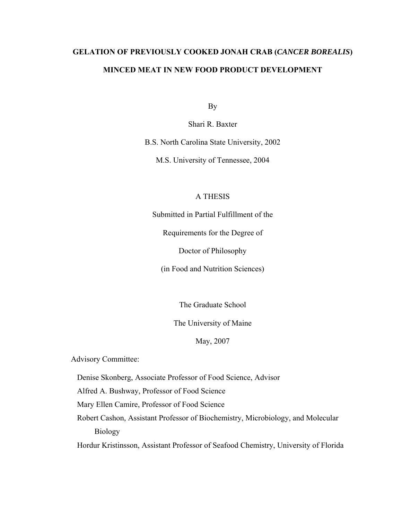## **GELATION OF PREVIOUSLY COOKED JONAH CRAB (***CANCER BOREALIS***) MINCED MEAT IN NEW FOOD PRODUCT DEVELOPMENT**

By

Shari R. Baxter

B.S. North Carolina State University, 2002

M.S. University of Tennessee, 2004

### A THESIS

Submitted in Partial Fulfillment of the

Requirements for the Degree of

Doctor of Philosophy

(in Food and Nutrition Sciences)

The Graduate School

The University of Maine

May, 2007

Advisory Committee:

Denise Skonberg, Associate Professor of Food Science, Advisor

Alfred A. Bushway, Professor of Food Science

Mary Ellen Camire, Professor of Food Science

Robert Cashon, Assistant Professor of Biochemistry, Microbiology, and Molecular Biology

Hordur Kristinsson, Assistant Professor of Seafood Chemistry, University of Florida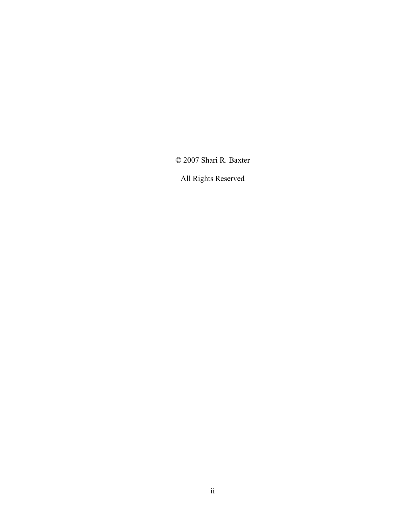© 2007 Shari R. Baxter

All Rights Reserved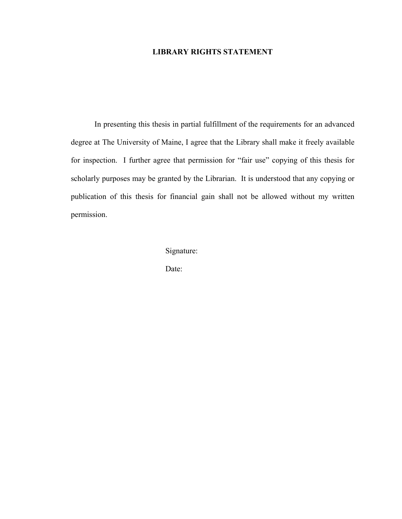### **LIBRARY RIGHTS STATEMENT**

 In presenting this thesis in partial fulfillment of the requirements for an advanced degree at The University of Maine, I agree that the Library shall make it freely available for inspection. I further agree that permission for "fair use" copying of this thesis for scholarly purposes may be granted by the Librarian. It is understood that any copying or publication of this thesis for financial gain shall not be allowed without my written permission.

Signature:

Date: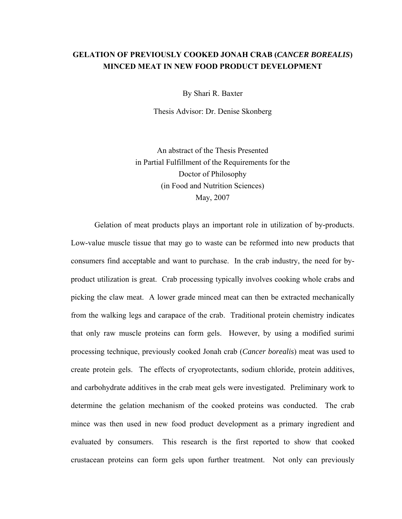## **GELATION OF PREVIOUSLY COOKED JONAH CRAB (***CANCER BOREALIS***) MINCED MEAT IN NEW FOOD PRODUCT DEVELOPMENT**

By Shari R. Baxter

Thesis Advisor: Dr. Denise Skonberg

An abstract of the Thesis Presented in Partial Fulfillment of the Requirements for the Doctor of Philosophy (in Food and Nutrition Sciences) May, 2007

 Gelation of meat products plays an important role in utilization of by-products. Low-value muscle tissue that may go to waste can be reformed into new products that consumers find acceptable and want to purchase. In the crab industry, the need for byproduct utilization is great. Crab processing typically involves cooking whole crabs and picking the claw meat. A lower grade minced meat can then be extracted mechanically from the walking legs and carapace of the crab. Traditional protein chemistry indicates that only raw muscle proteins can form gels. However, by using a modified surimi processing technique, previously cooked Jonah crab (*Cancer borealis*) meat was used to create protein gels. The effects of cryoprotectants, sodium chloride, protein additives, and carbohydrate additives in the crab meat gels were investigated. Preliminary work to determine the gelation mechanism of the cooked proteins was conducted. The crab mince was then used in new food product development as a primary ingredient and evaluated by consumers. This research is the first reported to show that cooked crustacean proteins can form gels upon further treatment. Not only can previously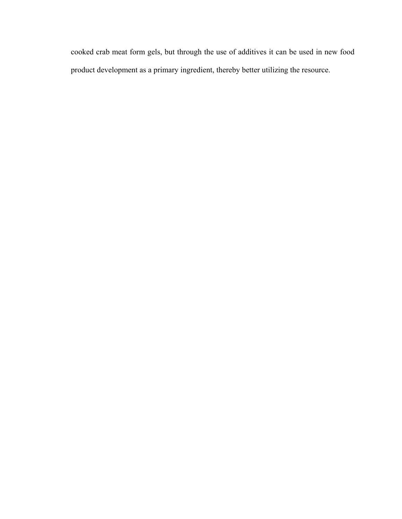cooked crab meat form gels, but through the use of additives it can be used in new food product development as a primary ingredient, thereby better utilizing the resource.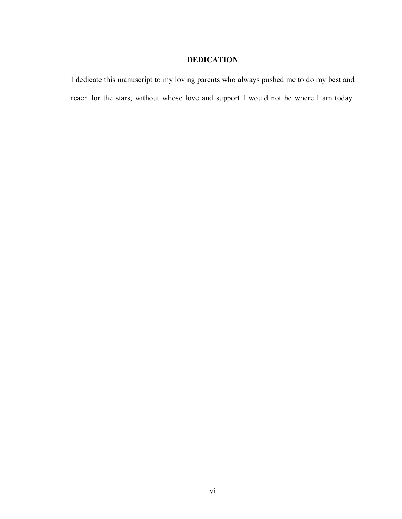## **DEDICATION**

I dedicate this manuscript to my loving parents who always pushed me to do my best and reach for the stars, without whose love and support I would not be where I am today.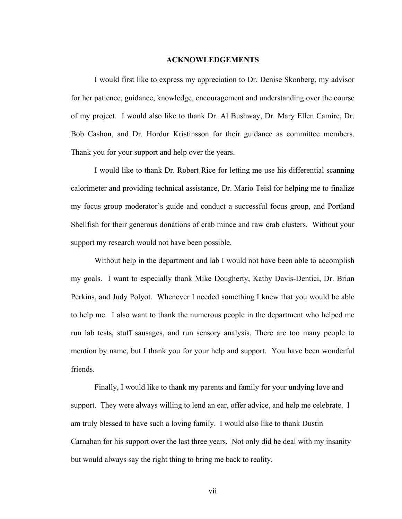#### **ACKNOWLEDGEMENTS**

 I would first like to express my appreciation to Dr. Denise Skonberg, my advisor for her patience, guidance, knowledge, encouragement and understanding over the course of my project. I would also like to thank Dr. Al Bushway, Dr. Mary Ellen Camire, Dr. Bob Cashon, and Dr. Hordur Kristinsson for their guidance as committee members. Thank you for your support and help over the years.

 I would like to thank Dr. Robert Rice for letting me use his differential scanning calorimeter and providing technical assistance, Dr. Mario Teisl for helping me to finalize my focus group moderator's guide and conduct a successful focus group, and Portland Shellfish for their generous donations of crab mince and raw crab clusters. Without your support my research would not have been possible.

 Without help in the department and lab I would not have been able to accomplish my goals. I want to especially thank Mike Dougherty, Kathy Davis-Dentici, Dr. Brian Perkins, and Judy Polyot. Whenever I needed something I knew that you would be able to help me. I also want to thank the numerous people in the department who helped me run lab tests, stuff sausages, and run sensory analysis. There are too many people to mention by name, but I thank you for your help and support. You have been wonderful friends.

 Finally, I would like to thank my parents and family for your undying love and support. They were always willing to lend an ear, offer advice, and help me celebrate. I am truly blessed to have such a loving family. I would also like to thank Dustin Carnahan for his support over the last three years. Not only did he deal with my insanity but would always say the right thing to bring me back to reality.

vii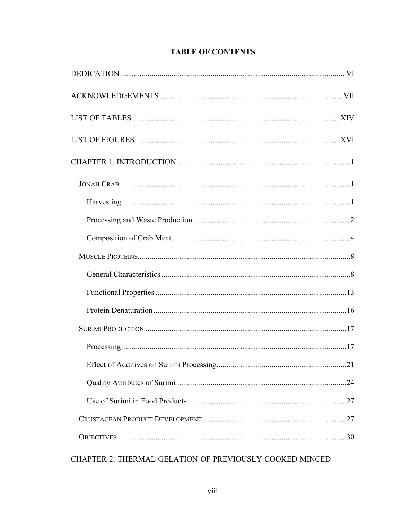## **TABLE OF CONTENTS**

CHAPTER 2. THERMAL GELATION OF PREVIOUSLY COOKED MINCED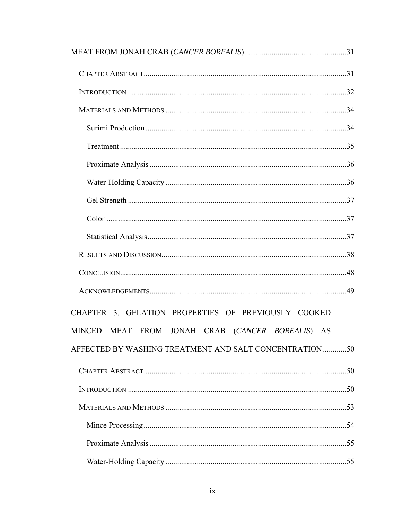| CHAPTER 3. GELATION PROPERTIES OF PREVIOUSLY COOKED     |  |
|---------------------------------------------------------|--|
| MINCED MEAT FROM JONAH CRAB (CANCER BOREALIS) AS        |  |
| AFFECTED BY WASHING TREATMENT AND SALT CONCENTRATION 50 |  |
|                                                         |  |
|                                                         |  |
|                                                         |  |
|                                                         |  |
|                                                         |  |
|                                                         |  |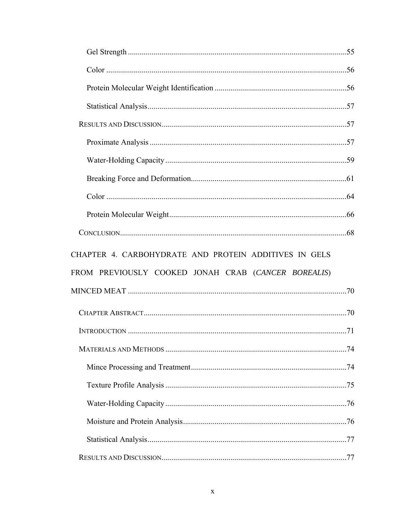| CHAPTER 4. CARBOHYDRATE AND PROTEIN ADDITIVES IN GELS |  |
|-------------------------------------------------------|--|
|                                                       |  |
| FROM PREVIOUSLY COOKED JONAH CRAB (CANCER BOREALIS)   |  |
|                                                       |  |
|                                                       |  |
|                                                       |  |
|                                                       |  |
|                                                       |  |
|                                                       |  |
|                                                       |  |
|                                                       |  |
|                                                       |  |
|                                                       |  |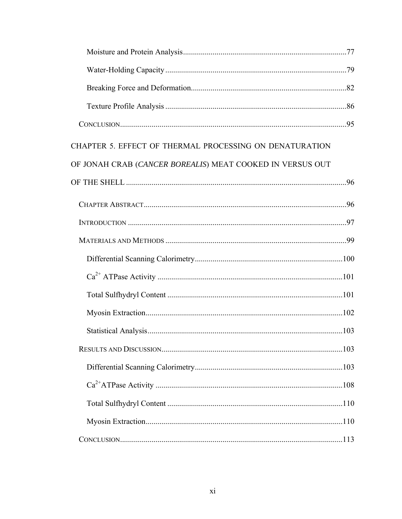| CHAPTER 5. EFFECT OF THERMAL PROCESSING ON DENATURATION   |  |
|-----------------------------------------------------------|--|
| OF JONAH CRAB (CANCER BOREALIS) MEAT COOKED IN VERSUS OUT |  |
|                                                           |  |
|                                                           |  |
|                                                           |  |
|                                                           |  |
|                                                           |  |
|                                                           |  |
|                                                           |  |
|                                                           |  |
|                                                           |  |
|                                                           |  |
|                                                           |  |
|                                                           |  |
|                                                           |  |
|                                                           |  |
|                                                           |  |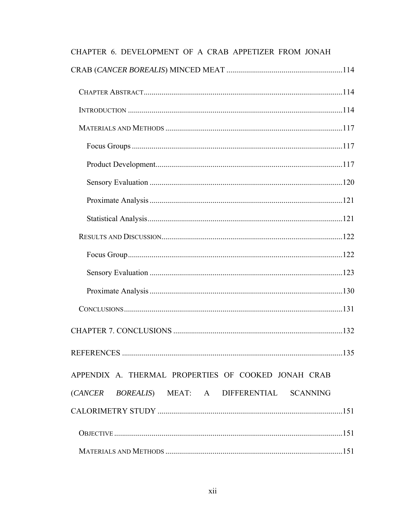| AT TER V. DEVELOI MENT OF A CRAD ATTEITEER FROM JONALI |  |
|--------------------------------------------------------|--|
|                                                        |  |
|                                                        |  |
|                                                        |  |
|                                                        |  |
|                                                        |  |
|                                                        |  |
|                                                        |  |
|                                                        |  |
|                                                        |  |
|                                                        |  |
|                                                        |  |
|                                                        |  |
|                                                        |  |
|                                                        |  |
|                                                        |  |
|                                                        |  |
| APPENDIX A. THERMAL PROPERTIES OF COOKED JONAH CRAB    |  |
| (CANCER BOREALIS) MEAT: A DIFFERENTIAL SCANNING        |  |
|                                                        |  |
|                                                        |  |
|                                                        |  |

# CHAPTER 6 DEVELOPMENT OF A CRAB APPETIZER FROM JONAH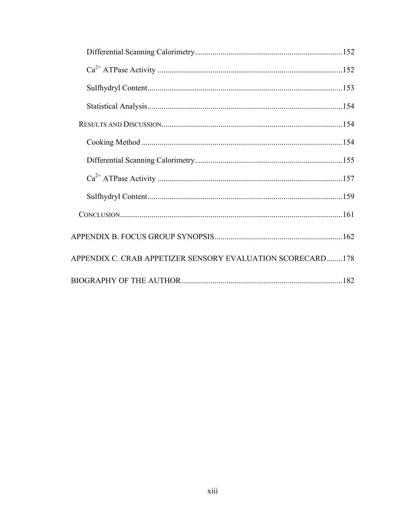| APPENDIX C. CRAB APPETIZER SENSORY EVALUATION SCORECARD178 |  |
|------------------------------------------------------------|--|
|                                                            |  |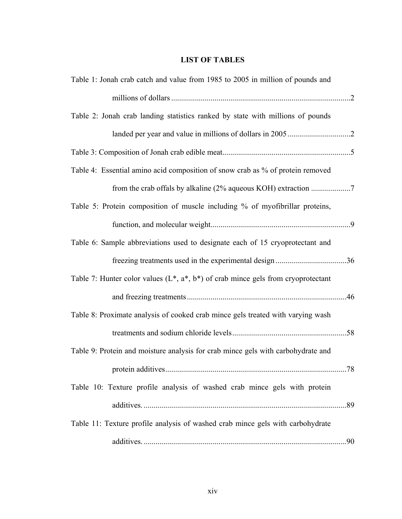## **LIST OF TABLES**

| Table 1: Jonah crab catch and value from 1985 to 2005 in million of pounds and        |  |
|---------------------------------------------------------------------------------------|--|
|                                                                                       |  |
| Table 2: Jonah crab landing statistics ranked by state with millions of pounds        |  |
|                                                                                       |  |
|                                                                                       |  |
| Table 4: Essential amino acid composition of snow crab as % of protein removed        |  |
|                                                                                       |  |
| Table 5: Protein composition of muscle including % of myofibrillar proteins,          |  |
|                                                                                       |  |
| Table 6: Sample abbreviations used to designate each of 15 cryoprotectant and         |  |
|                                                                                       |  |
| Table 7: Hunter color values $(L^*, a^*, b^*)$ of crab mince gels from cryoprotectant |  |
|                                                                                       |  |
| Table 8: Proximate analysis of cooked crab mince gels treated with varying wash       |  |
|                                                                                       |  |
| Table 9: Protein and moisture analysis for crab mince gels with carbohydrate and      |  |
|                                                                                       |  |
| Table 10: Texture profile analysis of washed crab mince gels with protein             |  |
|                                                                                       |  |
| Table 11: Texture profile analysis of washed crab mince gels with carbohydrate        |  |
|                                                                                       |  |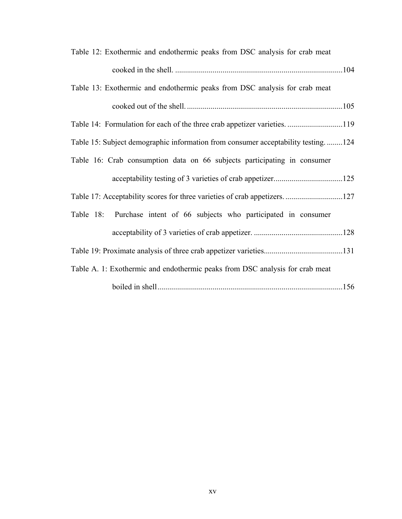| Table 12: Exothermic and endothermic peaks from DSC analysis for crab meat       |  |
|----------------------------------------------------------------------------------|--|
|                                                                                  |  |
| Table 13: Exothermic and endothermic peaks from DSC analysis for crab meat       |  |
|                                                                                  |  |
| Table 14: Formulation for each of the three crab appetizer varieties119          |  |
| Table 15: Subject demographic information from consumer acceptability testing124 |  |
| Table 16: Crab consumption data on 66 subjects participating in consumer         |  |
|                                                                                  |  |
|                                                                                  |  |
| Table 18: Purchase intent of 66 subjects who participated in consumer            |  |
|                                                                                  |  |
|                                                                                  |  |
| Table A. 1: Exothermic and endothermic peaks from DSC analysis for crab meat     |  |
|                                                                                  |  |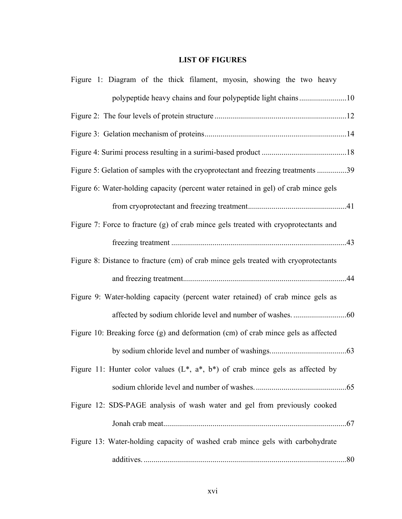## **LIST OF FIGURES**

| Figure 1: Diagram of the thick filament, myosin, showing the two heavy              |  |
|-------------------------------------------------------------------------------------|--|
| polypeptide heavy chains and four polypeptide light chains10                        |  |
|                                                                                     |  |
|                                                                                     |  |
|                                                                                     |  |
| Figure 5: Gelation of samples with the cryoprotectant and freezing treatments 39    |  |
| Figure 6: Water-holding capacity (percent water retained in gel) of crab mince gels |  |
|                                                                                     |  |
| Figure 7: Force to fracture (g) of crab mince gels treated with cryoprotectants and |  |
|                                                                                     |  |
| Figure 8: Distance to fracture (cm) of crab mince gels treated with cryoprotectants |  |
|                                                                                     |  |
|                                                                                     |  |
| Figure 9: Water-holding capacity (percent water retained) of crab mince gels as     |  |
|                                                                                     |  |
| Figure 10: Breaking force (g) and deformation (cm) of crab mince gels as affected   |  |
|                                                                                     |  |
| Figure 11: Hunter color values $(L^*, a^*, b^*)$ of crab mince gels as affected by  |  |
|                                                                                     |  |
| Figure 12: SDS-PAGE analysis of wash water and gel from previously cooked           |  |
|                                                                                     |  |
| Figure 13: Water-holding capacity of washed crab mince gels with carbohydrate       |  |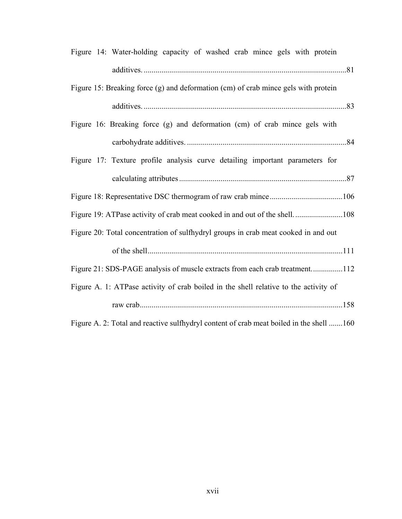| Figure 14: Water-holding capacity of washed crab mince gels with protein                |
|-----------------------------------------------------------------------------------------|
|                                                                                         |
| Figure 15: Breaking force (g) and deformation (cm) of crab mince gels with protein      |
|                                                                                         |
| Figure 16: Breaking force (g) and deformation (cm) of crab mince gels with              |
|                                                                                         |
| Figure 17: Texture profile analysis curve detailing important parameters for            |
|                                                                                         |
|                                                                                         |
| Figure 19: ATPase activity of crab meat cooked in and out of the shell108               |
| Figure 20: Total concentration of sulfhydryl groups in crab meat cooked in and out      |
|                                                                                         |
| Figure 21: SDS-PAGE analysis of muscle extracts from each crab treatment112             |
| Figure A. 1: ATPase activity of crab boiled in the shell relative to the activity of    |
|                                                                                         |
| Figure A. 2: Total and reactive sulfhydryl content of crab meat boiled in the shell 160 |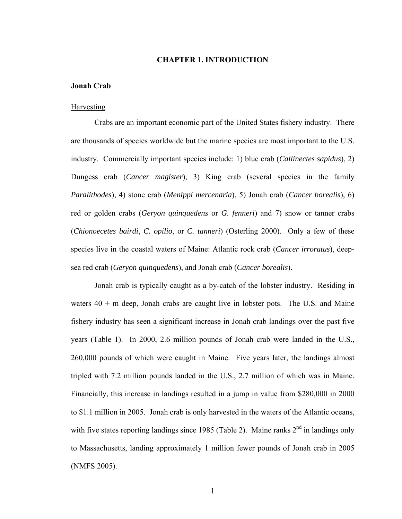#### **CHAPTER 1. INTRODUCTION**

#### **Jonah Crab**

#### **Harvesting**

 Crabs are an important economic part of the United States fishery industry. There are thousands of species worldwide but the marine species are most important to the U.S. industry. Commercially important species include: 1) blue crab (*Callinectes sapidus*), 2) Dungess crab (*Cancer magister*), 3) King crab (several species in the family *Paralithodes*), 4) stone crab (*Menippi mercenaria*), 5) Jonah crab (*Cancer borealis*), 6) red or golden crabs (*Geryon quinquedens* or *G. fenneri*) and 7) snow or tanner crabs (*Chionoecetes bairdi*, *C. opilio*, or *C. tanneri*) (Osterling 2000). Only a few of these species live in the coastal waters of Maine: Atlantic rock crab (*Cancer irroratus*), deepsea red crab (*Geryon quinquedens*), and Jonah crab (*Cancer borealis*).

 Jonah crab is typically caught as a by-catch of the lobster industry. Residing in waters  $40 + m$  deep, Jonah crabs are caught live in lobster pots. The U.S. and Maine fishery industry has seen a significant increase in Jonah crab landings over the past five years (Table 1). In 2000, 2.6 million pounds of Jonah crab were landed in the U.S., 260,000 pounds of which were caught in Maine. Five years later, the landings almost tripled with 7.2 million pounds landed in the U.S., 2.7 million of which was in Maine. Financially, this increase in landings resulted in a jump in value from \$280,000 in 2000 to \$1.1 million in 2005. Jonah crab is only harvested in the waters of the Atlantic oceans, with five states reporting landings since 1985 (Table 2). Maine ranks  $2<sup>nd</sup>$  in landings only to Massachusetts, landing approximately 1 million fewer pounds of Jonah crab in 2005 (NMFS 2005).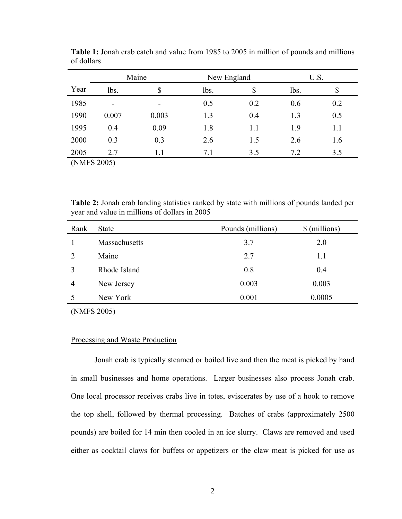|             | Maine                    |                          | New England |     | U.S. |     |
|-------------|--------------------------|--------------------------|-------------|-----|------|-----|
| Year        | lbs.                     | \$                       | lbs.        | \$  | lbs. | \$  |
| 1985        | $\overline{\phantom{a}}$ | $\overline{\phantom{0}}$ | 0.5         | 0.2 | 0.6  | 0.2 |
| 1990        | 0.007                    | 0.003                    | 1.3         | 0.4 | 1.3  | 0.5 |
| 1995        | 0.4                      | 0.09                     | 1.8         | 1.1 | 1.9  | 1.1 |
| 2000        | 0.3                      | 0.3                      | 2.6         | 1.5 | 2.6  | 1.6 |
| 2005        | 2.7                      | 1.1                      | 7.1         | 3.5 | 7.2  | 3.5 |
| (NMFS 2005) |                          |                          |             |     |      |     |

**Table 1:** Jonah crab catch and value from 1985 to 2005 in million of pounds and millions of dollars

**Table 2:** Jonah crab landing statistics ranked by state with millions of pounds landed per year and value in millions of dollars in 2005

| Rank | <b>State</b>  | Pounds (millions) | \$ (millions) |
|------|---------------|-------------------|---------------|
|      | Massachusetts | 3.7               | 2.0           |
| 2    | Maine         | 2.7               | 1.1           |
|      | Rhode Island  | 0.8               | 0.4           |
| 4    | New Jersey    | 0.003             | 0.003         |
| 5    | New York      | 0.001             | 0.0005        |
|      |               |                   |               |

(NMFS 2005)

#### Processing and Waste Production

 Jonah crab is typically steamed or boiled live and then the meat is picked by hand in small businesses and home operations. Larger businesses also process Jonah crab. One local processor receives crabs live in totes, eviscerates by use of a hook to remove the top shell, followed by thermal processing. Batches of crabs (approximately 2500 pounds) are boiled for 14 min then cooled in an ice slurry. Claws are removed and used either as cocktail claws for buffets or appetizers or the claw meat is picked for use as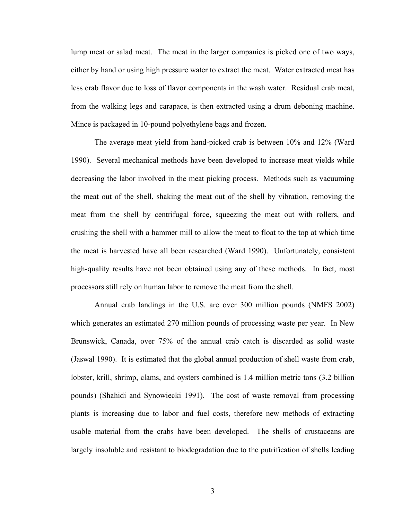lump meat or salad meat. The meat in the larger companies is picked one of two ways, either by hand or using high pressure water to extract the meat. Water extracted meat has less crab flavor due to loss of flavor components in the wash water. Residual crab meat, from the walking legs and carapace, is then extracted using a drum deboning machine. Mince is packaged in 10-pound polyethylene bags and frozen.

 The average meat yield from hand-picked crab is between 10% and 12% (Ward 1990). Several mechanical methods have been developed to increase meat yields while decreasing the labor involved in the meat picking process. Methods such as vacuuming the meat out of the shell, shaking the meat out of the shell by vibration, removing the meat from the shell by centrifugal force, squeezing the meat out with rollers, and crushing the shell with a hammer mill to allow the meat to float to the top at which time the meat is harvested have all been researched (Ward 1990). Unfortunately, consistent high-quality results have not been obtained using any of these methods. In fact, most processors still rely on human labor to remove the meat from the shell.

 Annual crab landings in the U.S. are over 300 million pounds (NMFS 2002) which generates an estimated 270 million pounds of processing waste per year. In New Brunswick, Canada, over 75% of the annual crab catch is discarded as solid waste (Jaswal 1990). It is estimated that the global annual production of shell waste from crab, lobster, krill, shrimp, clams, and oysters combined is 1.4 million metric tons (3.2 billion pounds) (Shahidi and Synowiecki 1991). The cost of waste removal from processing plants is increasing due to labor and fuel costs, therefore new methods of extracting usable material from the crabs have been developed. The shells of crustaceans are largely insoluble and resistant to biodegradation due to the putrification of shells leading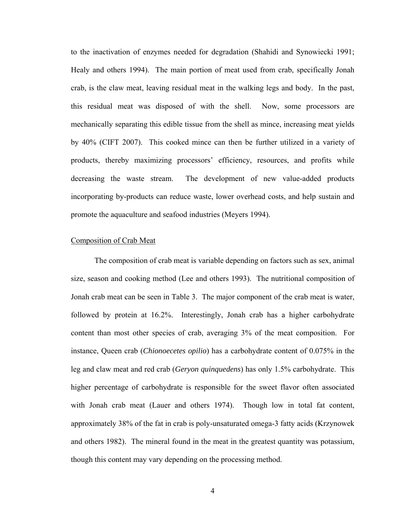to the inactivation of enzymes needed for degradation (Shahidi and Synowiecki 1991; Healy and others 1994). The main portion of meat used from crab, specifically Jonah crab, is the claw meat, leaving residual meat in the walking legs and body. In the past, this residual meat was disposed of with the shell. Now, some processors are mechanically separating this edible tissue from the shell as mince, increasing meat yields by 40% (CIFT 2007). This cooked mince can then be further utilized in a variety of products, thereby maximizing processors' efficiency, resources, and profits while decreasing the waste stream. The development of new value-added products incorporating by-products can reduce waste, lower overhead costs, and help sustain and promote the aquaculture and seafood industries (Meyers 1994).

#### Composition of Crab Meat

 The composition of crab meat is variable depending on factors such as sex, animal size, season and cooking method (Lee and others 1993). The nutritional composition of Jonah crab meat can be seen in Table 3. The major component of the crab meat is water, followed by protein at 16.2%. Interestingly, Jonah crab has a higher carbohydrate content than most other species of crab, averaging 3% of the meat composition. For instance, Queen crab (*Chionoecetes opilio*) has a carbohydrate content of 0.075% in the leg and claw meat and red crab (*Geryon quinquedens*) has only 1.5% carbohydrate. This higher percentage of carbohydrate is responsible for the sweet flavor often associated with Jonah crab meat (Lauer and others 1974). Though low in total fat content, approximately 38% of the fat in crab is poly-unsaturated omega-3 fatty acids (Krzynowek and others 1982). The mineral found in the meat in the greatest quantity was potassium, though this content may vary depending on the processing method.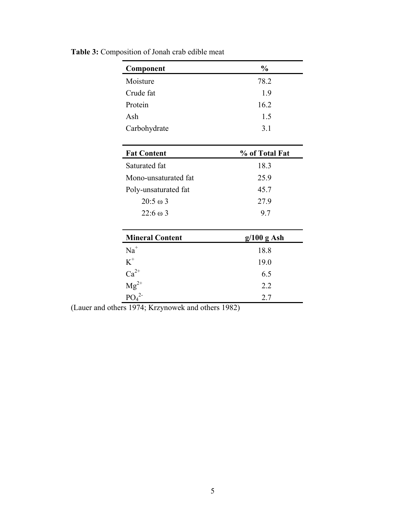| Component                                                       | $\frac{0}{0}$  |  |
|-----------------------------------------------------------------|----------------|--|
| Moisture                                                        | 78.2           |  |
| Crude fat                                                       | 1.9            |  |
| Protein                                                         | 16.2           |  |
| Ash                                                             | 1.5            |  |
| Carbohydrate                                                    | 3.1            |  |
|                                                                 |                |  |
| <b>Fat Content</b>                                              | % of Total Fat |  |
| Saturated fat                                                   | 18.3           |  |
| Mono-unsaturated fat                                            | 25.9           |  |
| Poly-unsaturated fat                                            | 45.7           |  |
| $20:5 \omega 3$                                                 | 27.9           |  |
| $22:6 \omega 3$                                                 | 9.7            |  |
|                                                                 |                |  |
| <b>Mineral Content</b>                                          | $g/100 g$ Ash  |  |
| $Na+$                                                           | 18.8           |  |
| $K^+$                                                           | 19.0           |  |
| $Ca^{2+}$                                                       | 6.5            |  |
| $Mg^{2+}$                                                       | 2.2            |  |
| PO <sub>4</sub> <sup>2</sup><br>1.<br>$1 \quad 1$<br>TZ<br>1071 | 2.7<br>1002    |  |

**Table 3:** Composition of Jonah crab edible meat

(Lauer and others 1974; Krzynowek and others 1982)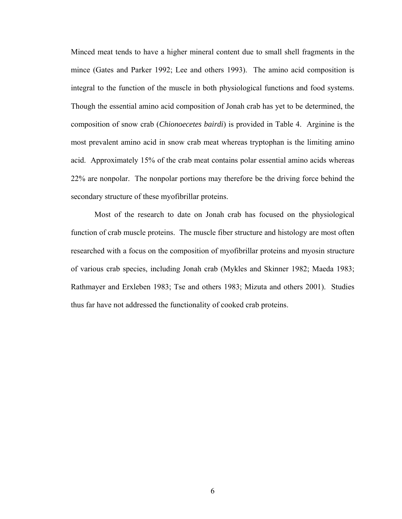Minced meat tends to have a higher mineral content due to small shell fragments in the mince (Gates and Parker 1992; Lee and others 1993). The amino acid composition is integral to the function of the muscle in both physiological functions and food systems. Though the essential amino acid composition of Jonah crab has yet to be determined, the composition of snow crab (*Chionoecetes bairdi*) is provided in Table 4. Arginine is the most prevalent amino acid in snow crab meat whereas tryptophan is the limiting amino acid. Approximately 15% of the crab meat contains polar essential amino acids whereas 22% are nonpolar. The nonpolar portions may therefore be the driving force behind the secondary structure of these myofibrillar proteins.

 Most of the research to date on Jonah crab has focused on the physiological function of crab muscle proteins. The muscle fiber structure and histology are most often researched with a focus on the composition of myofibrillar proteins and myosin structure of various crab species, including Jonah crab (Mykles and Skinner 1982; Maeda 1983; Rathmayer and Erxleben 1983; Tse and others 1983; Mizuta and others 2001). Studies thus far have not addressed the functionality of cooked crab proteins.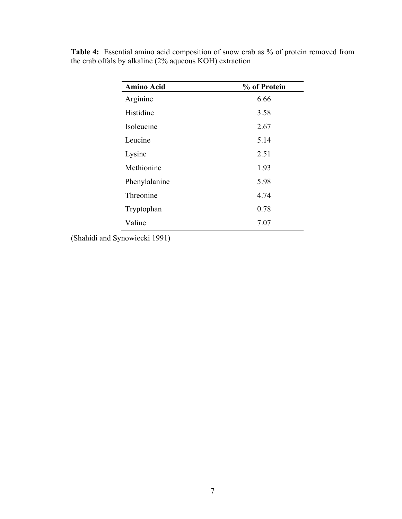| <b>Amino Acid</b> | % of Protein |  |
|-------------------|--------------|--|
| Arginine          | 6.66         |  |
| Histidine         | 3.58         |  |
| Isoleucine        | 2.67         |  |
| Leucine           | 5.14         |  |
| Lysine            | 2.51         |  |
| Methionine        | 1.93         |  |
| Phenylalanine     | 5.98         |  |
| Threonine         | 4.74         |  |
| Tryptophan        | 0.78         |  |
| Valine            | 7.07         |  |

**Table 4:** Essential amino acid composition of snow crab as % of protein removed from the crab offals by alkaline (2% aqueous KOH) extraction

(Shahidi and Synowiecki 1991)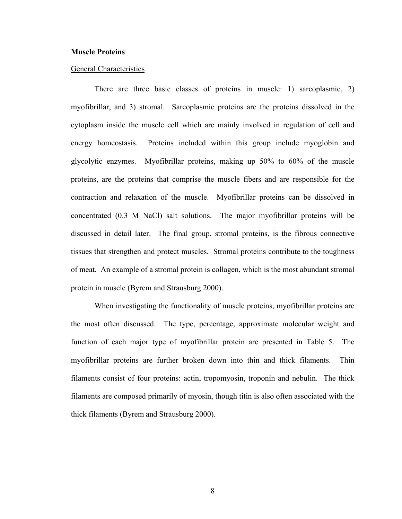#### **Muscle Proteins**

#### General Characteristics

 There are three basic classes of proteins in muscle: 1) sarcoplasmic, 2) myofibrillar, and 3) stromal. Sarcoplasmic proteins are the proteins dissolved in the cytoplasm inside the muscle cell which are mainly involved in regulation of cell and energy homeostasis. Proteins included within this group include myoglobin and glycolytic enzymes. Myofibrillar proteins, making up 50% to 60% of the muscle proteins, are the proteins that comprise the muscle fibers and are responsible for the contraction and relaxation of the muscle. Myofibrillar proteins can be dissolved in concentrated (0.3 M NaCl) salt solutions. The major myofibrillar proteins will be discussed in detail later. The final group, stromal proteins, is the fibrous connective tissues that strengthen and protect muscles. Stromal proteins contribute to the toughness of meat. An example of a stromal protein is collagen, which is the most abundant stromal protein in muscle (Byrem and Strausburg 2000).

 When investigating the functionality of muscle proteins, myofibrillar proteins are the most often discussed. The type, percentage, approximate molecular weight and function of each major type of myofibrillar protein are presented in Table 5. The myofibrillar proteins are further broken down into thin and thick filaments. Thin filaments consist of four proteins: actin, tropomyosin, troponin and nebulin. The thick filaments are composed primarily of myosin, though titin is also often associated with the thick filaments (Byrem and Strausburg 2000).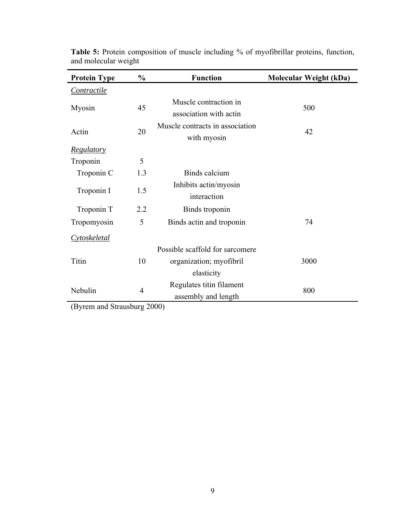| <b>Protein Type</b> | $\frac{0}{0}$  | <b>Function</b>                                 | <b>Molecular Weight (kDa)</b> |
|---------------------|----------------|-------------------------------------------------|-------------------------------|
| <i>Contractile</i>  |                |                                                 |                               |
| Myosin              | 45             | Muscle contraction in<br>association with actin | 500                           |
| Actin               | 20             | Muscle contracts in association<br>with myosin  | 42                            |
| <b>Regulatory</b>   |                |                                                 |                               |
| Troponin            | 5              |                                                 |                               |
| Troponin C          | 1.3            | Binds calcium                                   |                               |
| Troponin I          | 1.5            | Inhibits actin/myosin<br>interaction            |                               |
| Troponin T          | 2.2            | Binds troponin                                  |                               |
| Tropomyosin         | 5              | Binds actin and troponin                        | 74                            |
| Cytoskeletal        |                |                                                 |                               |
|                     |                | Possible scaffold for sarcomere                 |                               |
| Titin               | 10             | organization; myofibril                         | 3000                          |
|                     |                | elasticity                                      |                               |
| Nebulin             | $\overline{4}$ | Regulates titin filament<br>assembly and length | 800                           |

**Table 5:** Protein composition of muscle including % of myofibrillar proteins, function, and molecular weight

(Byrem and Strausburg 2000)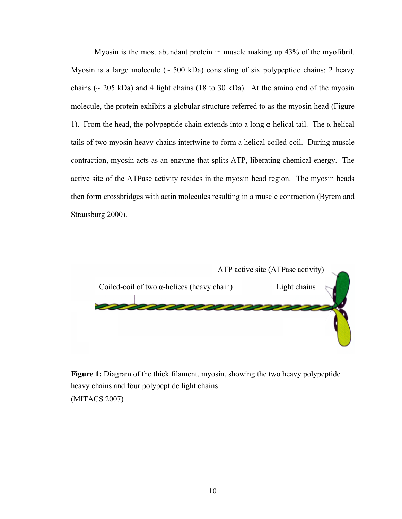Myosin is the most abundant protein in muscle making up 43% of the myofibril. Myosin is a large molecule  $(\sim 500 \text{ kDa})$  consisting of six polypeptide chains: 2 heavy chains ( $\sim$  205 kDa) and 4 light chains (18 to 30 kDa). At the amino end of the myosin molecule, the protein exhibits a globular structure referred to as the myosin head (Figure 1). From the head, the polypeptide chain extends into a long α-helical tail. The α-helical tails of two myosin heavy chains intertwine to form a helical coiled-coil. During muscle contraction, myosin acts as an enzyme that splits ATP, liberating chemical energy. The active site of the ATPase activity resides in the myosin head region. The myosin heads then form crossbridges with actin molecules resulting in a muscle contraction (Byrem and Strausburg 2000).



**Figure 1:** Diagram of the thick filament, myosin, showing the two heavy polypeptide heavy chains and four polypeptide light chains (MITACS 2007)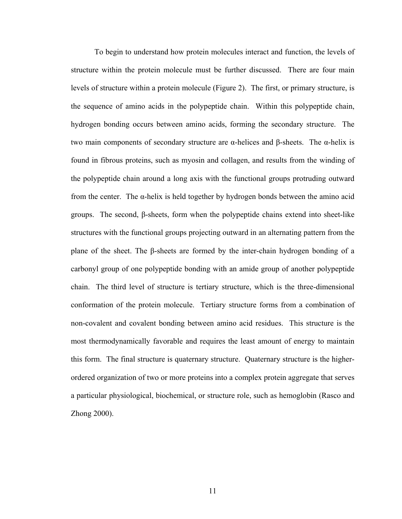To begin to understand how protein molecules interact and function, the levels of structure within the protein molecule must be further discussed. There are four main levels of structure within a protein molecule (Figure 2). The first, or primary structure, is the sequence of amino acids in the polypeptide chain. Within this polypeptide chain, hydrogen bonding occurs between amino acids, forming the secondary structure. The two main components of secondary structure are α-helices and β-sheets. The α-helix is found in fibrous proteins, such as myosin and collagen, and results from the winding of the polypeptide chain around a long axis with the functional groups protruding outward from the center. The  $\alpha$ -helix is held together by hydrogen bonds between the amino acid groups. The second, β-sheets, form when the polypeptide chains extend into sheet-like structures with the functional groups projecting outward in an alternating pattern from the plane of the sheet. The β-sheets are formed by the inter-chain hydrogen bonding of a carbonyl group of one polypeptide bonding with an amide group of another polypeptide chain. The third level of structure is tertiary structure, which is the three-dimensional conformation of the protein molecule. Tertiary structure forms from a combination of non-covalent and covalent bonding between amino acid residues. This structure is the most thermodynamically favorable and requires the least amount of energy to maintain this form. The final structure is quaternary structure. Quaternary structure is the higherordered organization of two or more proteins into a complex protein aggregate that serves a particular physiological, biochemical, or structure role, such as hemoglobin (Rasco and Zhong 2000).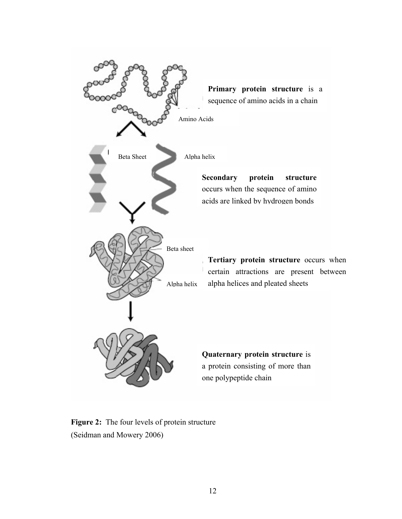

**Figure 2:** The four levels of protein structure (Seidman and Mowery 2006)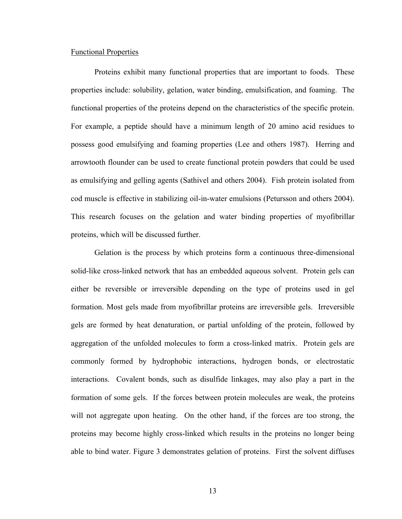#### Functional Properties

 Proteins exhibit many functional properties that are important to foods. These properties include: solubility, gelation, water binding, emulsification, and foaming. The functional properties of the proteins depend on the characteristics of the specific protein. For example, a peptide should have a minimum length of 20 amino acid residues to possess good emulsifying and foaming properties (Lee and others 1987). Herring and arrowtooth flounder can be used to create functional protein powders that could be used as emulsifying and gelling agents (Sathivel and others 2004). Fish protein isolated from cod muscle is effective in stabilizing oil-in-water emulsions (Petursson and others 2004). This research focuses on the gelation and water binding properties of myofibrillar proteins, which will be discussed further.

 Gelation is the process by which proteins form a continuous three-dimensional solid-like cross-linked network that has an embedded aqueous solvent. Protein gels can either be reversible or irreversible depending on the type of proteins used in gel formation. Most gels made from myofibrillar proteins are irreversible gels. Irreversible gels are formed by heat denaturation, or partial unfolding of the protein, followed by aggregation of the unfolded molecules to form a cross-linked matrix. Protein gels are commonly formed by hydrophobic interactions, hydrogen bonds, or electrostatic interactions. Covalent bonds, such as disulfide linkages, may also play a part in the formation of some gels. If the forces between protein molecules are weak, the proteins will not aggregate upon heating. On the other hand, if the forces are too strong, the proteins may become highly cross-linked which results in the proteins no longer being able to bind water. Figure 3 demonstrates gelation of proteins. First the solvent diffuses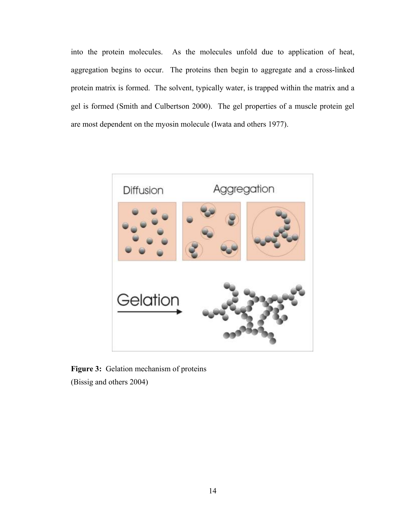into the protein molecules. As the molecules unfold due to application of heat, aggregation begins to occur. The proteins then begin to aggregate and a cross-linked protein matrix is formed. The solvent, typically water, is trapped within the matrix and a gel is formed (Smith and Culbertson 2000). The gel properties of a muscle protein gel are most dependent on the myosin molecule (Iwata and others 1977).



Figure 3: Gelation mechanism of proteins (Bissig and others 2004)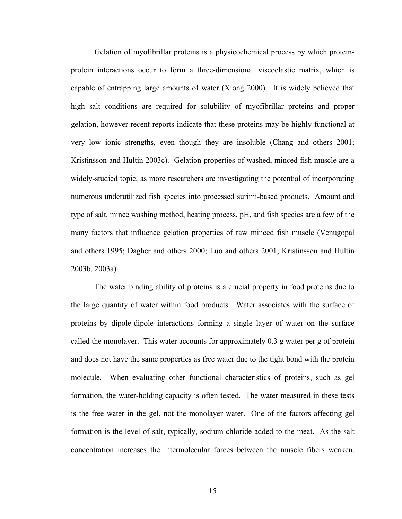Gelation of myofibrillar proteins is a physicochemical process by which proteinprotein interactions occur to form a three-dimensional viscoelastic matrix, which is capable of entrapping large amounts of water (Xiong 2000). It is widely believed that high salt conditions are required for solubility of myofibrillar proteins and proper gelation, however recent reports indicate that these proteins may be highly functional at very low ionic strengths, even though they are insoluble (Chang and others 2001; Kristinsson and Hultin 2003c). Gelation properties of washed, minced fish muscle are a widely-studied topic, as more researchers are investigating the potential of incorporating numerous underutilized fish species into processed surimi-based products. Amount and type of salt, mince washing method, heating process, pH, and fish species are a few of the many factors that influence gelation properties of raw minced fish muscle (Venugopal and others 1995; Dagher and others 2000; Luo and others 2001; Kristinsson and Hultin 2003b, 2003a).

 The water binding ability of proteins is a crucial property in food proteins due to the large quantity of water within food products. Water associates with the surface of proteins by dipole-dipole interactions forming a single layer of water on the surface called the monolayer. This water accounts for approximately 0.3 g water per g of protein and does not have the same properties as free water due to the tight bond with the protein molecule. When evaluating other functional characteristics of proteins, such as gel formation, the water-holding capacity is often tested. The water measured in these tests is the free water in the gel, not the monolayer water. One of the factors affecting gel formation is the level of salt, typically, sodium chloride added to the meat. As the salt concentration increases the intermolecular forces between the muscle fibers weaken.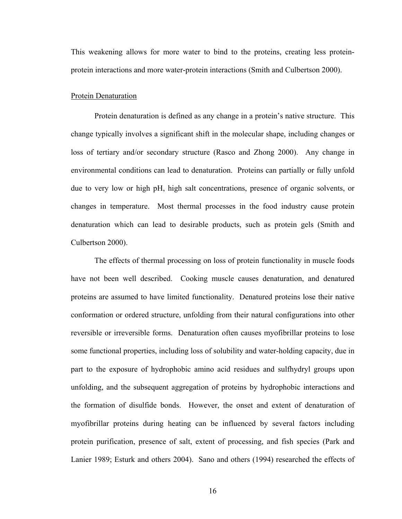This weakening allows for more water to bind to the proteins, creating less proteinprotein interactions and more water-protein interactions (Smith and Culbertson 2000).

#### Protein Denaturation

 Protein denaturation is defined as any change in a protein's native structure. This change typically involves a significant shift in the molecular shape, including changes or loss of tertiary and/or secondary structure (Rasco and Zhong 2000). Any change in environmental conditions can lead to denaturation. Proteins can partially or fully unfold due to very low or high pH, high salt concentrations, presence of organic solvents, or changes in temperature. Most thermal processes in the food industry cause protein denaturation which can lead to desirable products, such as protein gels (Smith and Culbertson 2000).

 The effects of thermal processing on loss of protein functionality in muscle foods have not been well described. Cooking muscle causes denaturation, and denatured proteins are assumed to have limited functionality. Denatured proteins lose their native conformation or ordered structure, unfolding from their natural configurations into other reversible or irreversible forms. Denaturation often causes myofibrillar proteins to lose some functional properties, including loss of solubility and water-holding capacity, due in part to the exposure of hydrophobic amino acid residues and sulfhydryl groups upon unfolding, and the subsequent aggregation of proteins by hydrophobic interactions and the formation of disulfide bonds. However, the onset and extent of denaturation of myofibrillar proteins during heating can be influenced by several factors including protein purification, presence of salt, extent of processing, and fish species (Park and Lanier 1989; Esturk and others 2004). Sano and others (1994) researched the effects of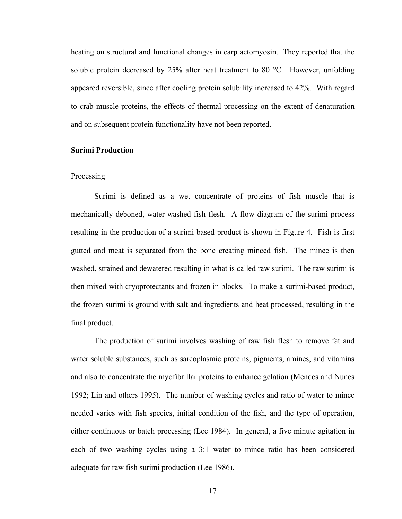heating on structural and functional changes in carp actomyosin. They reported that the soluble protein decreased by 25% after heat treatment to 80  $^{\circ}$ C. However, unfolding appeared reversible, since after cooling protein solubility increased to 42%. With regard to crab muscle proteins, the effects of thermal processing on the extent of denaturation and on subsequent protein functionality have not been reported.

#### **Surimi Production**

#### **Processing**

 Surimi is defined as a wet concentrate of proteins of fish muscle that is mechanically deboned, water-washed fish flesh. A flow diagram of the surimi process resulting in the production of a surimi-based product is shown in Figure 4. Fish is first gutted and meat is separated from the bone creating minced fish. The mince is then washed, strained and dewatered resulting in what is called raw surimi. The raw surimi is then mixed with cryoprotectants and frozen in blocks. To make a surimi-based product, the frozen surimi is ground with salt and ingredients and heat processed, resulting in the final product.

 The production of surimi involves washing of raw fish flesh to remove fat and water soluble substances, such as sarcoplasmic proteins, pigments, amines, and vitamins and also to concentrate the myofibrillar proteins to enhance gelation (Mendes and Nunes 1992; Lin and others 1995). The number of washing cycles and ratio of water to mince needed varies with fish species, initial condition of the fish, and the type of operation, either continuous or batch processing (Lee 1984). In general, a five minute agitation in each of two washing cycles using a 3:1 water to mince ratio has been considered adequate for raw fish surimi production (Lee 1986).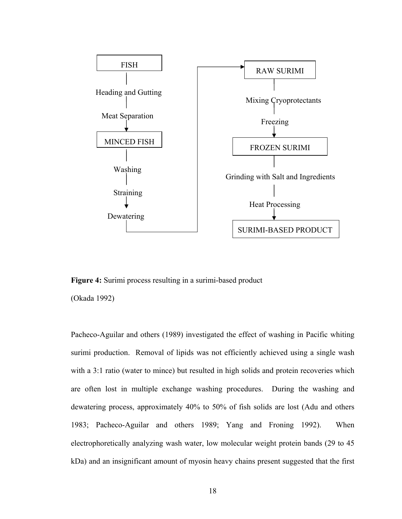

**Figure 4:** Surimi process resulting in a surimi-based product

(Okada 1992)

Pacheco-Aguilar and others (1989) investigated the effect of washing in Pacific whiting surimi production. Removal of lipids was not efficiently achieved using a single wash with a 3:1 ratio (water to mince) but resulted in high solids and protein recoveries which are often lost in multiple exchange washing procedures. During the washing and dewatering process, approximately 40% to 50% of fish solids are lost (Adu and others 1983; Pacheco-Aguilar and others 1989; Yang and Froning 1992). When electrophoretically analyzing wash water, low molecular weight protein bands (29 to 45 kDa) and an insignificant amount of myosin heavy chains present suggested that the first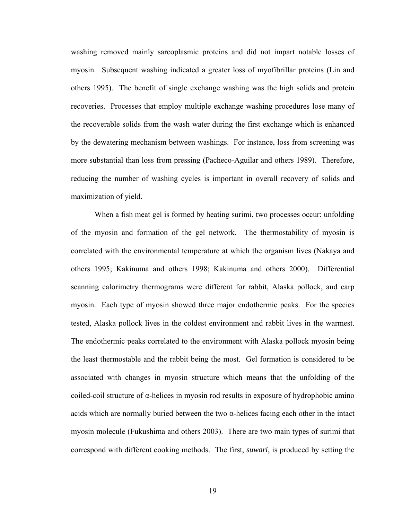washing removed mainly sarcoplasmic proteins and did not impart notable losses of myosin. Subsequent washing indicated a greater loss of myofibrillar proteins (Lin and others 1995). The benefit of single exchange washing was the high solids and protein recoveries. Processes that employ multiple exchange washing procedures lose many of the recoverable solids from the wash water during the first exchange which is enhanced by the dewatering mechanism between washings. For instance, loss from screening was more substantial than loss from pressing (Pacheco-Aguilar and others 1989). Therefore, reducing the number of washing cycles is important in overall recovery of solids and maximization of yield.

 When a fish meat gel is formed by heating surimi, two processes occur: unfolding of the myosin and formation of the gel network. The thermostability of myosin is correlated with the environmental temperature at which the organism lives (Nakaya and others 1995; Kakinuma and others 1998; Kakinuma and others 2000). Differential scanning calorimetry thermograms were different for rabbit, Alaska pollock, and carp myosin. Each type of myosin showed three major endothermic peaks. For the species tested, Alaska pollock lives in the coldest environment and rabbit lives in the warmest. The endothermic peaks correlated to the environment with Alaska pollock myosin being the least thermostable and the rabbit being the most. Gel formation is considered to be associated with changes in myosin structure which means that the unfolding of the coiled-coil structure of α-helices in myosin rod results in exposure of hydrophobic amino acids which are normally buried between the two  $\alpha$ -helices facing each other in the intact myosin molecule (Fukushima and others 2003). There are two main types of surimi that correspond with different cooking methods. The first, *suwari*, is produced by setting the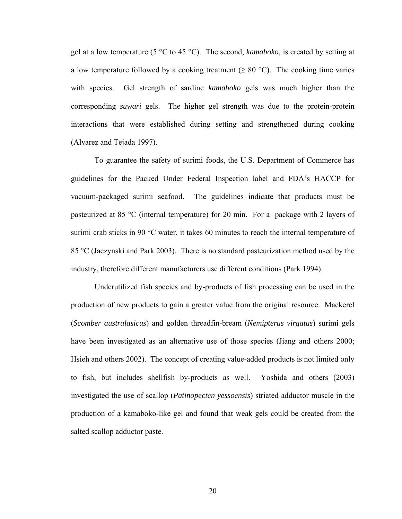gel at a low temperature (5 °C to 45 °C). The second, *kamaboko*, is created by setting at a low temperature followed by a cooking treatment ( $\geq 80$  °C). The cooking time varies with species. Gel strength of sardine *kamaboko* gels was much higher than the corresponding *suwari* gels. The higher gel strength was due to the protein-protein interactions that were established during setting and strengthened during cooking (Alvarez and Tejada 1997).

 To guarantee the safety of surimi foods, the U.S. Department of Commerce has guidelines for the Packed Under Federal Inspection label and FDA's HACCP for vacuum-packaged surimi seafood. The guidelines indicate that products must be pasteurized at 85 °C (internal temperature) for 20 min. For a package with 2 layers of surimi crab sticks in 90  $\degree$ C water, it takes 60 minutes to reach the internal temperature of 85 °C (Jaczynski and Park 2003). There is no standard pasteurization method used by the industry, therefore different manufacturers use different conditions (Park 1994).

 Underutilized fish species and by-products of fish processing can be used in the production of new products to gain a greater value from the original resource. Mackerel (*Scomber australasicus*) and golden threadfin-bream (*Nemipterus virgatus*) surimi gels have been investigated as an alternative use of those species (Jiang and others 2000; Hsieh and others 2002). The concept of creating value-added products is not limited only to fish, but includes shellfish by-products as well. Yoshida and others (2003) investigated the use of scallop (*Patinopecten yessoensis*) striated adductor muscle in the production of a kamaboko-like gel and found that weak gels could be created from the salted scallop adductor paste.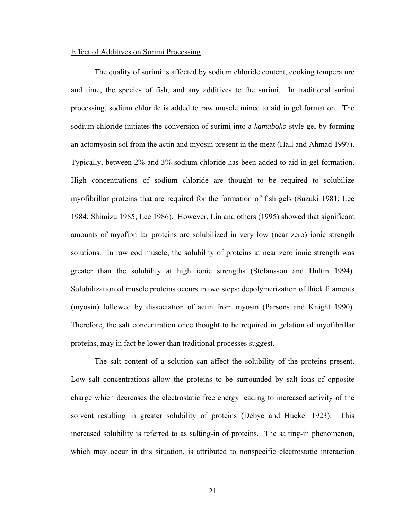# Effect of Additives on Surimi Processing

 The quality of surimi is affected by sodium chloride content, cooking temperature and time, the species of fish, and any additives to the surimi. In traditional surimi processing, sodium chloride is added to raw muscle mince to aid in gel formation. The sodium chloride initiates the conversion of surimi into a *kamaboko* style gel by forming an actomyosin sol from the actin and myosin present in the meat (Hall and Ahmad 1997). Typically, between 2% and 3% sodium chloride has been added to aid in gel formation. High concentrations of sodium chloride are thought to be required to solubilize myofibrillar proteins that are required for the formation of fish gels (Suzuki 1981; Lee 1984; Shimizu 1985; Lee 1986). However, Lin and others (1995) showed that significant amounts of myofibrillar proteins are solubilized in very low (near zero) ionic strength solutions. In raw cod muscle, the solubility of proteins at near zero ionic strength was greater than the solubility at high ionic strengths (Stefansson and Hultin 1994). Solubilization of muscle proteins occurs in two steps: depolymerization of thick filaments (myosin) followed by dissociation of actin from myosin (Parsons and Knight 1990). Therefore, the salt concentration once thought to be required in gelation of myofibrillar proteins, may in fact be lower than traditional processes suggest.

 The salt content of a solution can affect the solubility of the proteins present. Low salt concentrations allow the proteins to be surrounded by salt ions of opposite charge which decreases the electrostatic free energy leading to increased activity of the solvent resulting in greater solubility of proteins (Debye and Huckel 1923). This increased solubility is referred to as salting-in of proteins. The salting-in phenomenon, which may occur in this situation, is attributed to nonspecific electrostatic interaction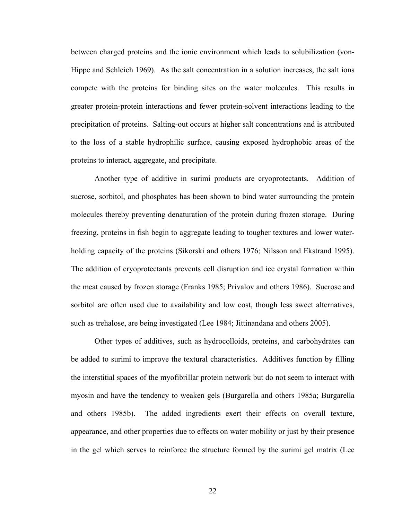between charged proteins and the ionic environment which leads to solubilization (von-Hippe and Schleich 1969). As the salt concentration in a solution increases, the salt ions compete with the proteins for binding sites on the water molecules. This results in greater protein-protein interactions and fewer protein-solvent interactions leading to the precipitation of proteins. Salting-out occurs at higher salt concentrations and is attributed to the loss of a stable hydrophilic surface, causing exposed hydrophobic areas of the proteins to interact, aggregate, and precipitate.

 Another type of additive in surimi products are cryoprotectants. Addition of sucrose, sorbitol, and phosphates has been shown to bind water surrounding the protein molecules thereby preventing denaturation of the protein during frozen storage. During freezing, proteins in fish begin to aggregate leading to tougher textures and lower waterholding capacity of the proteins (Sikorski and others 1976; Nilsson and Ekstrand 1995). The addition of cryoprotectants prevents cell disruption and ice crystal formation within the meat caused by frozen storage (Franks 1985; Privalov and others 1986). Sucrose and sorbitol are often used due to availability and low cost, though less sweet alternatives, such as trehalose, are being investigated (Lee 1984; Jittinandana and others 2005).

 Other types of additives, such as hydrocolloids, proteins, and carbohydrates can be added to surimi to improve the textural characteristics. Additives function by filling the interstitial spaces of the myofibrillar protein network but do not seem to interact with myosin and have the tendency to weaken gels (Burgarella and others 1985a; Burgarella and others 1985b). The added ingredients exert their effects on overall texture, appearance, and other properties due to effects on water mobility or just by their presence in the gel which serves to reinforce the structure formed by the surimi gel matrix (Lee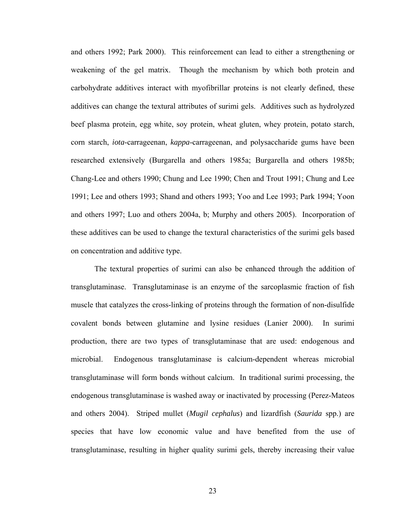and others 1992; Park 2000). This reinforcement can lead to either a strengthening or weakening of the gel matrix. Though the mechanism by which both protein and carbohydrate additives interact with myofibrillar proteins is not clearly defined, these additives can change the textural attributes of surimi gels. Additives such as hydrolyzed beef plasma protein, egg white, soy protein, wheat gluten, whey protein, potato starch, corn starch, *iota*-carrageenan, *kappa*-carrageenan, and polysaccharide gums have been researched extensively (Burgarella and others 1985a; Burgarella and others 1985b; Chang-Lee and others 1990; Chung and Lee 1990; Chen and Trout 1991; Chung and Lee 1991; Lee and others 1993; Shand and others 1993; Yoo and Lee 1993; Park 1994; Yoon and others 1997; Luo and others 2004a, b; Murphy and others 2005). Incorporation of these additives can be used to change the textural characteristics of the surimi gels based on concentration and additive type.

 The textural properties of surimi can also be enhanced through the addition of transglutaminase. Transglutaminase is an enzyme of the sarcoplasmic fraction of fish muscle that catalyzes the cross-linking of proteins through the formation of non-disulfide covalent bonds between glutamine and lysine residues (Lanier 2000). In surimi production, there are two types of transglutaminase that are used: endogenous and microbial. Endogenous transglutaminase is calcium-dependent whereas microbial transglutaminase will form bonds without calcium. In traditional surimi processing, the endogenous transglutaminase is washed away or inactivated by processing (Perez-Mateos and others 2004). Striped mullet (*Mugil cephalus*) and lizardfish (*Saurida* spp.) are species that have low economic value and have benefited from the use of transglutaminase, resulting in higher quality surimi gels, thereby increasing their value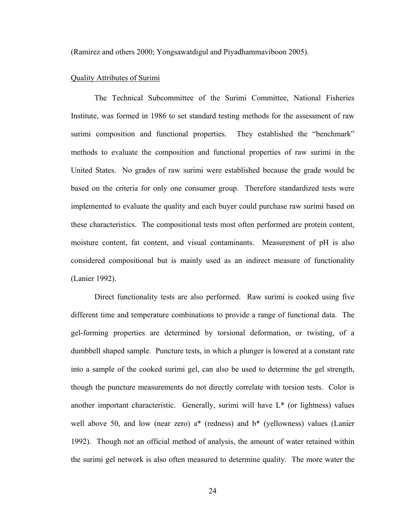(Ramirez and others 2000; Yongsawatdigul and Piyadhammaviboon 2005).

#### Quality Attributes of Surimi

 The Technical Subcommittee of the Surimi Committee, National Fisheries Institute, was formed in 1986 to set standard testing methods for the assessment of raw surimi composition and functional properties. They established the "benchmark" methods to evaluate the composition and functional properties of raw surimi in the United States. No grades of raw surimi were established because the grade would be based on the criteria for only one consumer group. Therefore standardized tests were implemented to evaluate the quality and each buyer could purchase raw surimi based on these characteristics. The compositional tests most often performed are protein content, moisture content, fat content, and visual contaminants. Measurement of pH is also considered compositional but is mainly used as an indirect measure of functionality (Lanier 1992).

 Direct functionality tests are also performed. Raw surimi is cooked using five different time and temperature combinations to provide a range of functional data. The gel-forming properties are determined by torsional deformation, or twisting, of a dumbbell shaped sample. Puncture tests, in which a plunger is lowered at a constant rate into a sample of the cooked surimi gel, can also be used to determine the gel strength, though the puncture measurements do not directly correlate with torsion tests. Color is another important characteristic. Generally, surimi will have  $L^*$  (or lightness) values well above 50, and low (near zero) a<sup>\*</sup> (redness) and b<sup>\*</sup> (yellowness) values (Lanier 1992). Though not an official method of analysis, the amount of water retained within the surimi gel network is also often measured to determine quality. The more water the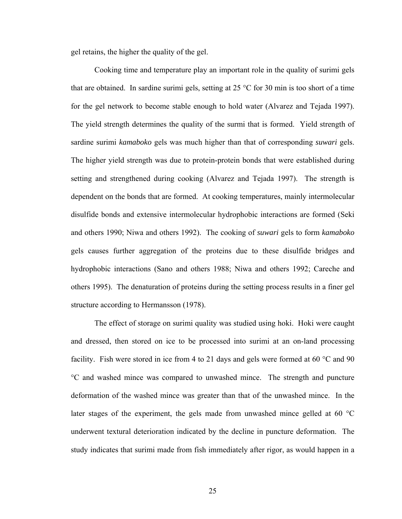gel retains, the higher the quality of the gel.

 Cooking time and temperature play an important role in the quality of surimi gels that are obtained. In sardine surimi gels, setting at 25 °C for 30 min is too short of a time for the gel network to become stable enough to hold water (Alvarez and Tejada 1997). The yield strength determines the quality of the surmi that is formed. Yield strength of sardine surimi *kamaboko* gels was much higher than that of corresponding *suwari* gels. The higher yield strength was due to protein-protein bonds that were established during setting and strengthened during cooking (Alvarez and Tejada 1997). The strength is dependent on the bonds that are formed. At cooking temperatures, mainly intermolecular disulfide bonds and extensive intermolecular hydrophobic interactions are formed (Seki and others 1990; Niwa and others 1992). The cooking of *suwari* gels to form *kamaboko* gels causes further aggregation of the proteins due to these disulfide bridges and hydrophobic interactions (Sano and others 1988; Niwa and others 1992; Careche and others 1995). The denaturation of proteins during the setting process results in a finer gel structure according to Hermansson (1978).

 The effect of storage on surimi quality was studied using hoki. Hoki were caught and dressed, then stored on ice to be processed into surimi at an on-land processing facility. Fish were stored in ice from 4 to 21 days and gels were formed at 60 °C and 90 °C and washed mince was compared to unwashed mince. The strength and puncture deformation of the washed mince was greater than that of the unwashed mince. In the later stages of the experiment, the gels made from unwashed mince gelled at 60 °C underwent textural deterioration indicated by the decline in puncture deformation. The study indicates that surimi made from fish immediately after rigor, as would happen in a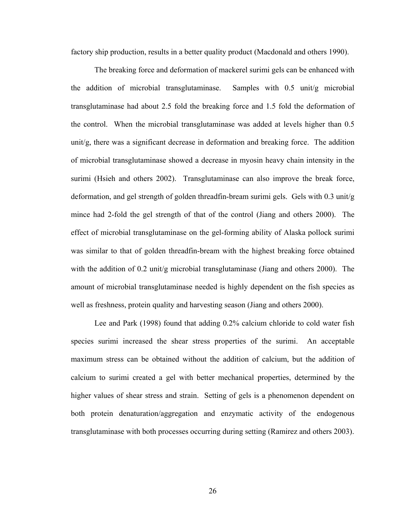factory ship production, results in a better quality product (Macdonald and others 1990).

 The breaking force and deformation of mackerel surimi gels can be enhanced with the addition of microbial transglutaminase. Samples with 0.5 unit/g microbial transglutaminase had about 2.5 fold the breaking force and 1.5 fold the deformation of the control. When the microbial transglutaminase was added at levels higher than 0.5 unit/g, there was a significant decrease in deformation and breaking force. The addition of microbial transglutaminase showed a decrease in myosin heavy chain intensity in the surimi (Hsieh and others 2002). Transglutaminase can also improve the break force, deformation, and gel strength of golden threadfin-bream surimi gels. Gels with 0.3 unit/g mince had 2-fold the gel strength of that of the control (Jiang and others 2000). The effect of microbial transglutaminase on the gel-forming ability of Alaska pollock surimi was similar to that of golden threadfin-bream with the highest breaking force obtained with the addition of 0.2 unit/g microbial transglutaminase (Jiang and others 2000). The amount of microbial transglutaminase needed is highly dependent on the fish species as well as freshness, protein quality and harvesting season (Jiang and others 2000).

 Lee and Park (1998) found that adding 0.2% calcium chloride to cold water fish species surimi increased the shear stress properties of the surimi. An acceptable maximum stress can be obtained without the addition of calcium, but the addition of calcium to surimi created a gel with better mechanical properties, determined by the higher values of shear stress and strain. Setting of gels is a phenomenon dependent on both protein denaturation/aggregation and enzymatic activity of the endogenous transglutaminase with both processes occurring during setting (Ramirez and others 2003).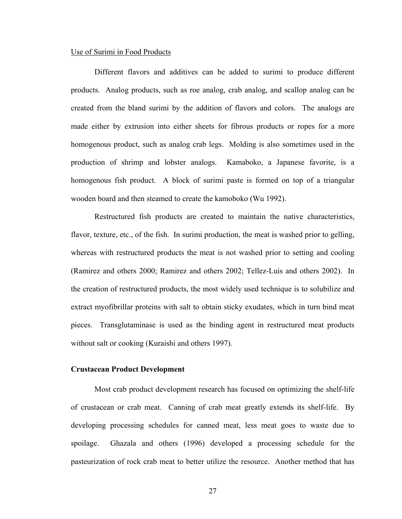#### Use of Surimi in Food Products

 Different flavors and additives can be added to surimi to produce different products. Analog products, such as roe analog, crab analog, and scallop analog can be created from the bland surimi by the addition of flavors and colors. The analogs are made either by extrusion into either sheets for fibrous products or ropes for a more homogenous product, such as analog crab legs. Molding is also sometimes used in the production of shrimp and lobster analogs. Kamaboko, a Japanese favorite, is a homogenous fish product. A block of surimi paste is formed on top of a triangular wooden board and then steamed to create the kamoboko (Wu 1992).

 Restructured fish products are created to maintain the native characteristics, flavor, texture, etc., of the fish. In surimi production, the meat is washed prior to gelling, whereas with restructured products the meat is not washed prior to setting and cooling (Ramirez and others 2000; Ramirez and others 2002; Tellez-Luis and others 2002). In the creation of restructured products, the most widely used technique is to solubilize and extract myofibrillar proteins with salt to obtain sticky exudates, which in turn bind meat pieces. Transglutaminase is used as the binding agent in restructured meat products without salt or cooking (Kuraishi and others 1997).

# **Crustacean Product Development**

 Most crab product development research has focused on optimizing the shelf-life of crustacean or crab meat. Canning of crab meat greatly extends its shelf-life. By developing processing schedules for canned meat, less meat goes to waste due to spoilage. Ghazala and others (1996) developed a processing schedule for the pasteurization of rock crab meat to better utilize the resource. Another method that has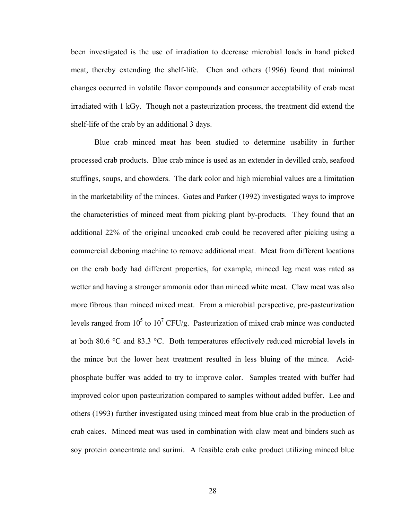been investigated is the use of irradiation to decrease microbial loads in hand picked meat, thereby extending the shelf-life. Chen and others (1996) found that minimal changes occurred in volatile flavor compounds and consumer acceptability of crab meat irradiated with 1 kGy. Though not a pasteurization process, the treatment did extend the shelf-life of the crab by an additional 3 days.

 Blue crab minced meat has been studied to determine usability in further processed crab products. Blue crab mince is used as an extender in devilled crab, seafood stuffings, soups, and chowders. The dark color and high microbial values are a limitation in the marketability of the minces. Gates and Parker (1992) investigated ways to improve the characteristics of minced meat from picking plant by-products. They found that an additional 22% of the original uncooked crab could be recovered after picking using a commercial deboning machine to remove additional meat. Meat from different locations on the crab body had different properties, for example, minced leg meat was rated as wetter and having a stronger ammonia odor than minced white meat. Claw meat was also more fibrous than minced mixed meat. From a microbial perspective, pre-pasteurization levels ranged from  $10^5$  to  $10^7$  CFU/g. Pasteurization of mixed crab mince was conducted at both 80.6 °C and 83.3 °C. Both temperatures effectively reduced microbial levels in the mince but the lower heat treatment resulted in less bluing of the mince. Acidphosphate buffer was added to try to improve color. Samples treated with buffer had improved color upon pasteurization compared to samples without added buffer. Lee and others (1993) further investigated using minced meat from blue crab in the production of crab cakes. Minced meat was used in combination with claw meat and binders such as soy protein concentrate and surimi. A feasible crab cake product utilizing minced blue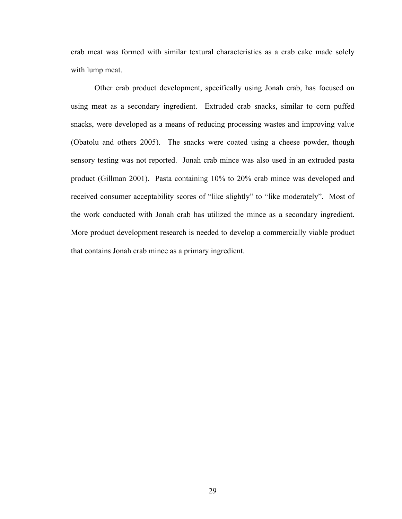crab meat was formed with similar textural characteristics as a crab cake made solely with lump meat.

 Other crab product development, specifically using Jonah crab, has focused on using meat as a secondary ingredient. Extruded crab snacks, similar to corn puffed snacks, were developed as a means of reducing processing wastes and improving value (Obatolu and others 2005). The snacks were coated using a cheese powder, though sensory testing was not reported. Jonah crab mince was also used in an extruded pasta product (Gillman 2001). Pasta containing 10% to 20% crab mince was developed and received consumer acceptability scores of "like slightly" to "like moderately". Most of the work conducted with Jonah crab has utilized the mince as a secondary ingredient. More product development research is needed to develop a commercially viable product that contains Jonah crab mince as a primary ingredient.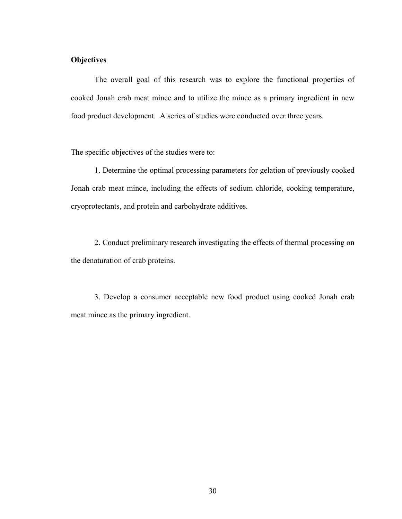# **Objectives**

 The overall goal of this research was to explore the functional properties of cooked Jonah crab meat mince and to utilize the mince as a primary ingredient in new food product development. A series of studies were conducted over three years.

The specific objectives of the studies were to:

 1. Determine the optimal processing parameters for gelation of previously cooked Jonah crab meat mince, including the effects of sodium chloride, cooking temperature, cryoprotectants, and protein and carbohydrate additives.

 2. Conduct preliminary research investigating the effects of thermal processing on the denaturation of crab proteins.

 3. Develop a consumer acceptable new food product using cooked Jonah crab meat mince as the primary ingredient.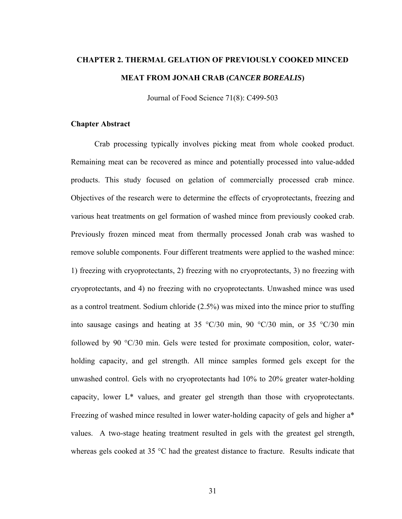# **CHAPTER 2. THERMAL GELATION OF PREVIOUSLY COOKED MINCED MEAT FROM JONAH CRAB (***CANCER BOREALIS***)**

Journal of Food Science 71(8): C499-503

#### **Chapter Abstract**

 Crab processing typically involves picking meat from whole cooked product. Remaining meat can be recovered as mince and potentially processed into value-added products. This study focused on gelation of commercially processed crab mince. Objectives of the research were to determine the effects of cryoprotectants, freezing and various heat treatments on gel formation of washed mince from previously cooked crab. Previously frozen minced meat from thermally processed Jonah crab was washed to remove soluble components. Four different treatments were applied to the washed mince: 1) freezing with cryoprotectants, 2) freezing with no cryoprotectants, 3) no freezing with cryoprotectants, and 4) no freezing with no cryoprotectants. Unwashed mince was used as a control treatment. Sodium chloride (2.5%) was mixed into the mince prior to stuffing into sausage casings and heating at 35  $\degree$ C/30 min, 90  $\degree$ C/30 min, or 35  $\degree$ C/30 min followed by 90 °C/30 min. Gels were tested for proximate composition, color, waterholding capacity, and gel strength. All mince samples formed gels except for the unwashed control. Gels with no cryoprotectants had 10% to 20% greater water-holding capacity, lower L\* values, and greater gel strength than those with cryoprotectants. Freezing of washed mince resulted in lower water-holding capacity of gels and higher a\* values. A two-stage heating treatment resulted in gels with the greatest gel strength, whereas gels cooked at 35 °C had the greatest distance to fracture. Results indicate that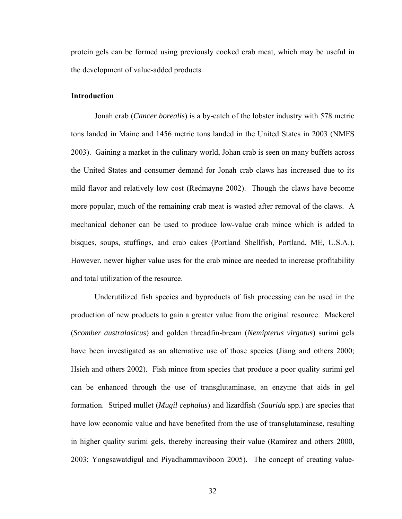protein gels can be formed using previously cooked crab meat, which may be useful in the development of value-added products.

# **Introduction**

 Jonah crab (*Cancer borealis*) is a by-catch of the lobster industry with 578 metric tons landed in Maine and 1456 metric tons landed in the United States in 2003 (NMFS 2003). Gaining a market in the culinary world, Johan crab is seen on many buffets across the United States and consumer demand for Jonah crab claws has increased due to its mild flavor and relatively low cost (Redmayne 2002). Though the claws have become more popular, much of the remaining crab meat is wasted after removal of the claws. A mechanical deboner can be used to produce low-value crab mince which is added to bisques, soups, stuffings, and crab cakes (Portland Shellfish, Portland, ME, U.S.A.). However, newer higher value uses for the crab mince are needed to increase profitability and total utilization of the resource.

 Underutilized fish species and byproducts of fish processing can be used in the production of new products to gain a greater value from the original resource. Mackerel (*Scomber australasicus*) and golden threadfin-bream (*Nemipterus virgatus*) surimi gels have been investigated as an alternative use of those species (Jiang and others 2000; Hsieh and others 2002). Fish mince from species that produce a poor quality surimi gel can be enhanced through the use of transglutaminase, an enzyme that aids in gel formation. Striped mullet (*Mugil cephalus*) and lizardfish (*Saurida* spp.) are species that have low economic value and have benefited from the use of transglutaminase, resulting in higher quality surimi gels, thereby increasing their value (Ramirez and others 2000, 2003; Yongsawatdigul and Piyadhammaviboon 2005). The concept of creating value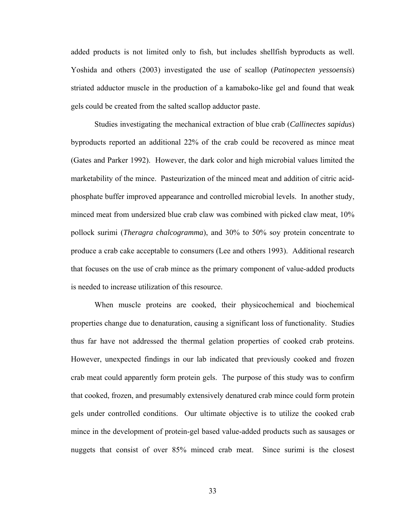added products is not limited only to fish, but includes shellfish byproducts as well. Yoshida and others (2003) investigated the use of scallop (*Patinopecten yessoensis*) striated adductor muscle in the production of a kamaboko-like gel and found that weak gels could be created from the salted scallop adductor paste.

 Studies investigating the mechanical extraction of blue crab (*Callinectes sapidus*) byproducts reported an additional 22% of the crab could be recovered as mince meat (Gates and Parker 1992). However, the dark color and high microbial values limited the marketability of the mince. Pasteurization of the minced meat and addition of citric acidphosphate buffer improved appearance and controlled microbial levels. In another study, minced meat from undersized blue crab claw was combined with picked claw meat, 10% pollock surimi (*Theragra chalcogramma*), and 30% to 50% soy protein concentrate to produce a crab cake acceptable to consumers (Lee and others 1993). Additional research that focuses on the use of crab mince as the primary component of value-added products is needed to increase utilization of this resource.

 When muscle proteins are cooked, their physicochemical and biochemical properties change due to denaturation, causing a significant loss of functionality. Studies thus far have not addressed the thermal gelation properties of cooked crab proteins. However, unexpected findings in our lab indicated that previously cooked and frozen crab meat could apparently form protein gels. The purpose of this study was to confirm that cooked, frozen, and presumably extensively denatured crab mince could form protein gels under controlled conditions. Our ultimate objective is to utilize the cooked crab mince in the development of protein-gel based value-added products such as sausages or nuggets that consist of over 85% minced crab meat. Since surimi is the closest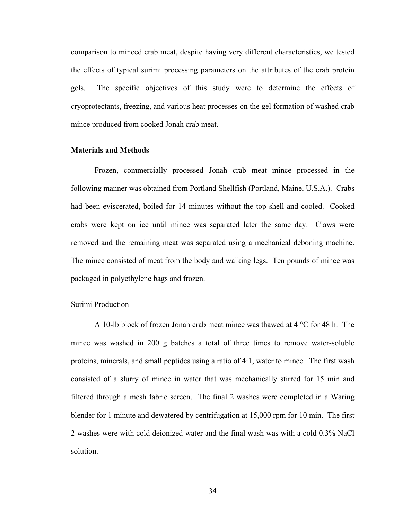comparison to minced crab meat, despite having very different characteristics, we tested the effects of typical surimi processing parameters on the attributes of the crab protein gels. The specific objectives of this study were to determine the effects of cryoprotectants, freezing, and various heat processes on the gel formation of washed crab mince produced from cooked Jonah crab meat.

# **Materials and Methods**

 Frozen, commercially processed Jonah crab meat mince processed in the following manner was obtained from Portland Shellfish (Portland, Maine, U.S.A.). Crabs had been eviscerated, boiled for 14 minutes without the top shell and cooled. Cooked crabs were kept on ice until mince was separated later the same day. Claws were removed and the remaining meat was separated using a mechanical deboning machine. The mince consisted of meat from the body and walking legs. Ten pounds of mince was packaged in polyethylene bags and frozen.

# **Surimi Production**

A 10-lb block of frozen Jonah crab meat mince was thawed at 4 °C for 48 h. The mince was washed in 200 g batches a total of three times to remove water-soluble proteins, minerals, and small peptides using a ratio of 4:1, water to mince. The first wash consisted of a slurry of mince in water that was mechanically stirred for 15 min and filtered through a mesh fabric screen. The final 2 washes were completed in a Waring blender for 1 minute and dewatered by centrifugation at 15,000 rpm for 10 min. The first 2 washes were with cold deionized water and the final wash was with a cold 0.3% NaCl solution.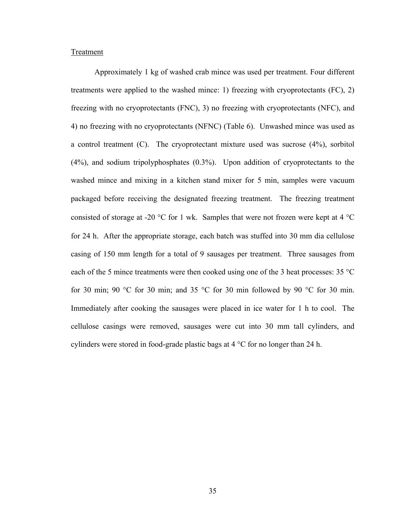# **Treatment**

 Approximately 1 kg of washed crab mince was used per treatment. Four different treatments were applied to the washed mince: 1) freezing with cryoprotectants (FC), 2) freezing with no cryoprotectants (FNC), 3) no freezing with cryoprotectants (NFC), and 4) no freezing with no cryoprotectants (NFNC) (Table 6). Unwashed mince was used as a control treatment (C). The cryoprotectant mixture used was sucrose (4%), sorbitol (4%), and sodium tripolyphosphates (0.3%). Upon addition of cryoprotectants to the washed mince and mixing in a kitchen stand mixer for 5 min, samples were vacuum packaged before receiving the designated freezing treatment. The freezing treatment consisted of storage at -20  $^{\circ}$ C for 1 wk. Samples that were not frozen were kept at 4  $^{\circ}$ C for 24 h. After the appropriate storage, each batch was stuffed into 30 mm dia cellulose casing of 150 mm length for a total of 9 sausages per treatment. Three sausages from each of the 5 mince treatments were then cooked using one of the 3 heat processes: 35 °C for 30 min; 90 °C for 30 min; and 35 °C for 30 min followed by 90 °C for 30 min. Immediately after cooking the sausages were placed in ice water for 1 h to cool. The cellulose casings were removed, sausages were cut into 30 mm tall cylinders, and cylinders were stored in food-grade plastic bags at 4 °C for no longer than 24 h.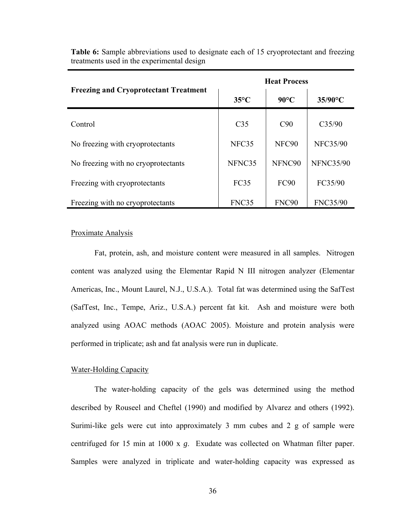|                                              | <b>Heat Process</b> |                   |                  |
|----------------------------------------------|---------------------|-------------------|------------------|
| <b>Freezing and Cryoprotectant Treatment</b> | $35^{\circ}$ C      | $90^{\circ}$ C    | 35/90°C          |
| Control                                      | C <sub>35</sub>     | C90               | C35/90           |
| No freezing with cryoprotectants             | NFC35               | NFC <sub>90</sub> | <b>NFC35/90</b>  |
| No freezing with no cryoprotectants          | NFNC35              | NFNC90            | <b>NFNC35/90</b> |
| Freezing with cryoprotectants                | <b>FC35</b>         | <b>FC90</b>       | FC35/90          |
| Freezing with no cryoprotectants             | FNC35               | FNC <sub>90</sub> | <b>FNC35/90</b>  |

**Table 6:** Sample abbreviations used to designate each of 15 cryoprotectant and freezing treatments used in the experimental design

# Proximate Analysis

 Fat, protein, ash, and moisture content were measured in all samples. Nitrogen content was analyzed using the Elementar Rapid N III nitrogen analyzer (Elementar Americas, Inc., Mount Laurel, N.J., U.S.A.). Total fat was determined using the SafTest (SafTest, Inc., Tempe, Ariz., U.S.A.) percent fat kit. Ash and moisture were both analyzed using AOAC methods (AOAC 2005). Moisture and protein analysis were performed in triplicate; ash and fat analysis were run in duplicate.

# Water-Holding Capacity

 The water-holding capacity of the gels was determined using the method described by Rouseel and Cheftel (1990) and modified by Alvarez and others (1992). Surimi-like gels were cut into approximately 3 mm cubes and 2 g of sample were centrifuged for 15 min at 1000 x *g*. Exudate was collected on Whatman filter paper. Samples were analyzed in triplicate and water-holding capacity was expressed as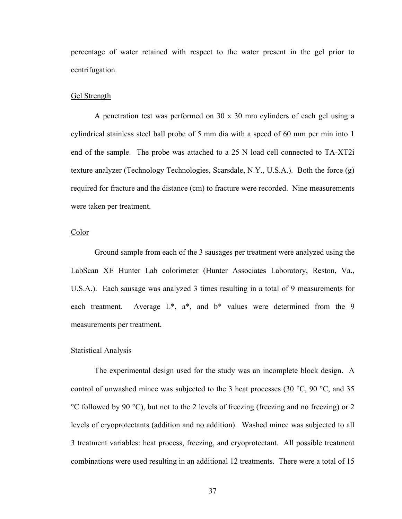percentage of water retained with respect to the water present in the gel prior to centrifugation.

# Gel Strength

 A penetration test was performed on 30 x 30 mm cylinders of each gel using a cylindrical stainless steel ball probe of 5 mm dia with a speed of 60 mm per min into 1 end of the sample. The probe was attached to a 25 N load cell connected to TA-XT2i texture analyzer (Technology Technologies, Scarsdale, N.Y., U.S.A.). Both the force (g) required for fracture and the distance (cm) to fracture were recorded. Nine measurements were taken per treatment.

# Color

 Ground sample from each of the 3 sausages per treatment were analyzed using the LabScan XE Hunter Lab colorimeter (Hunter Associates Laboratory, Reston, Va., U.S.A.). Each sausage was analyzed 3 times resulting in a total of 9 measurements for each treatment. Average  $L^*$ ,  $a^*$ , and  $b^*$  values were determined from the 9 measurements per treatment.

#### Statistical Analysis

 The experimental design used for the study was an incomplete block design. A control of unwashed mince was subjected to the 3 heat processes (30  $^{\circ}$ C, 90  $^{\circ}$ C, and 35 °C followed by 90 °C), but not to the 2 levels of freezing (freezing and no freezing) or 2 levels of cryoprotectants (addition and no addition). Washed mince was subjected to all 3 treatment variables: heat process, freezing, and cryoprotectant. All possible treatment combinations were used resulting in an additional 12 treatments. There were a total of 15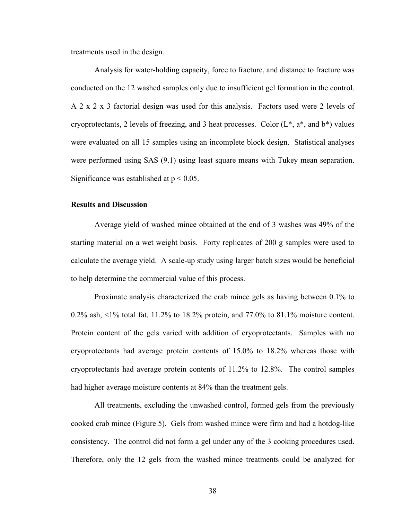treatments used in the design.

 Analysis for water-holding capacity, force to fracture, and distance to fracture was conducted on the 12 washed samples only due to insufficient gel formation in the control. A 2 x 2 x 3 factorial design was used for this analysis. Factors used were 2 levels of cryoprotectants, 2 levels of freezing, and 3 heat processes. Color  $(L^*, a^*, and b^*)$  values were evaluated on all 15 samples using an incomplete block design. Statistical analyses were performed using SAS (9.1) using least square means with Tukey mean separation. Significance was established at  $p < 0.05$ .

#### **Results and Discussion**

 Average yield of washed mince obtained at the end of 3 washes was 49% of the starting material on a wet weight basis. Forty replicates of 200 g samples were used to calculate the average yield. A scale-up study using larger batch sizes would be beneficial to help determine the commercial value of this process.

Proximate analysis characterized the crab mince gels as having between 0.1% to 0.2% ash, <1% total fat, 11.2% to 18.2% protein, and 77.0% to 81.1% moisture content. Protein content of the gels varied with addition of cryoprotectants. Samples with no cryoprotectants had average protein contents of 15.0% to 18.2% whereas those with cryoprotectants had average protein contents of 11.2% to 12.8%. The control samples had higher average moisture contents at 84% than the treatment gels.

 All treatments, excluding the unwashed control, formed gels from the previously cooked crab mince (Figure 5). Gels from washed mince were firm and had a hotdog-like consistency. The control did not form a gel under any of the 3 cooking procedures used. Therefore, only the 12 gels from the washed mince treatments could be analyzed for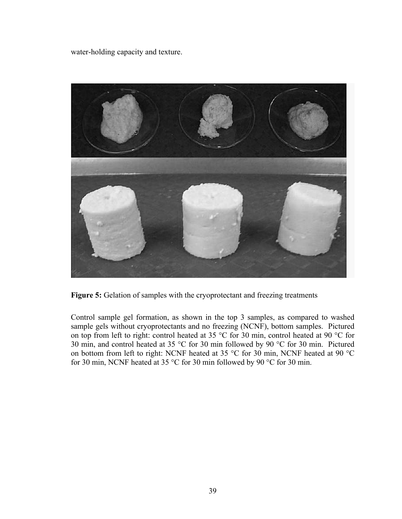water-holding capacity and texture.



**Figure 5:** Gelation of samples with the cryoprotectant and freezing treatments

Control sample gel formation, as shown in the top 3 samples, as compared to washed sample gels without cryoprotectants and no freezing (NCNF), bottom samples. Pictured on top from left to right: control heated at 35 °C for 30 min, control heated at 90 °C for 30 min, and control heated at 35 °C for 30 min followed by 90 °C for 30 min. Pictured on bottom from left to right: NCNF heated at 35 °C for 30 min, NCNF heated at 90 °C for 30 min, NCNF heated at 35 °C for 30 min followed by 90 °C for 30 min.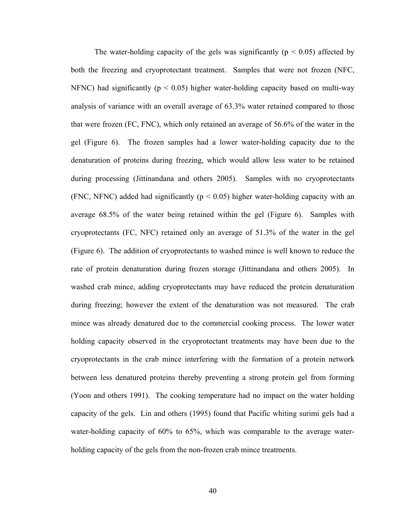The water-holding capacity of the gels was significantly ( $p < 0.05$ ) affected by both the freezing and cryoprotectant treatment. Samples that were not frozen (NFC, NFNC) had significantly ( $p < 0.05$ ) higher water-holding capacity based on multi-way analysis of variance with an overall average of 63.3% water retained compared to those that were frozen (FC, FNC), which only retained an average of 56.6% of the water in the gel (Figure 6). The frozen samples had a lower water-holding capacity due to the denaturation of proteins during freezing, which would allow less water to be retained during processing (Jittinandana and others 2005). Samples with no cryoprotectants (FNC, NFNC) added had significantly ( $p < 0.05$ ) higher water-holding capacity with an average 68.5% of the water being retained within the gel (Figure 6). Samples with cryoprotectants (FC, NFC) retained only an average of 51.3% of the water in the gel (Figure 6). The addition of cryoprotectants to washed mince is well known to reduce the rate of protein denaturation during frozen storage (Jittinandana and others 2005). In washed crab mince, adding cryoprotectants may have reduced the protein denaturation during freezing; however the extent of the denaturation was not measured. The crab mince was already denatured due to the commercial cooking process. The lower water holding capacity observed in the cryoprotectant treatments may have been due to the cryoprotectants in the crab mince interfering with the formation of a protein network between less denatured proteins thereby preventing a strong protein gel from forming (Yoon and others 1991). The cooking temperature had no impact on the water holding capacity of the gels. Lin and others (1995) found that Pacific whiting surimi gels had a water-holding capacity of 60% to 65%, which was comparable to the average waterholding capacity of the gels from the non-frozen crab mince treatments.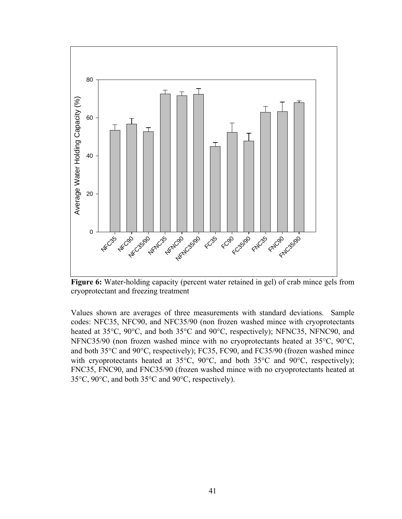

**Figure 6:** Water-holding capacity (percent water retained in gel) of crab mince gels from cryoprotectant and freezing treatment

Values shown are averages of three measurements with standard deviations. Sample codes: NFC35, NFC90, and NFC35/90 (non frozen washed mince with cryoprotectants heated at 35°C, 90°C, and both 35°C and 90°C, respectively); NFNC35, NFNC90, and NFNC35/90 (non frozen washed mince with no cryoprotectants heated at 35°C, 90°C, and both 35°C and 90°C, respectively); FC35, FC90, and FC35/90 (frozen washed mince with cryoprotectants heated at 35°C, 90°C, and both 35°C and 90°C, respectively); FNC35, FNC90, and FNC35/90 (frozen washed mince with no cryoprotectants heated at 35°C, 90°C, and both 35°C and 90°C, respectively).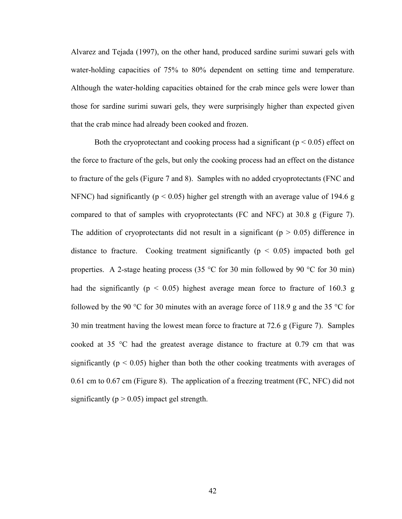Alvarez and Tejada (1997), on the other hand, produced sardine surimi suwari gels with water-holding capacities of 75% to 80% dependent on setting time and temperature. Although the water-holding capacities obtained for the crab mince gels were lower than those for sardine surimi suwari gels, they were surprisingly higher than expected given that the crab mince had already been cooked and frozen.

Both the cryoprotectant and cooking process had a significant ( $p < 0.05$ ) effect on the force to fracture of the gels, but only the cooking process had an effect on the distance to fracture of the gels (Figure 7 and 8). Samples with no added cryoprotectants (FNC and NFNC) had significantly ( $p < 0.05$ ) higher gel strength with an average value of 194.6 g compared to that of samples with cryoprotectants (FC and NFC) at 30.8 g (Figure 7). The addition of cryoprotectants did not result in a significant ( $p > 0.05$ ) difference in distance to fracture. Cooking treatment significantly  $(p < 0.05)$  impacted both gel properties. A 2-stage heating process (35  $\degree$ C for 30 min followed by 90  $\degree$ C for 30 min) had the significantly ( $p < 0.05$ ) highest average mean force to fracture of 160.3 g followed by the 90 °C for 30 minutes with an average force of 118.9 g and the 35 °C for 30 min treatment having the lowest mean force to fracture at 72.6 g (Figure 7). Samples cooked at 35 °C had the greatest average distance to fracture at 0.79 cm that was significantly ( $p < 0.05$ ) higher than both the other cooking treatments with averages of 0.61 cm to 0.67 cm (Figure 8). The application of a freezing treatment (FC, NFC) did not significantly ( $p > 0.05$ ) impact gel strength.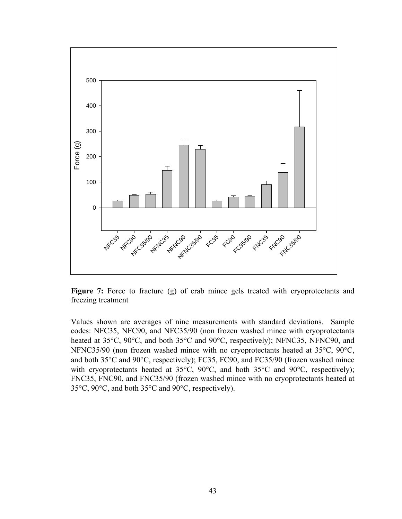

Figure 7: Force to fracture (g) of crab mince gels treated with cryoprotectants and freezing treatment

Values shown are averages of nine measurements with standard deviations. Sample codes: NFC35, NFC90, and NFC35/90 (non frozen washed mince with cryoprotectants heated at 35°C, 90°C, and both 35°C and 90°C, respectively); NFNC35, NFNC90, and NFNC35/90 (non frozen washed mince with no cryoprotectants heated at 35°C, 90°C, and both 35°C and 90°C, respectively); FC35, FC90, and FC35/90 (frozen washed mince with cryoprotectants heated at 35°C, 90°C, and both 35°C and 90°C, respectively); FNC35, FNC90, and FNC35/90 (frozen washed mince with no cryoprotectants heated at 35°C, 90°C, and both 35°C and 90°C, respectively).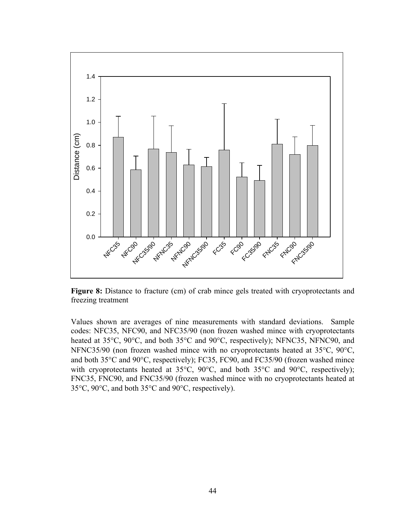

**Figure 8:** Distance to fracture (cm) of crab mince gels treated with cryoprotectants and freezing treatment

Values shown are averages of nine measurements with standard deviations. Sample codes: NFC35, NFC90, and NFC35/90 (non frozen washed mince with cryoprotectants heated at 35°C, 90°C, and both 35°C and 90°C, respectively); NFNC35, NFNC90, and NFNC35/90 (non frozen washed mince with no cryoprotectants heated at 35°C, 90°C, and both 35°C and 90°C, respectively); FC35, FC90, and FC35/90 (frozen washed mince with cryoprotectants heated at 35°C, 90°C, and both 35°C and 90°C, respectively); FNC35, FNC90, and FNC35/90 (frozen washed mince with no cryoprotectants heated at 35°C, 90°C, and both 35°C and 90°C, respectively).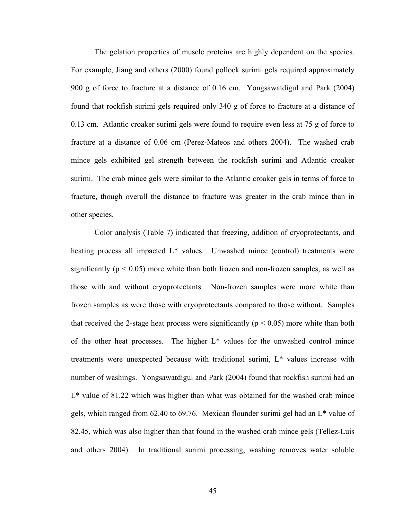The gelation properties of muscle proteins are highly dependent on the species. For example, Jiang and others (2000) found pollock surimi gels required approximately 900 g of force to fracture at a distance of 0.16 cm. Yongsawatdigul and Park (2004) found that rockfish surimi gels required only 340 g of force to fracture at a distance of 0.13 cm. Atlantic croaker surimi gels were found to require even less at 75 g of force to fracture at a distance of 0.06 cm (Perez-Mateos and others 2004). The washed crab mince gels exhibited gel strength between the rockfish surimi and Atlantic croaker surimi. The crab mince gels were similar to the Atlantic croaker gels in terms of force to fracture, though overall the distance to fracture was greater in the crab mince than in other species.

 Color analysis (Table 7) indicated that freezing, addition of cryoprotectants, and heating process all impacted L<sup>\*</sup> values. Unwashed mince (control) treatments were significantly ( $p < 0.05$ ) more white than both frozen and non-frozen samples, as well as those with and without cryoprotectants. Non-frozen samples were more white than frozen samples as were those with cryoprotectants compared to those without. Samples that received the 2-stage heat process were significantly ( $p < 0.05$ ) more white than both of the other heat processes. The higher L\* values for the unwashed control mince treatments were unexpected because with traditional surimi, L\* values increase with number of washings. Yongsawatdigul and Park (2004) found that rockfish surimi had an L\* value of 81.22 which was higher than what was obtained for the washed crab mince gels, which ranged from 62.40 to 69.76. Mexican flounder surimi gel had an L\* value of 82.45, which was also higher than that found in the washed crab mince gels (Tellez-Luis and others 2004). In traditional surimi processing, washing removes water soluble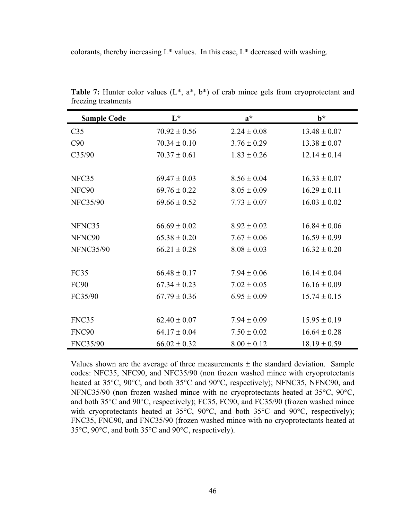colorants, thereby increasing L\* values. In this case, L\* decreased with washing.

| <b>Sample Code</b> | $L^*$            | $a^*$           | $h^*$            |
|--------------------|------------------|-----------------|------------------|
| C <sub>35</sub>    | $70.92 \pm 0.56$ | $2.24 \pm 0.08$ | $13.48 \pm 0.07$ |
| C90                | $70.34 \pm 0.10$ | $3.76 \pm 0.29$ | $13.38 \pm 0.07$ |
| C35/90             | $70.37 \pm 0.61$ | $1.83 \pm 0.26$ | $12.14 \pm 0.14$ |
|                    |                  |                 |                  |
| NFC35              | $69.47 \pm 0.03$ | $8.56 \pm 0.04$ | $16.33 \pm 0.07$ |
| NFC90              | $69.76 \pm 0.22$ | $8.05 \pm 0.09$ | $16.29 \pm 0.11$ |
| <b>NFC35/90</b>    | $69.66 \pm 0.52$ | $7.73 \pm 0.07$ | $16.03 \pm 0.02$ |
|                    |                  |                 |                  |
| NFNC35             | $66.69 \pm 0.02$ | $8.92 \pm 0.02$ | $16.84 \pm 0.06$ |
| NFNC90             | $65.38 \pm 0.20$ | $7.67 \pm 0.06$ | $16.59 \pm 0.99$ |
| <b>NFNC35/90</b>   | $66.21 \pm 0.28$ | $8.08 \pm 0.03$ | $16.32 \pm 0.20$ |
|                    |                  |                 |                  |
| FC35               | $66.48 \pm 0.17$ | $7.94 \pm 0.06$ | $16.14 \pm 0.04$ |
| <b>FC90</b>        | $67.34 \pm 0.23$ | $7.02 \pm 0.05$ | $16.16 \pm 0.09$ |
| FC35/90            | $67.79 \pm 0.36$ | $6.95 \pm 0.09$ | $15.74 \pm 0.15$ |
|                    |                  |                 |                  |
| FNC35              | $62.40 \pm 0.07$ | $7.94 \pm 0.09$ | $15.95 \pm 0.19$ |
| <b>FNC90</b>       | $64.17 \pm 0.04$ | $7.50 \pm 0.02$ | $16.64 \pm 0.28$ |
| FNC35/90           | $66.02 \pm 0.32$ | $8.00 \pm 0.12$ | $18.19 \pm 0.59$ |

Table 7: Hunter color values (L<sup>\*</sup>, a<sup>\*</sup>, b<sup>\*</sup>) of crab mince gels from cryoprotectant and freezing treatments

Values shown are the average of three measurements  $\pm$  the standard deviation. Sample codes: NFC35, NFC90, and NFC35/90 (non frozen washed mince with cryoprotectants heated at 35°C, 90°C, and both 35°C and 90°C, respectively); NFNC35, NFNC90, and NFNC35/90 (non frozen washed mince with no cryoprotectants heated at 35°C, 90°C, and both 35°C and 90°C, respectively); FC35, FC90, and FC35/90 (frozen washed mince with cryoprotectants heated at 35°C, 90°C, and both 35°C and 90°C, respectively); FNC35, FNC90, and FNC35/90 (frozen washed mince with no cryoprotectants heated at 35°C, 90°C, and both 35°C and 90°C, respectively).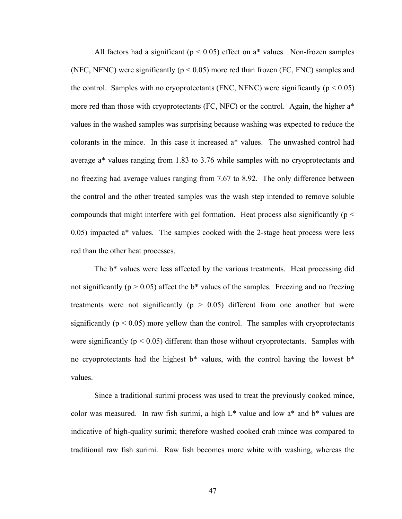All factors had a significant ( $p < 0.05$ ) effect on a\* values. Non-frozen samples (NFC, NFNC) were significantly ( $p < 0.05$ ) more red than frozen (FC, FNC) samples and the control. Samples with no cryoprotectants (FNC, NFNC) were significantly ( $p < 0.05$ ) more red than those with cryoprotectants (FC, NFC) or the control. Again, the higher  $a^*$ values in the washed samples was surprising because washing was expected to reduce the colorants in the mince. In this case it increased a\* values. The unwashed control had average a\* values ranging from 1.83 to 3.76 while samples with no cryoprotectants and no freezing had average values ranging from 7.67 to 8.92. The only difference between the control and the other treated samples was the wash step intended to remove soluble compounds that might interfere with gel formation. Heat process also significantly ( $p <$ 0.05) impacted a\* values. The samples cooked with the 2-stage heat process were less red than the other heat processes.

 The b\* values were less affected by the various treatments. Heat processing did not significantly ( $p > 0.05$ ) affect the b\* values of the samples. Freezing and no freezing treatments were not significantly ( $p > 0.05$ ) different from one another but were significantly ( $p < 0.05$ ) more yellow than the control. The samples with cryoprotectants were significantly ( $p < 0.05$ ) different than those without cryoprotectants. Samples with no cryoprotectants had the highest  $b^*$  values, with the control having the lowest  $b^*$ values.

 Since a traditional surimi process was used to treat the previously cooked mince, color was measured. In raw fish surimi, a high  $L^*$  value and low  $a^*$  and  $b^*$  values are indicative of high-quality surimi; therefore washed cooked crab mince was compared to traditional raw fish surimi. Raw fish becomes more white with washing, whereas the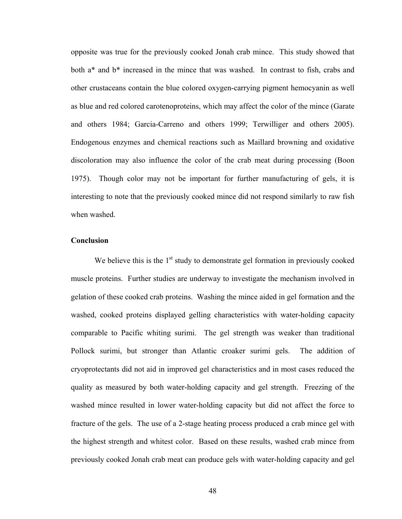opposite was true for the previously cooked Jonah crab mince. This study showed that both a\* and b\* increased in the mince that was washed. In contrast to fish, crabs and other crustaceans contain the blue colored oxygen-carrying pigment hemocyanin as well as blue and red colored carotenoproteins, which may affect the color of the mince (Garate and others 1984; Garcia-Carreno and others 1999; Terwilliger and others 2005). Endogenous enzymes and chemical reactions such as Maillard browning and oxidative discoloration may also influence the color of the crab meat during processing (Boon 1975). Though color may not be important for further manufacturing of gels, it is interesting to note that the previously cooked mince did not respond similarly to raw fish when washed.

# **Conclusion**

We believe this is the  $1<sup>st</sup>$  study to demonstrate gel formation in previously cooked muscle proteins. Further studies are underway to investigate the mechanism involved in gelation of these cooked crab proteins. Washing the mince aided in gel formation and the washed, cooked proteins displayed gelling characteristics with water-holding capacity comparable to Pacific whiting surimi. The gel strength was weaker than traditional Pollock surimi, but stronger than Atlantic croaker surimi gels. The addition of cryoprotectants did not aid in improved gel characteristics and in most cases reduced the quality as measured by both water-holding capacity and gel strength. Freezing of the washed mince resulted in lower water-holding capacity but did not affect the force to fracture of the gels. The use of a 2-stage heating process produced a crab mince gel with the highest strength and whitest color. Based on these results, washed crab mince from previously cooked Jonah crab meat can produce gels with water-holding capacity and gel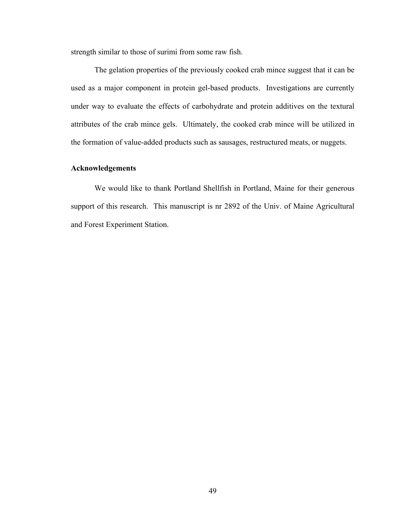strength similar to those of surimi from some raw fish.

 The gelation properties of the previously cooked crab mince suggest that it can be used as a major component in protein gel-based products. Investigations are currently under way to evaluate the effects of carbohydrate and protein additives on the textural attributes of the crab mince gels. Ultimately, the cooked crab mince will be utilized in the formation of value-added products such as sausages, restructured meats, or nuggets.

#### **Acknowledgements**

 We would like to thank Portland Shellfish in Portland, Maine for their generous support of this research. This manuscript is nr 2892 of the Univ. of Maine Agricultural and Forest Experiment Station.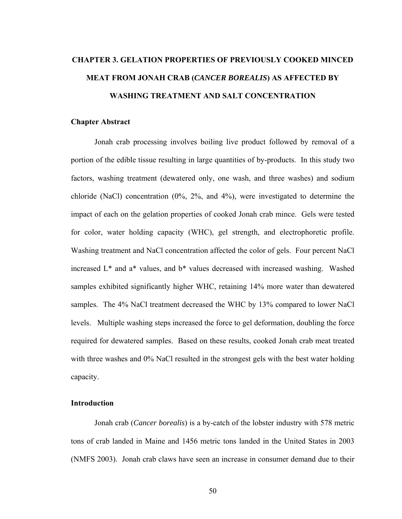# **CHAPTER 3. GELATION PROPERTIES OF PREVIOUSLY COOKED MINCED MEAT FROM JONAH CRAB (***CANCER BOREALIS***) AS AFFECTED BY WASHING TREATMENT AND SALT CONCENTRATION**

#### **Chapter Abstract**

 Jonah crab processing involves boiling live product followed by removal of a portion of the edible tissue resulting in large quantities of by-products. In this study two factors, washing treatment (dewatered only, one wash, and three washes) and sodium chloride (NaCl) concentration (0%, 2%, and 4%), were investigated to determine the impact of each on the gelation properties of cooked Jonah crab mince. Gels were tested for color, water holding capacity (WHC), gel strength, and electrophoretic profile. Washing treatment and NaCl concentration affected the color of gels. Four percent NaCl increased L\* and a\* values, and b\* values decreased with increased washing. Washed samples exhibited significantly higher WHC, retaining 14% more water than dewatered samples. The 4% NaCl treatment decreased the WHC by 13% compared to lower NaCl levels. Multiple washing steps increased the force to gel deformation, doubling the force required for dewatered samples. Based on these results, cooked Jonah crab meat treated with three washes and 0% NaCl resulted in the strongest gels with the best water holding capacity.

#### **Introduction**

 Jonah crab (*Cancer borealis*) is a by-catch of the lobster industry with 578 metric tons of crab landed in Maine and 1456 metric tons landed in the United States in 2003 (NMFS 2003). Jonah crab claws have seen an increase in consumer demand due to their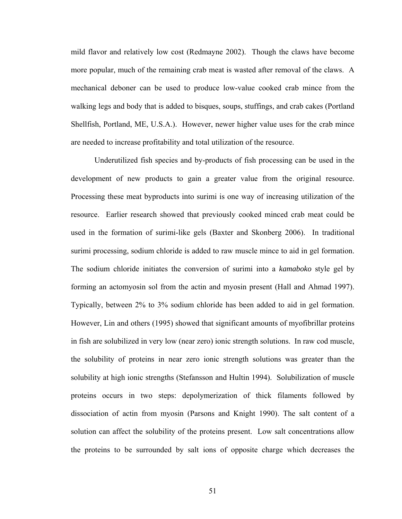mild flavor and relatively low cost (Redmayne 2002). Though the claws have become more popular, much of the remaining crab meat is wasted after removal of the claws. A mechanical deboner can be used to produce low-value cooked crab mince from the walking legs and body that is added to bisques, soups, stuffings, and crab cakes (Portland Shellfish, Portland, ME, U.S.A.). However, newer higher value uses for the crab mince are needed to increase profitability and total utilization of the resource.

 Underutilized fish species and by-products of fish processing can be used in the development of new products to gain a greater value from the original resource. Processing these meat byproducts into surimi is one way of increasing utilization of the resource. Earlier research showed that previously cooked minced crab meat could be used in the formation of surimi-like gels (Baxter and Skonberg 2006). In traditional surimi processing, sodium chloride is added to raw muscle mince to aid in gel formation. The sodium chloride initiates the conversion of surimi into a *kamaboko* style gel by forming an actomyosin sol from the actin and myosin present (Hall and Ahmad 1997). Typically, between 2% to 3% sodium chloride has been added to aid in gel formation. However, Lin and others (1995) showed that significant amounts of myofibrillar proteins in fish are solubilized in very low (near zero) ionic strength solutions. In raw cod muscle, the solubility of proteins in near zero ionic strength solutions was greater than the solubility at high ionic strengths (Stefansson and Hultin 1994). Solubilization of muscle proteins occurs in two steps: depolymerization of thick filaments followed by dissociation of actin from myosin (Parsons and Knight 1990). The salt content of a solution can affect the solubility of the proteins present. Low salt concentrations allow the proteins to be surrounded by salt ions of opposite charge which decreases the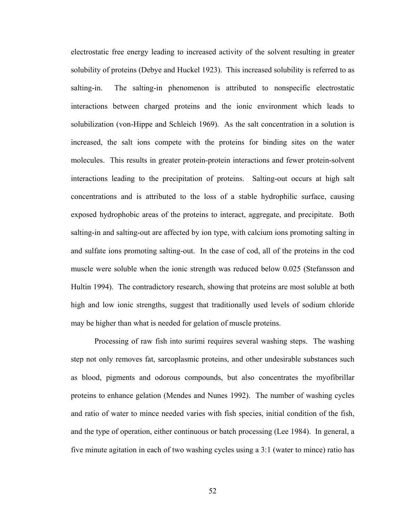electrostatic free energy leading to increased activity of the solvent resulting in greater solubility of proteins (Debye and Huckel 1923). This increased solubility is referred to as salting-in. The salting-in phenomenon is attributed to nonspecific electrostatic interactions between charged proteins and the ionic environment which leads to solubilization (von-Hippe and Schleich 1969). As the salt concentration in a solution is increased, the salt ions compete with the proteins for binding sites on the water molecules. This results in greater protein-protein interactions and fewer protein-solvent interactions leading to the precipitation of proteins. Salting-out occurs at high salt concentrations and is attributed to the loss of a stable hydrophilic surface, causing exposed hydrophobic areas of the proteins to interact, aggregate, and precipitate. Both salting-in and salting-out are affected by ion type, with calcium ions promoting salting in and sulfate ions promoting salting-out. In the case of cod, all of the proteins in the cod muscle were soluble when the ionic strength was reduced below 0.025 (Stefansson and Hultin 1994). The contradictory research, showing that proteins are most soluble at both high and low ionic strengths, suggest that traditionally used levels of sodium chloride may be higher than what is needed for gelation of muscle proteins.

 Processing of raw fish into surimi requires several washing steps. The washing step not only removes fat, sarcoplasmic proteins, and other undesirable substances such as blood, pigments and odorous compounds, but also concentrates the myofibrillar proteins to enhance gelation (Mendes and Nunes 1992). The number of washing cycles and ratio of water to mince needed varies with fish species, initial condition of the fish, and the type of operation, either continuous or batch processing (Lee 1984). In general, a five minute agitation in each of two washing cycles using a 3:1 (water to mince) ratio has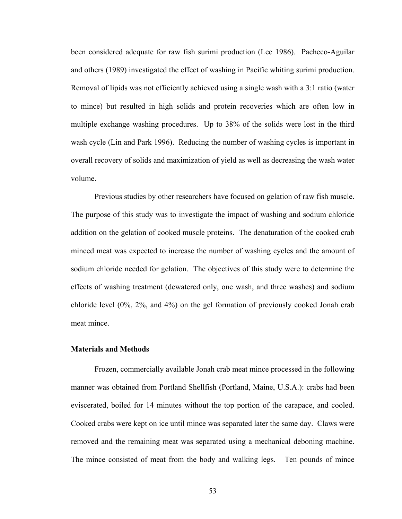been considered adequate for raw fish surimi production (Lee 1986). Pacheco-Aguilar and others (1989) investigated the effect of washing in Pacific whiting surimi production. Removal of lipids was not efficiently achieved using a single wash with a 3:1 ratio (water to mince) but resulted in high solids and protein recoveries which are often low in multiple exchange washing procedures. Up to 38% of the solids were lost in the third wash cycle (Lin and Park 1996). Reducing the number of washing cycles is important in overall recovery of solids and maximization of yield as well as decreasing the wash water volume.

 Previous studies by other researchers have focused on gelation of raw fish muscle. The purpose of this study was to investigate the impact of washing and sodium chloride addition on the gelation of cooked muscle proteins. The denaturation of the cooked crab minced meat was expected to increase the number of washing cycles and the amount of sodium chloride needed for gelation. The objectives of this study were to determine the effects of washing treatment (dewatered only, one wash, and three washes) and sodium chloride level (0%, 2%, and 4%) on the gel formation of previously cooked Jonah crab meat mince.

#### **Materials and Methods**

 Frozen, commercially available Jonah crab meat mince processed in the following manner was obtained from Portland Shellfish (Portland, Maine, U.S.A.): crabs had been eviscerated, boiled for 14 minutes without the top portion of the carapace, and cooled. Cooked crabs were kept on ice until mince was separated later the same day. Claws were removed and the remaining meat was separated using a mechanical deboning machine. The mince consisted of meat from the body and walking legs. Ten pounds of mince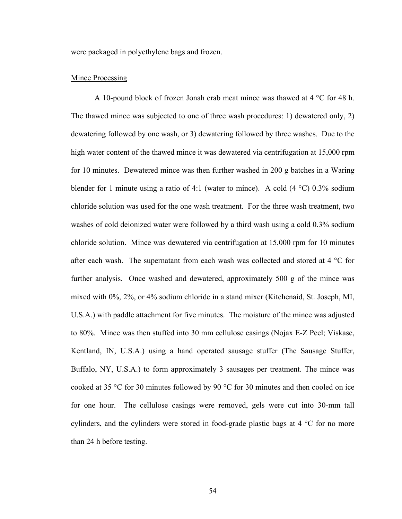were packaged in polyethylene bags and frozen.

#### **Mince Processing**

 A 10-pound block of frozen Jonah crab meat mince was thawed at 4 °C for 48 h. The thawed mince was subjected to one of three wash procedures: 1) dewatered only, 2) dewatering followed by one wash, or 3) dewatering followed by three washes. Due to the high water content of the thawed mince it was dewatered via centrifugation at 15,000 rpm for 10 minutes. Dewatered mince was then further washed in 200 g batches in a Waring blender for 1 minute using a ratio of 4:1 (water to mince). A cold  $(4 °C)$  0.3% sodium chloride solution was used for the one wash treatment. For the three wash treatment, two washes of cold deionized water were followed by a third wash using a cold 0.3% sodium chloride solution. Mince was dewatered via centrifugation at 15,000 rpm for 10 minutes after each wash. The supernatant from each wash was collected and stored at 4 °C for further analysis. Once washed and dewatered, approximately 500 g of the mince was mixed with 0%, 2%, or 4% sodium chloride in a stand mixer (Kitchenaid, St. Joseph, MI, U.S.A.) with paddle attachment for five minutes. The moisture of the mince was adjusted to 80%. Mince was then stuffed into 30 mm cellulose casings (Nojax E-Z Peel; Viskase, Kentland, IN, U.S.A.) using a hand operated sausage stuffer (The Sausage Stuffer, Buffalo, NY, U.S.A.) to form approximately 3 sausages per treatment. The mince was cooked at 35 °C for 30 minutes followed by 90 °C for 30 minutes and then cooled on ice for one hour. The cellulose casings were removed, gels were cut into 30-mm tall cylinders, and the cylinders were stored in food-grade plastic bags at  $4 \degree C$  for no more than 24 h before testing.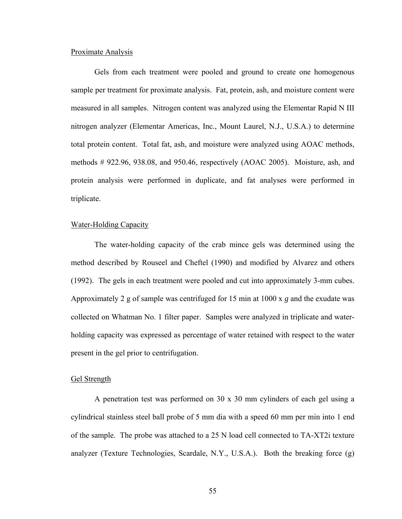#### Proximate Analysis

 Gels from each treatment were pooled and ground to create one homogenous sample per treatment for proximate analysis. Fat, protein, ash, and moisture content were measured in all samples. Nitrogen content was analyzed using the Elementar Rapid N III nitrogen analyzer (Elementar Americas, Inc., Mount Laurel, N.J., U.S.A.) to determine total protein content. Total fat, ash, and moisture were analyzed using AOAC methods, methods # 922.96, 938.08, and 950.46, respectively (AOAC 2005). Moisture, ash, and protein analysis were performed in duplicate, and fat analyses were performed in triplicate.

## Water-Holding Capacity

 The water-holding capacity of the crab mince gels was determined using the method described by Rouseel and Cheftel (1990) and modified by Alvarez and others (1992). The gels in each treatment were pooled and cut into approximately 3-mm cubes. Approximately 2 g of sample was centrifuged for 15 min at 1000 x *g* and the exudate was collected on Whatman No. 1 filter paper. Samples were analyzed in triplicate and waterholding capacity was expressed as percentage of water retained with respect to the water present in the gel prior to centrifugation.

#### Gel Strength

 A penetration test was performed on 30 x 30 mm cylinders of each gel using a cylindrical stainless steel ball probe of 5 mm dia with a speed 60 mm per min into 1 end of the sample. The probe was attached to a 25 N load cell connected to TA-XT2i texture analyzer (Texture Technologies, Scardale, N.Y., U.S.A.). Both the breaking force (g)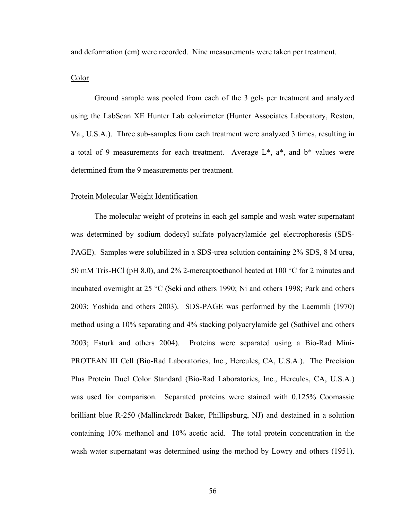and deformation (cm) were recorded. Nine measurements were taken per treatment.

### Color

 Ground sample was pooled from each of the 3 gels per treatment and analyzed using the LabScan XE Hunter Lab colorimeter (Hunter Associates Laboratory, Reston, Va., U.S.A.). Three sub-samples from each treatment were analyzed 3 times, resulting in a total of 9 measurements for each treatment. Average  $L^*$ ,  $a^*$ , and  $b^*$  values were determined from the 9 measurements per treatment.

#### Protein Molecular Weight Identification

 The molecular weight of proteins in each gel sample and wash water supernatant was determined by sodium dodecyl sulfate polyacrylamide gel electrophoresis (SDS-PAGE). Samples were solubilized in a SDS-urea solution containing 2% SDS, 8 M urea, 50 mM Tris-HCl (pH 8.0), and 2% 2-mercaptoethanol heated at 100 °C for 2 minutes and incubated overnight at 25 °C (Seki and others 1990; Ni and others 1998; Park and others 2003; Yoshida and others 2003). SDS-PAGE was performed by the Laemmli (1970) method using a 10% separating and 4% stacking polyacrylamide gel (Sathivel and others 2003; Esturk and others 2004). Proteins were separated using a Bio-Rad Mini-PROTEAN III Cell (Bio-Rad Laboratories, Inc., Hercules, CA, U.S.A.). The Precision Plus Protein Duel Color Standard (Bio-Rad Laboratories, Inc., Hercules, CA, U.S.A.) was used for comparison. Separated proteins were stained with 0.125% Coomassie brilliant blue R-250 (Mallinckrodt Baker, Phillipsburg, NJ) and destained in a solution containing 10% methanol and 10% acetic acid. The total protein concentration in the wash water supernatant was determined using the method by Lowry and others (1951).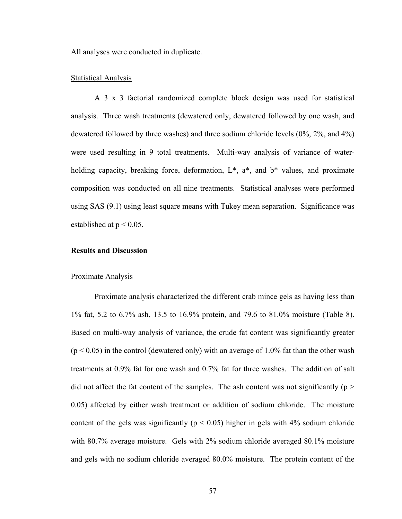All analyses were conducted in duplicate.

#### Statistical Analysis

 A 3 x 3 factorial randomized complete block design was used for statistical analysis. Three wash treatments (dewatered only, dewatered followed by one wash, and dewatered followed by three washes) and three sodium chloride levels (0%, 2%, and 4%) were used resulting in 9 total treatments. Multi-way analysis of variance of waterholding capacity, breaking force, deformation,  $L^*$ ,  $a^*$ , and  $b^*$  values, and proximate composition was conducted on all nine treatments. Statistical analyses were performed using SAS (9.1) using least square means with Tukey mean separation. Significance was established at  $p < 0.05$ .

# **Results and Discussion**

#### Proximate Analysis

 Proximate analysis characterized the different crab mince gels as having less than 1% fat, 5.2 to 6.7% ash, 13.5 to 16.9% protein, and 79.6 to 81.0% moisture (Table 8). Based on multi-way analysis of variance, the crude fat content was significantly greater  $(p < 0.05)$  in the control (dewatered only) with an average of 1.0% fat than the other wash treatments at 0.9% fat for one wash and 0.7% fat for three washes. The addition of salt did not affect the fat content of the samples. The ash content was not significantly ( $p >$ 0.05) affected by either wash treatment or addition of sodium chloride. The moisture content of the gels was significantly ( $p < 0.05$ ) higher in gels with 4% sodium chloride with 80.7% average moisture. Gels with 2% sodium chloride averaged 80.1% moisture and gels with no sodium chloride averaged 80.0% moisture. The protein content of the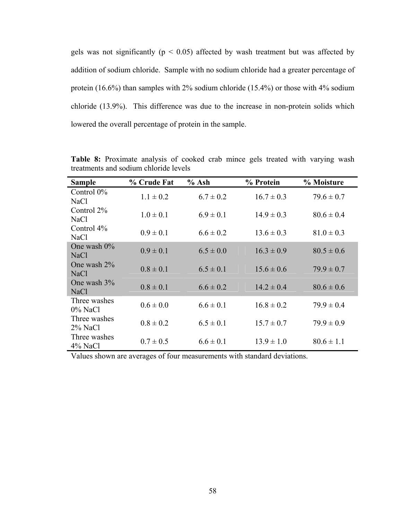gels was not significantly ( $p < 0.05$ ) affected by wash treatment but was affected by addition of sodium chloride. Sample with no sodium chloride had a greater percentage of protein (16.6%) than samples with 2% sodium chloride (15.4%) or those with 4% sodium chloride (13.9%). This difference was due to the increase in non-protein solids which lowered the overall percentage of protein in the sample.

| <b>Sample</b>                | % Crude Fat   | $%$ Ash       | % Protein      | % Moisture     |
|------------------------------|---------------|---------------|----------------|----------------|
| Control $0\%$<br>NaCl        | $1.1 \pm 0.2$ | $6.7 \pm 0.2$ | $16.7 \pm 0.3$ | $79.6 \pm 0.7$ |
| Control $2\%$<br><b>NaCl</b> | $1.0 \pm 0.1$ | $6.9 \pm 0.1$ | $14.9 \pm 0.3$ | $80.6 \pm 0.4$ |
| Control $4\%$<br><b>NaCl</b> | $0.9 \pm 0.1$ | $6.6 \pm 0.2$ | $13.6 \pm 0.3$ | $81.0 \pm 0.3$ |
| One wash $0\%$<br>NaCl       | $0.9 \pm 0.1$ | $6.5 \pm 0.0$ | $16.3 \pm 0.9$ | $80.5 \pm 0.6$ |
| One wash 2%<br>NaCl          | $0.8 \pm 0.1$ | $6.5 \pm 0.1$ | $15.6 \pm 0.6$ | $79.9 \pm 0.7$ |
| One wash 3%<br><b>NaCl</b>   | $0.8 \pm 0.1$ | $6.6 \pm 0.2$ | $14.2 \pm 0.4$ | $80.6 \pm 0.6$ |
| Three washes<br>$0\%$ NaCl   | $0.6 \pm 0.0$ | $6.6 \pm 0.1$ | $16.8 \pm 0.2$ | $79.9 \pm 0.4$ |
| Three washes<br>$2\%$ NaCl   | $0.8 \pm 0.2$ | $6.5 \pm 0.1$ | $15.7 \pm 0.7$ | $79.9 \pm 0.9$ |
| Three washes<br>4% NaCl      | $0.7 \pm 0.5$ | $6.6 \pm 0.1$ | $13.9 \pm 1.0$ | $80.6 \pm 1.1$ |

**Table 8:** Proximate analysis of cooked crab mince gels treated with varying wash treatments and sodium chloride levels

Values shown are averages of four measurements with standard deviations.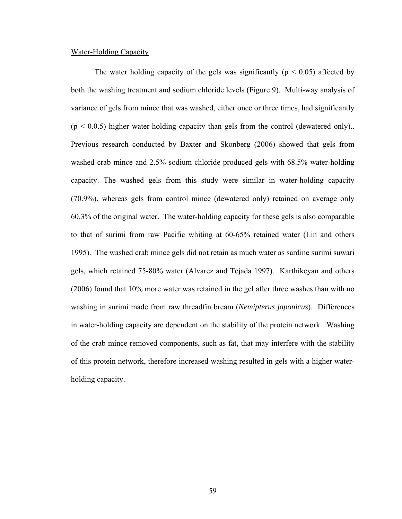### Water-Holding Capacity

The water holding capacity of the gels was significantly ( $p < 0.05$ ) affected by both the washing treatment and sodium chloride levels (Figure 9). Multi-way analysis of variance of gels from mince that was washed, either once or three times, had significantly  $(p < 0.0.5)$  higher water-holding capacity than gels from the control (dewatered only).. Previous research conducted by Baxter and Skonberg (2006) showed that gels from washed crab mince and 2.5% sodium chloride produced gels with 68.5% water-holding capacity. The washed gels from this study were similar in water-holding capacity (70.9%), whereas gels from control mince (dewatered only) retained on average only 60.3% of the original water. The water-holding capacity for these gels is also comparable to that of surimi from raw Pacific whiting at 60-65% retained water (Lin and others 1995). The washed crab mince gels did not retain as much water as sardine surimi suwari gels, which retained 75-80% water (Alvarez and Tejada 1997). Karthikeyan and others (2006) found that 10% more water was retained in the gel after three washes than with no washing in surimi made from raw threadfin bream (*Nemipterus japonicus*). Differences in water-holding capacity are dependent on the stability of the protein network. Washing of the crab mince removed components, such as fat, that may interfere with the stability of this protein network, therefore increased washing resulted in gels with a higher waterholding capacity.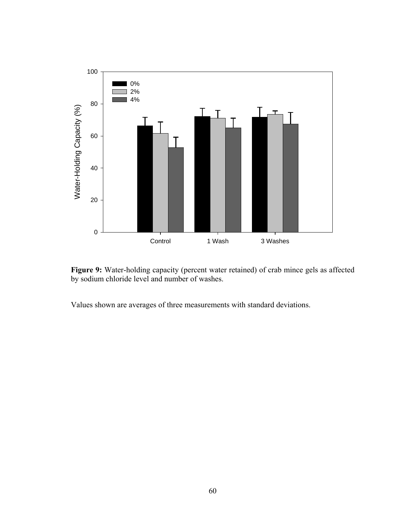



Values shown are averages of three measurements with standard deviations.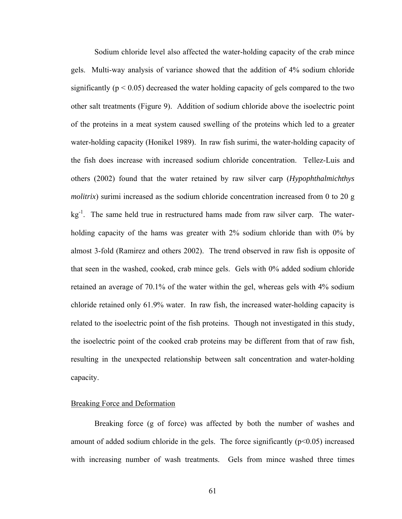Sodium chloride level also affected the water-holding capacity of the crab mince gels. Multi-way analysis of variance showed that the addition of 4% sodium chloride significantly ( $p < 0.05$ ) decreased the water holding capacity of gels compared to the two other salt treatments (Figure 9). Addition of sodium chloride above the isoelectric point of the proteins in a meat system caused swelling of the proteins which led to a greater water-holding capacity (Honikel 1989). In raw fish surimi, the water-holding capacity of the fish does increase with increased sodium chloride concentration. Tellez-Luis and others (2002) found that the water retained by raw silver carp (*Hypophthalmichthys molitrix*) surimi increased as the sodium chloride concentration increased from 0 to 20 g  $kg<sup>-1</sup>$ . The same held true in restructured hams made from raw silver carp. The waterholding capacity of the hams was greater with 2% sodium chloride than with 0% by almost 3-fold (Ramirez and others 2002). The trend observed in raw fish is opposite of that seen in the washed, cooked, crab mince gels. Gels with 0% added sodium chloride retained an average of 70.1% of the water within the gel, whereas gels with 4% sodium chloride retained only 61.9% water. In raw fish, the increased water-holding capacity is related to the isoelectric point of the fish proteins. Though not investigated in this study, the isoelectric point of the cooked crab proteins may be different from that of raw fish, resulting in the unexpected relationship between salt concentration and water-holding capacity.

## Breaking Force and Deformation

 Breaking force (g of force) was affected by both the number of washes and amount of added sodium chloride in the gels. The force significantly  $(p<0.05)$  increased with increasing number of wash treatments. Gels from mince washed three times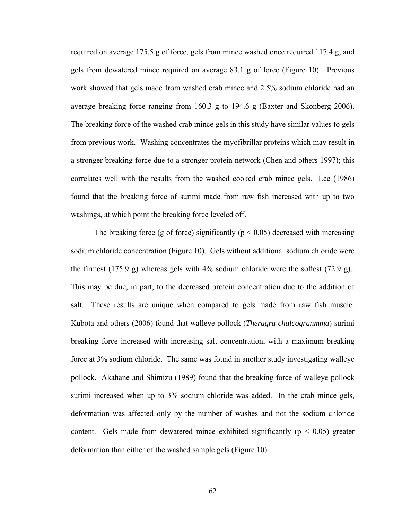required on average 175.5 g of force, gels from mince washed once required 117.4 g, and gels from dewatered mince required on average 83.1 g of force (Figure 10). Previous work showed that gels made from washed crab mince and 2.5% sodium chloride had an average breaking force ranging from 160.3 g to 194.6 g (Baxter and Skonberg 2006). The breaking force of the washed crab mince gels in this study have similar values to gels from previous work. Washing concentrates the myofibrillar proteins which may result in a stronger breaking force due to a stronger protein network (Chen and others 1997); this correlates well with the results from the washed cooked crab mince gels. Lee (1986) found that the breaking force of surimi made from raw fish increased with up to two washings, at which point the breaking force leveled off.

The breaking force (g of force) significantly ( $p < 0.05$ ) decreased with increasing sodium chloride concentration (Figure 10). Gels without additional sodium chloride were the firmest  $(175.9 \text{ g})$  whereas gels with  $4\%$  sodium chloride were the softest  $(72.9 \text{ g})$ . This may be due, in part, to the decreased protein concentration due to the addition of salt. These results are unique when compared to gels made from raw fish muscle. Kubota and others (2006) found that walleye pollock (*Theragra chalcogranmma*) surimi breaking force increased with increasing salt concentration, with a maximum breaking force at 3% sodium chloride. The same was found in another study investigating walleye pollock. Akahane and Shimizu (1989) found that the breaking force of walleye pollock surimi increased when up to 3% sodium chloride was added. In the crab mince gels, deformation was affected only by the number of washes and not the sodium chloride content. Gels made from dewatered mince exhibited significantly ( $p < 0.05$ ) greater deformation than either of the washed sample gels (Figure 10).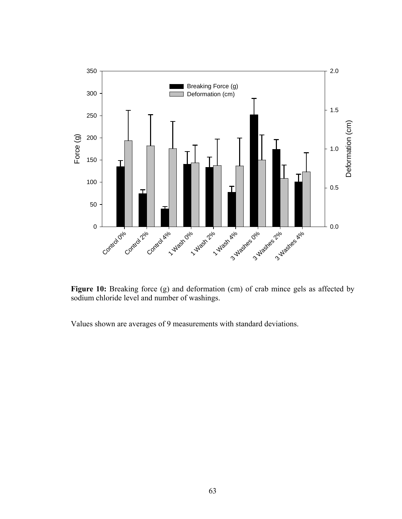

Figure 10: Breaking force (g) and deformation (cm) of crab mince gels as affected by sodium chloride level and number of washings.

Values shown are averages of 9 measurements with standard deviations.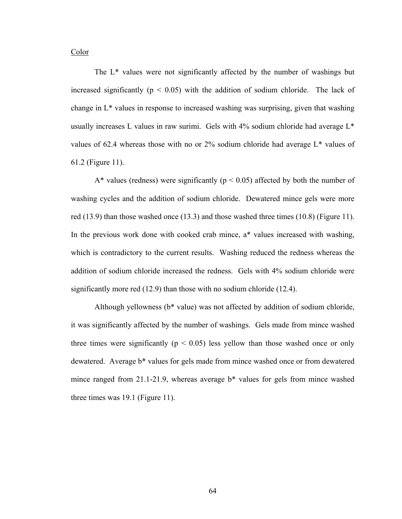Color

 The L\* values were not significantly affected by the number of washings but increased significantly ( $p < 0.05$ ) with the addition of sodium chloride. The lack of change in L\* values in response to increased washing was surprising, given that washing usually increases L values in raw surimi. Gels with 4% sodium chloride had average L\* values of 62.4 whereas those with no or  $2\%$  sodium chloride had average  $L^*$  values of 61.2 (Figure 11).

A\* values (redness) were significantly ( $p < 0.05$ ) affected by both the number of washing cycles and the addition of sodium chloride. Dewatered mince gels were more red  $(13.9)$  than those washed once  $(13.3)$  and those washed three times  $(10.8)$  (Figure 11). In the previous work done with cooked crab mince, a\* values increased with washing, which is contradictory to the current results. Washing reduced the redness whereas the addition of sodium chloride increased the redness. Gels with 4% sodium chloride were significantly more red (12.9) than those with no sodium chloride (12.4).

 Although yellowness (b\* value) was not affected by addition of sodium chloride, it was significantly affected by the number of washings. Gels made from mince washed three times were significantly ( $p < 0.05$ ) less yellow than those washed once or only dewatered. Average b\* values for gels made from mince washed once or from dewatered mince ranged from 21.1-21.9, whereas average b\* values for gels from mince washed three times was 19.1 (Figure 11).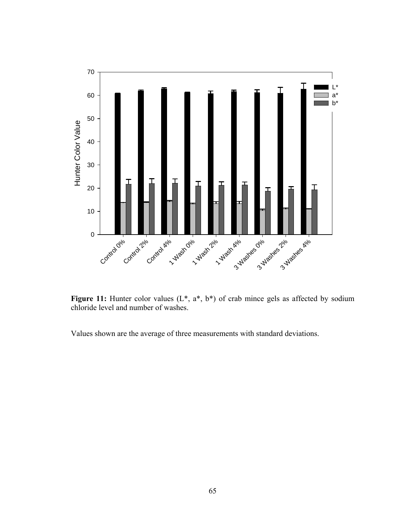

Figure 11: Hunter color values (L<sup>\*</sup>, a<sup>\*</sup>, b<sup>\*</sup>) of crab mince gels as affected by sodium chloride level and number of washes.

Values shown are the average of three measurements with standard deviations.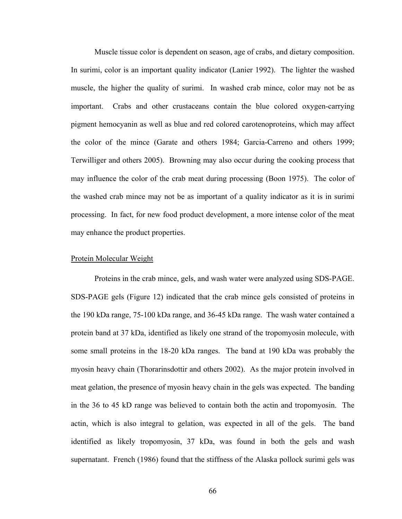Muscle tissue color is dependent on season, age of crabs, and dietary composition. In surimi, color is an important quality indicator (Lanier 1992). The lighter the washed muscle, the higher the quality of surimi. In washed crab mince, color may not be as important. Crabs and other crustaceans contain the blue colored oxygen-carrying pigment hemocyanin as well as blue and red colored carotenoproteins, which may affect the color of the mince (Garate and others 1984; Garcia-Carreno and others 1999; Terwilliger and others 2005). Browning may also occur during the cooking process that may influence the color of the crab meat during processing (Boon 1975). The color of the washed crab mince may not be as important of a quality indicator as it is in surimi processing. In fact, for new food product development, a more intense color of the meat may enhance the product properties.

#### Protein Molecular Weight

 Proteins in the crab mince, gels, and wash water were analyzed using SDS-PAGE. SDS-PAGE gels (Figure 12) indicated that the crab mince gels consisted of proteins in the 190 kDa range, 75-100 kDa range, and 36-45 kDa range. The wash water contained a protein band at 37 kDa, identified as likely one strand of the tropomyosin molecule, with some small proteins in the 18-20 kDa ranges. The band at 190 kDa was probably the myosin heavy chain (Thorarinsdottir and others 2002). As the major protein involved in meat gelation, the presence of myosin heavy chain in the gels was expected. The banding in the 36 to 45 kD range was believed to contain both the actin and tropomyosin. The actin, which is also integral to gelation, was expected in all of the gels. The band identified as likely tropomyosin, 37 kDa, was found in both the gels and wash supernatant. French (1986) found that the stiffness of the Alaska pollock surimi gels was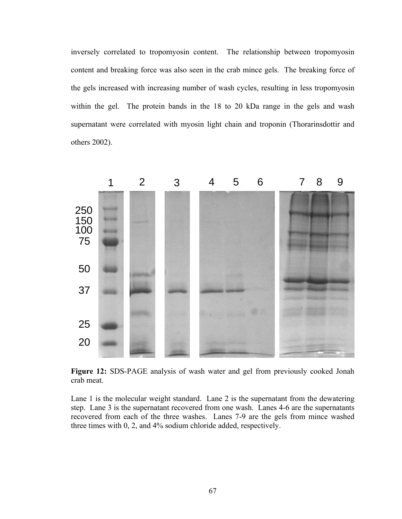inversely correlated to tropomyosin content. The relationship between tropomyosin content and breaking force was also seen in the crab mince gels. The breaking force of the gels increased with increasing number of wash cycles, resulting in less tropomyosin within the gel. The protein bands in the 18 to 20 kDa range in the gels and wash supernatant were correlated with myosin light chain and troponin (Thorarinsdottir and others 2002).



**Figure 12:** SDS-PAGE analysis of wash water and gel from previously cooked Jonah crab meat.

Lane 1 is the molecular weight standard. Lane 2 is the supernatant from the dewatering step. Lane 3 is the supernatant recovered from one wash. Lanes 4-6 are the supernatants recovered from each of the three washes. Lanes 7-9 are the gels from mince washed three times with 0, 2, and 4% sodium chloride added, respectively.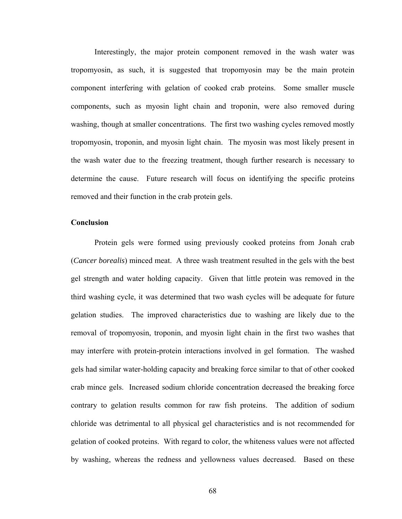Interestingly, the major protein component removed in the wash water was tropomyosin, as such, it is suggested that tropomyosin may be the main protein component interfering with gelation of cooked crab proteins. Some smaller muscle components, such as myosin light chain and troponin, were also removed during washing, though at smaller concentrations. The first two washing cycles removed mostly tropomyosin, troponin, and myosin light chain. The myosin was most likely present in the wash water due to the freezing treatment, though further research is necessary to determine the cause. Future research will focus on identifying the specific proteins removed and their function in the crab protein gels.

#### **Conclusion**

 Protein gels were formed using previously cooked proteins from Jonah crab (*Cancer borealis*) minced meat. A three wash treatment resulted in the gels with the best gel strength and water holding capacity. Given that little protein was removed in the third washing cycle, it was determined that two wash cycles will be adequate for future gelation studies. The improved characteristics due to washing are likely due to the removal of tropomyosin, troponin, and myosin light chain in the first two washes that may interfere with protein-protein interactions involved in gel formation. The washed gels had similar water-holding capacity and breaking force similar to that of other cooked crab mince gels. Increased sodium chloride concentration decreased the breaking force contrary to gelation results common for raw fish proteins. The addition of sodium chloride was detrimental to all physical gel characteristics and is not recommended for gelation of cooked proteins. With regard to color, the whiteness values were not affected by washing, whereas the redness and yellowness values decreased. Based on these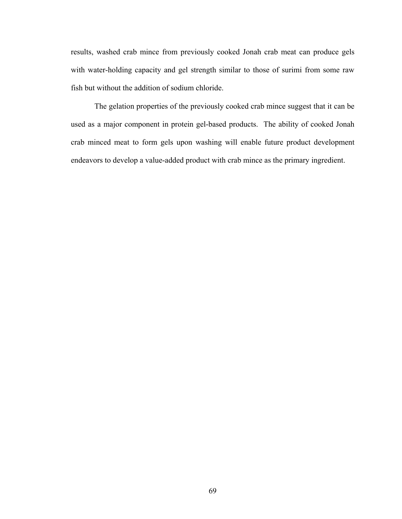results, washed crab mince from previously cooked Jonah crab meat can produce gels with water-holding capacity and gel strength similar to those of surimi from some raw fish but without the addition of sodium chloride.

 The gelation properties of the previously cooked crab mince suggest that it can be used as a major component in protein gel-based products. The ability of cooked Jonah crab minced meat to form gels upon washing will enable future product development endeavors to develop a value-added product with crab mince as the primary ingredient.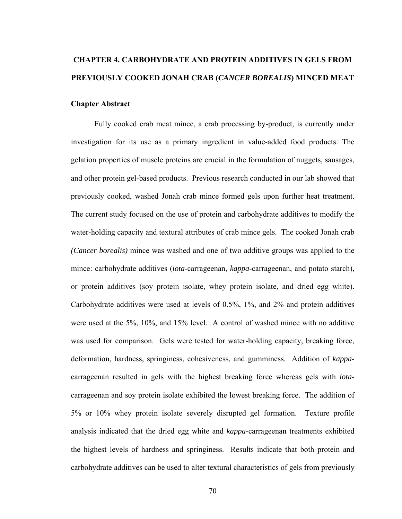# **CHAPTER 4. CARBOHYDRATE AND PROTEIN ADDITIVES IN GELS FROM PREVIOUSLY COOKED JONAH CRAB (***CANCER BOREALIS***) MINCED MEAT**

#### **Chapter Abstract**

 Fully cooked crab meat mince, a crab processing by-product, is currently under investigation for its use as a primary ingredient in value-added food products. The gelation properties of muscle proteins are crucial in the formulation of nuggets, sausages, and other protein gel-based products. Previous research conducted in our lab showed that previously cooked, washed Jonah crab mince formed gels upon further heat treatment. The current study focused on the use of protein and carbohydrate additives to modify the water-holding capacity and textural attributes of crab mince gels. The cooked Jonah crab *(Cancer borealis)* mince was washed and one of two additive groups was applied to the mince: carbohydrate additives (*iota*-carrageenan, *kappa*-carrageenan, and potato starch), or protein additives (soy protein isolate, whey protein isolate, and dried egg white). Carbohydrate additives were used at levels of 0.5%, 1%, and 2% and protein additives were used at the 5%, 10%, and 15% level. A control of washed mince with no additive was used for comparison. Gels were tested for water-holding capacity, breaking force, deformation, hardness, springiness, cohesiveness, and gumminess. Addition of *kappa*carrageenan resulted in gels with the highest breaking force whereas gels with *iota*carrageenan and soy protein isolate exhibited the lowest breaking force. The addition of 5% or 10% whey protein isolate severely disrupted gel formation. Texture profile analysis indicated that the dried egg white and *kappa*-carrageenan treatments exhibited the highest levels of hardness and springiness. Results indicate that both protein and carbohydrate additives can be used to alter textural characteristics of gels from previously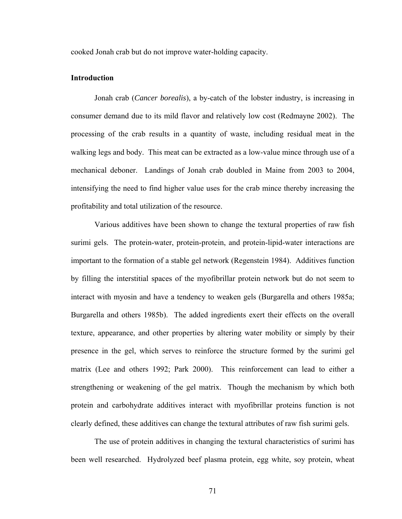cooked Jonah crab but do not improve water-holding capacity.

#### **Introduction**

 Jonah crab (*Cancer borealis*), a by-catch of the lobster industry, is increasing in consumer demand due to its mild flavor and relatively low cost (Redmayne 2002). The processing of the crab results in a quantity of waste, including residual meat in the walking legs and body. This meat can be extracted as a low-value mince through use of a mechanical deboner. Landings of Jonah crab doubled in Maine from 2003 to 2004, intensifying the need to find higher value uses for the crab mince thereby increasing the profitability and total utilization of the resource.

 Various additives have been shown to change the textural properties of raw fish surimi gels. The protein-water, protein-protein, and protein-lipid-water interactions are important to the formation of a stable gel network (Regenstein 1984). Additives function by filling the interstitial spaces of the myofibrillar protein network but do not seem to interact with myosin and have a tendency to weaken gels (Burgarella and others 1985a; Burgarella and others 1985b). The added ingredients exert their effects on the overall texture, appearance, and other properties by altering water mobility or simply by their presence in the gel, which serves to reinforce the structure formed by the surimi gel matrix (Lee and others 1992; Park 2000). This reinforcement can lead to either a strengthening or weakening of the gel matrix. Though the mechanism by which both protein and carbohydrate additives interact with myofibrillar proteins function is not clearly defined, these additives can change the textural attributes of raw fish surimi gels.

 The use of protein additives in changing the textural characteristics of surimi has been well researched. Hydrolyzed beef plasma protein, egg white, soy protein, wheat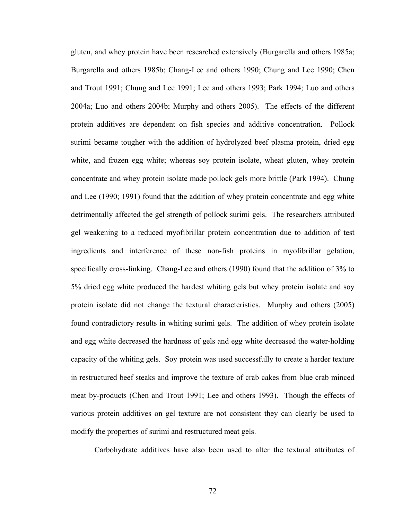gluten, and whey protein have been researched extensively (Burgarella and others 1985a; Burgarella and others 1985b; Chang-Lee and others 1990; Chung and Lee 1990; Chen and Trout 1991; Chung and Lee 1991; Lee and others 1993; Park 1994; Luo and others 2004a; Luo and others 2004b; Murphy and others 2005). The effects of the different protein additives are dependent on fish species and additive concentration. Pollock surimi became tougher with the addition of hydrolyzed beef plasma protein, dried egg white, and frozen egg white; whereas soy protein isolate, wheat gluten, whey protein concentrate and whey protein isolate made pollock gels more brittle (Park 1994). Chung and Lee (1990; 1991) found that the addition of whey protein concentrate and egg white detrimentally affected the gel strength of pollock surimi gels. The researchers attributed gel weakening to a reduced myofibrillar protein concentration due to addition of test ingredients and interference of these non-fish proteins in myofibrillar gelation, specifically cross-linking. Chang-Lee and others (1990) found that the addition of 3% to 5% dried egg white produced the hardest whiting gels but whey protein isolate and soy protein isolate did not change the textural characteristics. Murphy and others (2005) found contradictory results in whiting surimi gels. The addition of whey protein isolate and egg white decreased the hardness of gels and egg white decreased the water-holding capacity of the whiting gels. Soy protein was used successfully to create a harder texture in restructured beef steaks and improve the texture of crab cakes from blue crab minced meat by-products (Chen and Trout 1991; Lee and others 1993). Though the effects of various protein additives on gel texture are not consistent they can clearly be used to modify the properties of surimi and restructured meat gels.

Carbohydrate additives have also been used to alter the textural attributes of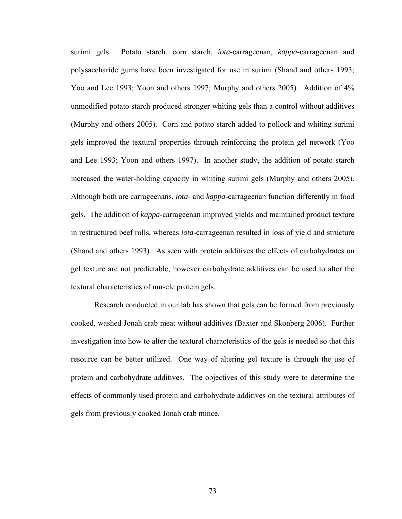surimi gels. Potato starch, corn starch, *iota*-carrageenan, *kappa*-carrageenan and polysaccharide gums have been investigated for use in surimi (Shand and others 1993; Yoo and Lee 1993; Yoon and others 1997; Murphy and others 2005). Addition of 4% unmodified potato starch produced stronger whiting gels than a control without additives (Murphy and others 2005). Corn and potato starch added to pollock and whiting surimi gels improved the textural properties through reinforcing the protein gel network (Yoo and Lee 1993; Yoon and others 1997). In another study, the addition of potato starch increased the water-holding capacity in whiting surimi gels (Murphy and others 2005). Although both are carrageenans, *iota-* and *kappa*-carrageenan function differently in food gels. The addition of *kappa*-carrageenan improved yields and maintained product texture in restructured beef rolls, whereas *iota*-carrageenan resulted in loss of yield and structure (Shand and others 1993). As seen with protein additives the effects of carbohydrates on gel texture are not predictable, however carbohydrate additives can be used to alter the textural characteristics of muscle protein gels.

 Research conducted in our lab has shown that gels can be formed from previously cooked, washed Jonah crab meat without additives (Baxter and Skonberg 2006). Further investigation into how to alter the textural characteristics of the gels is needed so that this resource can be better utilized. One way of altering gel texture is through the use of protein and carbohydrate additives. The objectives of this study were to determine the effects of commonly used protein and carbohydrate additives on the textural attributes of gels from previously cooked Jonah crab mince.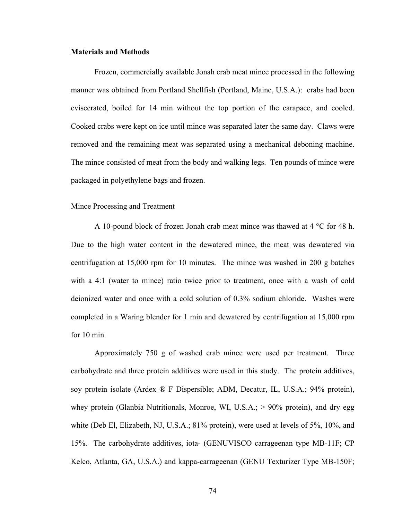## **Materials and Methods**

 Frozen, commercially available Jonah crab meat mince processed in the following manner was obtained from Portland Shellfish (Portland, Maine, U.S.A.): crabs had been eviscerated, boiled for 14 min without the top portion of the carapace, and cooled. Cooked crabs were kept on ice until mince was separated later the same day. Claws were removed and the remaining meat was separated using a mechanical deboning machine. The mince consisted of meat from the body and walking legs. Ten pounds of mince were packaged in polyethylene bags and frozen.

#### Mince Processing and Treatment

 A 10-pound block of frozen Jonah crab meat mince was thawed at 4 °C for 48 h. Due to the high water content in the dewatered mince, the meat was dewatered via centrifugation at 15,000 rpm for 10 minutes. The mince was washed in 200 g batches with a 4:1 (water to mince) ratio twice prior to treatment, once with a wash of cold deionized water and once with a cold solution of 0.3% sodium chloride. Washes were completed in a Waring blender for 1 min and dewatered by centrifugation at 15,000 rpm for 10 min.

 Approximately 750 g of washed crab mince were used per treatment. Three carbohydrate and three protein additives were used in this study. The protein additives, soy protein isolate (Ardex ® F Dispersible; ADM, Decatur, IL, U.S.A.; 94% protein), whey protein (Glanbia Nutritionals, Monroe, WI, U.S.A.; > 90% protein), and dry egg white (Deb El, Elizabeth, NJ, U.S.A.; 81% protein), were used at levels of 5%, 10%, and 15%. The carbohydrate additives, iota- (GENUVISCO carrageenan type MB-11F; CP Kelco, Atlanta, GA, U.S.A.) and kappa-carrageenan (GENU Texturizer Type MB-150F;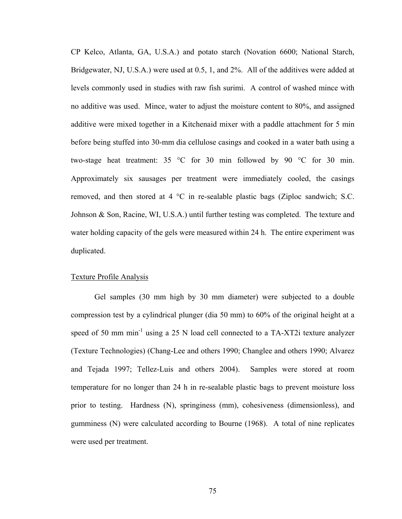CP Kelco, Atlanta, GA, U.S.A.) and potato starch (Novation 6600; National Starch, Bridgewater, NJ, U.S.A.) were used at 0.5, 1, and 2%. All of the additives were added at levels commonly used in studies with raw fish surimi. A control of washed mince with no additive was used. Mince, water to adjust the moisture content to 80%, and assigned additive were mixed together in a Kitchenaid mixer with a paddle attachment for 5 min before being stuffed into 30-mm dia cellulose casings and cooked in a water bath using a two-stage heat treatment: 35 °C for 30 min followed by 90 °C for 30 min. Approximately six sausages per treatment were immediately cooled, the casings removed, and then stored at 4 °C in re-sealable plastic bags (Ziploc sandwich; S.C. Johnson & Son, Racine, WI, U.S.A.) until further testing was completed. The texture and water holding capacity of the gels were measured within 24 h. The entire experiment was duplicated.

#### Texture Profile Analysis

 Gel samples (30 mm high by 30 mm diameter) were subjected to a double compression test by a cylindrical plunger (dia 50 mm) to 60% of the original height at a speed of 50 mm min<sup>-1</sup> using a 25 N load cell connected to a TA-XT2i texture analyzer (Texture Technologies) (Chang-Lee and others 1990; Changlee and others 1990; Alvarez and Tejada 1997; Tellez-Luis and others 2004). Samples were stored at room temperature for no longer than 24 h in re-sealable plastic bags to prevent moisture loss prior to testing. Hardness (N), springiness (mm), cohesiveness (dimensionless), and gumminess (N) were calculated according to Bourne (1968). A total of nine replicates were used per treatment.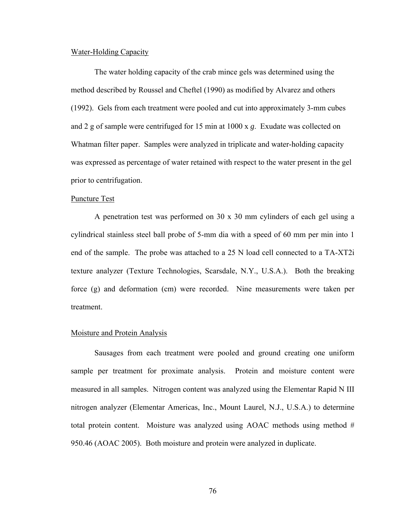### Water-Holding Capacity

 The water holding capacity of the crab mince gels was determined using the method described by Roussel and Cheftel (1990) as modified by Alvarez and others (1992). Gels from each treatment were pooled and cut into approximately 3-mm cubes and 2 g of sample were centrifuged for 15 min at 1000 x *g*. Exudate was collected on Whatman filter paper. Samples were analyzed in triplicate and water-holding capacity was expressed as percentage of water retained with respect to the water present in the gel prior to centrifugation.

#### Puncture Test

 A penetration test was performed on 30 x 30 mm cylinders of each gel using a cylindrical stainless steel ball probe of 5-mm dia with a speed of 60 mm per min into 1 end of the sample. The probe was attached to a 25 N load cell connected to a TA-XT2i texture analyzer (Texture Technologies, Scarsdale, N.Y., U.S.A.). Both the breaking force (g) and deformation (cm) were recorded. Nine measurements were taken per treatment.

#### Moisture and Protein Analysis

 Sausages from each treatment were pooled and ground creating one uniform sample per treatment for proximate analysis. Protein and moisture content were measured in all samples. Nitrogen content was analyzed using the Elementar Rapid N III nitrogen analyzer (Elementar Americas, Inc., Mount Laurel, N.J., U.S.A.) to determine total protein content. Moisture was analyzed using AOAC methods using method # 950.46 (AOAC 2005). Both moisture and protein were analyzed in duplicate.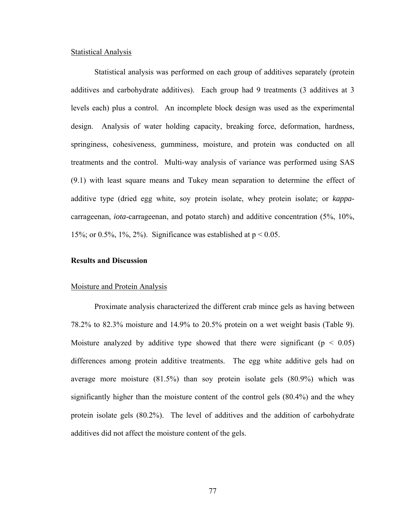## Statistical Analysis

 Statistical analysis was performed on each group of additives separately (protein additives and carbohydrate additives). Each group had 9 treatments (3 additives at 3 levels each) plus a control. An incomplete block design was used as the experimental design. Analysis of water holding capacity, breaking force, deformation, hardness, springiness, cohesiveness, gumminess, moisture, and protein was conducted on all treatments and the control. Multi-way analysis of variance was performed using SAS (9.1) with least square means and Tukey mean separation to determine the effect of additive type (dried egg white, soy protein isolate, whey protein isolate; or *kappa*carrageenan, *iota*-carrageenan, and potato starch) and additive concentration (5%, 10%, 15%; or 0.5%, 1%, 2%). Significance was established at  $p < 0.05$ .

# **Results and Discussion**

#### Moisture and Protein Analysis

 Proximate analysis characterized the different crab mince gels as having between 78.2% to 82.3% moisture and 14.9% to 20.5% protein on a wet weight basis (Table 9). Moisture analyzed by additive type showed that there were significant ( $p < 0.05$ ) differences among protein additive treatments. The egg white additive gels had on average more moisture (81.5%) than soy protein isolate gels (80.9%) which was significantly higher than the moisture content of the control gels (80.4%) and the whey protein isolate gels (80.2%). The level of additives and the addition of carbohydrate additives did not affect the moisture content of the gels.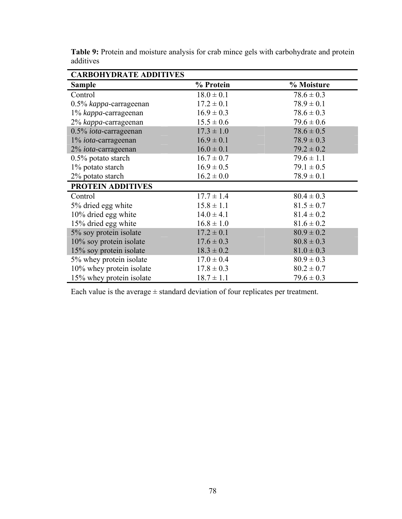| <b>CARBOHYDRATE ADDITIVES</b> |                                  |                |  |  |
|-------------------------------|----------------------------------|----------------|--|--|
| <b>Sample</b>                 | % Protein                        | % Moisture     |  |  |
| Control                       | $18.0 \pm 0.1$                   | $78.6 \pm 0.3$ |  |  |
| 0.5% kappa-carrageenan        | $17.2 \pm 0.1$                   | $78.9 \pm 0.1$ |  |  |
| 1% kappa-carrageenan          | $16.9 \pm 0.3$                   | $78.6 \pm 0.3$ |  |  |
| 2% kappa-carrageenan          | $15.5 \pm 0.6$                   | $79.6 \pm 0.6$ |  |  |
| 0.5% iota-carrageenan         | $17.3 \pm 1.0$                   | $78.6 \pm 0.5$ |  |  |
| 1% <i>iota</i> -carrageenan   | $16.9 \pm 0.1$<br>$78.9 \pm 0.3$ |                |  |  |
| 2% <i>iota</i> -carrageenan   | $16.0 \pm 0.1$                   | $79.2 \pm 0.2$ |  |  |
| 0.5% potato starch            | $16.7 \pm 0.7$                   | $79.6 \pm 1.1$ |  |  |
| 1% potato starch              | $16.9 \pm 0.5$                   | $79.1 \pm 0.5$ |  |  |
| 2% potato starch              | $16.2 \pm 0.0$                   | $78.9 \pm 0.1$ |  |  |
| <b>PROTEIN ADDITIVES</b>      |                                  |                |  |  |
| Control                       | $17.7 \pm 1.4$                   | $80.4 \pm 0.3$ |  |  |
| 5% dried egg white            | $15.8 \pm 1.1$                   | $81.5 \pm 0.7$ |  |  |
| 10% dried egg white           | $14.0 \pm 4.1$                   | $81.4 \pm 0.2$ |  |  |
| 15% dried egg white           | $16.8 \pm 1.0$                   | $81.6 \pm 0.2$ |  |  |
| 5% soy protein isolate        | $17.2 \pm 0.1$                   | $80.9 \pm 0.2$ |  |  |
| 10% soy protein isolate       | $17.6 \pm 0.3$                   | $80.8 \pm 0.3$ |  |  |
| 15% soy protein isolate       | $18.3 \pm 0.2$                   | $81.0 \pm 0.3$ |  |  |
| 5% whey protein isolate       | $17.0 \pm 0.4$                   | $80.9 \pm 0.3$ |  |  |
| 10% whey protein isolate      | $17.8 \pm 0.3$                   | $80.2 \pm 0.7$ |  |  |
| 15% whey protein isolate      | $18.7 \pm 1.1$                   | $79.6 \pm 0.3$ |  |  |

**Table 9:** Protein and moisture analysis for crab mince gels with carbohydrate and protein additives

Each value is the average  $\pm$  standard deviation of four replicates per treatment.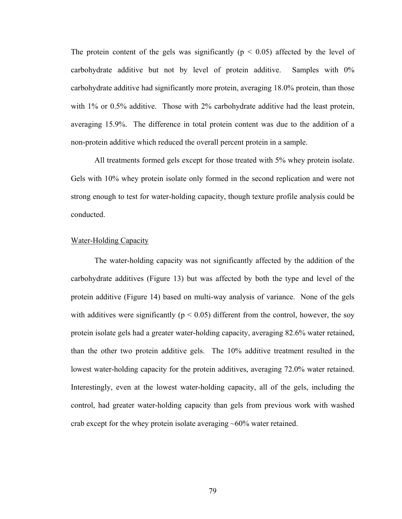The protein content of the gels was significantly ( $p < 0.05$ ) affected by the level of carbohydrate additive but not by level of protein additive. Samples with 0% carbohydrate additive had significantly more protein, averaging 18.0% protein, than those with 1% or 0.5% additive. Those with 2% carbohydrate additive had the least protein, averaging 15.9%. The difference in total protein content was due to the addition of a non-protein additive which reduced the overall percent protein in a sample.

 All treatments formed gels except for those treated with 5% whey protein isolate. Gels with 10% whey protein isolate only formed in the second replication and were not strong enough to test for water-holding capacity, though texture profile analysis could be conducted.

#### Water-Holding Capacity

 The water-holding capacity was not significantly affected by the addition of the carbohydrate additives (Figure 13) but was affected by both the type and level of the protein additive (Figure 14) based on multi-way analysis of variance. None of the gels with additives were significantly ( $p < 0.05$ ) different from the control, however, the soy protein isolate gels had a greater water-holding capacity, averaging 82.6% water retained, than the other two protein additive gels. The 10% additive treatment resulted in the lowest water-holding capacity for the protein additives, averaging 72.0% water retained. Interestingly, even at the lowest water-holding capacity, all of the gels, including the control, had greater water-holding capacity than gels from previous work with washed crab except for the whey protein isolate averaging  $~60\%$  water retained.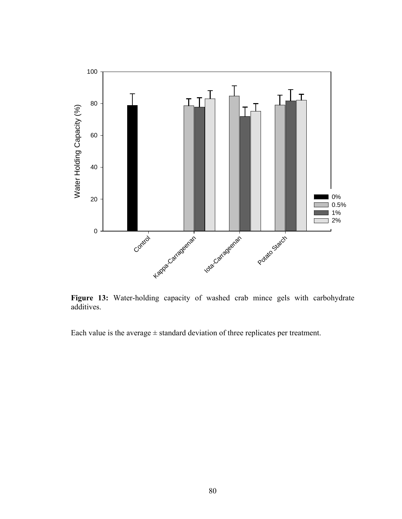

**Figure 13:** Water-holding capacity of washed crab mince gels with carbohydrate additives.

Each value is the average  $\pm$  standard deviation of three replicates per treatment.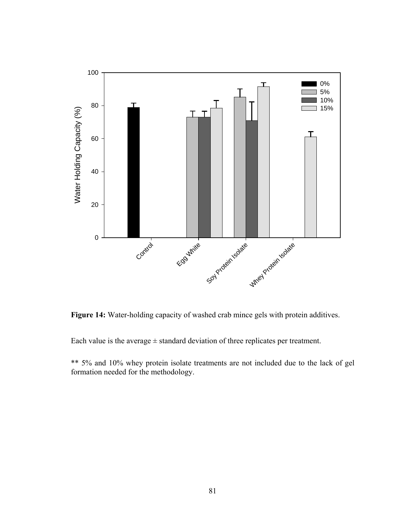

**Figure 14:** Water-holding capacity of washed crab mince gels with protein additives.

Each value is the average  $\pm$  standard deviation of three replicates per treatment.

\*\* 5% and 10% whey protein isolate treatments are not included due to the lack of gel formation needed for the methodology.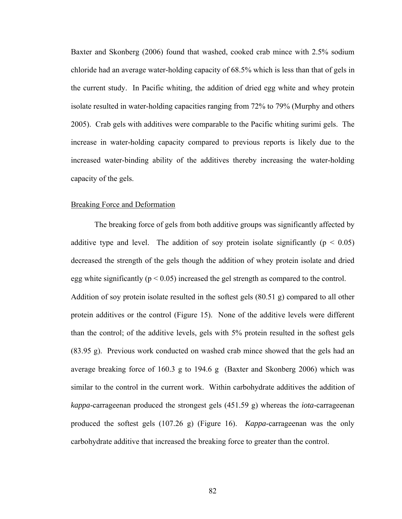Baxter and Skonberg (2006) found that washed, cooked crab mince with 2.5% sodium chloride had an average water-holding capacity of 68.5% which is less than that of gels in the current study. In Pacific whiting, the addition of dried egg white and whey protein isolate resulted in water-holding capacities ranging from 72% to 79% (Murphy and others 2005). Crab gels with additives were comparable to the Pacific whiting surimi gels. The increase in water-holding capacity compared to previous reports is likely due to the increased water-binding ability of the additives thereby increasing the water-holding capacity of the gels.

### Breaking Force and Deformation

 The breaking force of gels from both additive groups was significantly affected by additive type and level. The addition of soy protein isolate significantly ( $p < 0.05$ ) decreased the strength of the gels though the addition of whey protein isolate and dried egg white significantly ( $p < 0.05$ ) increased the gel strength as compared to the control. Addition of soy protein isolate resulted in the softest gels (80.51 g) compared to all other protein additives or the control (Figure 15). None of the additive levels were different than the control; of the additive levels, gels with 5% protein resulted in the softest gels (83.95 g). Previous work conducted on washed crab mince showed that the gels had an average breaking force of 160.3 g to 194.6 g (Baxter and Skonberg 2006) which was similar to the control in the current work. Within carbohydrate additives the addition of *kappa*-carrageenan produced the strongest gels (451.59 g) whereas the *iota*-carrageenan produced the softest gels (107.26 g) (Figure 16). *Kappa*-carrageenan was the only carbohydrate additive that increased the breaking force to greater than the control.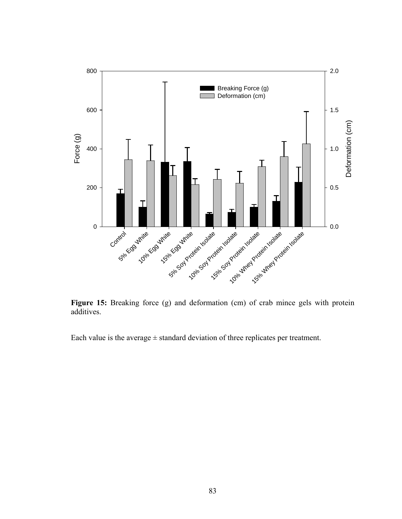

Figure 15: Breaking force (g) and deformation (cm) of crab mince gels with protein additives.

Each value is the average  $\pm$  standard deviation of three replicates per treatment.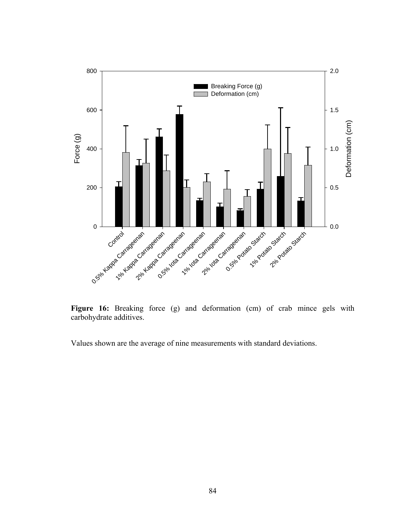

Figure 16: Breaking force (g) and deformation (cm) of crab mince gels with carbohydrate additives.

Values shown are the average of nine measurements with standard deviations.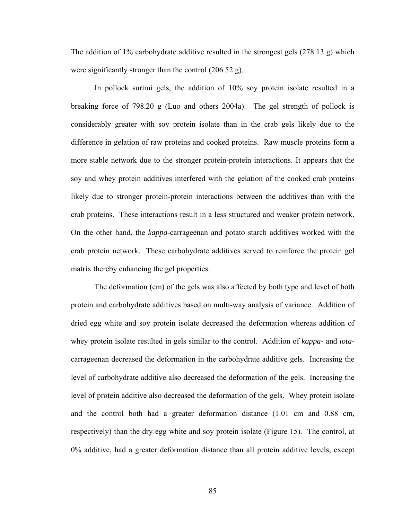The addition of 1% carbohydrate additive resulted in the strongest gels (278.13 g) which were significantly stronger than the control (206.52 g).

 In pollock surimi gels, the addition of 10% soy protein isolate resulted in a breaking force of 798.20 g (Luo and others 2004a). The gel strength of pollock is considerably greater with soy protein isolate than in the crab gels likely due to the difference in gelation of raw proteins and cooked proteins. Raw muscle proteins form a more stable network due to the stronger protein-protein interactions. It appears that the soy and whey protein additives interfered with the gelation of the cooked crab proteins likely due to stronger protein-protein interactions between the additives than with the crab proteins. These interactions result in a less structured and weaker protein network. On the other hand, the *kappa*-carrageenan and potato starch additives worked with the crab protein network. These carbohydrate additives served to reinforce the protein gel matrix thereby enhancing the gel properties.

 The deformation (cm) of the gels was also affected by both type and level of both protein and carbohydrate additives based on multi-way analysis of variance. Addition of dried egg white and soy protein isolate decreased the deformation whereas addition of whey protein isolate resulted in gels similar to the control. Addition of *kappa*- and *iota*carrageenan decreased the deformation in the carbohydrate additive gels. Increasing the level of carbohydrate additive also decreased the deformation of the gels. Increasing the level of protein additive also decreased the deformation of the gels. Whey protein isolate and the control both had a greater deformation distance (1.01 cm and 0.88 cm, respectively) than the dry egg white and soy protein isolate (Figure 15). The control, at 0% additive, had a greater deformation distance than all protein additive levels, except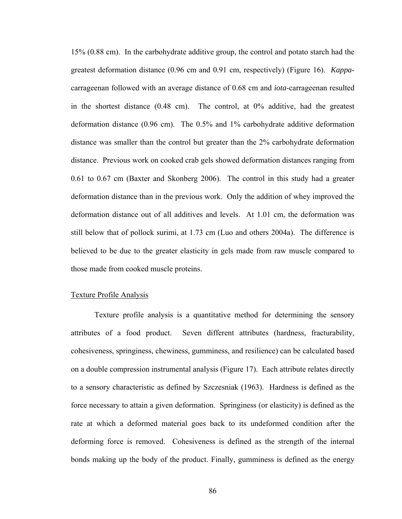15% (0.88 cm). In the carbohydrate additive group, the control and potato starch had the greatest deformation distance (0.96 cm and 0.91 cm, respectively) (Figure 16). *Kappa*carrageenan followed with an average distance of 0.68 cm and *iota*-carrageenan resulted in the shortest distance (0.48 cm). The control, at 0% additive, had the greatest deformation distance (0.96 cm). The 0.5% and 1% carbohydrate additive deformation distance was smaller than the control but greater than the 2% carbohydrate deformation distance. Previous work on cooked crab gels showed deformation distances ranging from 0.61 to 0.67 cm (Baxter and Skonberg 2006). The control in this study had a greater deformation distance than in the previous work. Only the addition of whey improved the deformation distance out of all additives and levels. At 1.01 cm, the deformation was still below that of pollock surimi, at 1.73 cm (Luo and others 2004a). The difference is believed to be due to the greater elasticity in gels made from raw muscle compared to those made from cooked muscle proteins.

## Texture Profile Analysis

 Texture profile analysis is a quantitative method for determining the sensory attributes of a food product. Seven different attributes (hardness, fracturability, cohesiveness, springiness, chewiness, gumminess, and resilience) can be calculated based on a double compression instrumental analysis (Figure 17). Each attribute relates directly to a sensory characteristic as defined by Szczesniak (1963). Hardness is defined as the force necessary to attain a given deformation. Springiness (or elasticity) is defined as the rate at which a deformed material goes back to its undeformed condition after the deforming force is removed. Cohesiveness is defined as the strength of the internal bonds making up the body of the product. Finally, gumminess is defined as the energy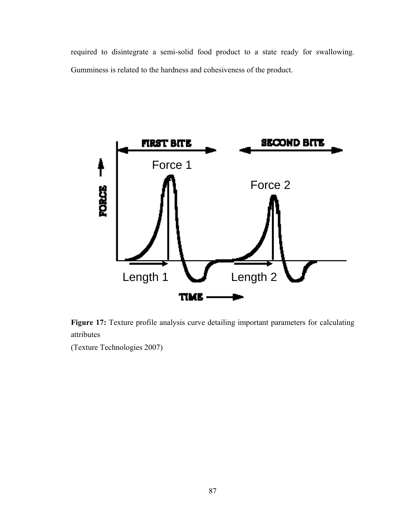required to disintegrate a semi-solid food product to a state ready for swallowing. Gumminess is related to the hardness and cohesiveness of the product.



Figure 17: Texture profile analysis curve detailing important parameters for calculating attributes

(Texture Technologies 2007)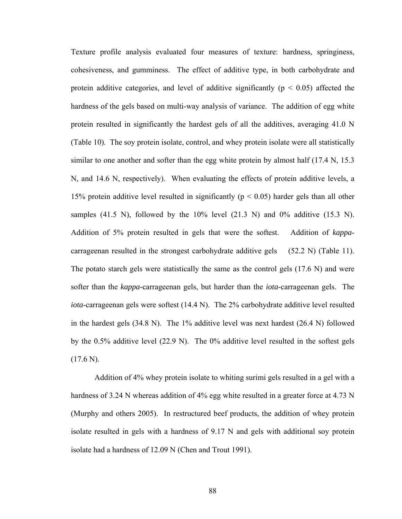Texture profile analysis evaluated four measures of texture: hardness, springiness, cohesiveness, and gumminess. The effect of additive type, in both carbohydrate and protein additive categories, and level of additive significantly ( $p < 0.05$ ) affected the hardness of the gels based on multi-way analysis of variance. The addition of egg white protein resulted in significantly the hardest gels of all the additives, averaging 41.0 N (Table 10). The soy protein isolate, control, and whey protein isolate were all statistically similar to one another and softer than the egg white protein by almost half (17.4 N, 15.3) N, and 14.6 N, respectively). When evaluating the effects of protein additive levels, a 15% protein additive level resulted in significantly ( $p < 0.05$ ) harder gels than all other samples (41.5 N), followed by the  $10\%$  level (21.3 N) and  $0\%$  additive (15.3 N). Addition of 5% protein resulted in gels that were the softest. Addition of *kappa*carrageenan resulted in the strongest carbohydrate additive gels (52.2 N) (Table 11). The potato starch gels were statistically the same as the control gels (17.6 N) and were softer than the *kappa*-carrageenan gels, but harder than the *iota*-carrageenan gels. The *iota*-carrageenan gels were softest (14.4 N). The 2% carbohydrate additive level resulted in the hardest gels (34.8 N). The 1% additive level was next hardest (26.4 N) followed by the 0.5% additive level (22.9 N). The 0% additive level resulted in the softest gels  $(17.6 N)$ .

 Addition of 4% whey protein isolate to whiting surimi gels resulted in a gel with a hardness of 3.24 N whereas addition of 4% egg white resulted in a greater force at 4.73 N (Murphy and others 2005). In restructured beef products, the addition of whey protein isolate resulted in gels with a hardness of 9.17 N and gels with additional soy protein isolate had a hardness of 12.09 N (Chen and Trout 1991).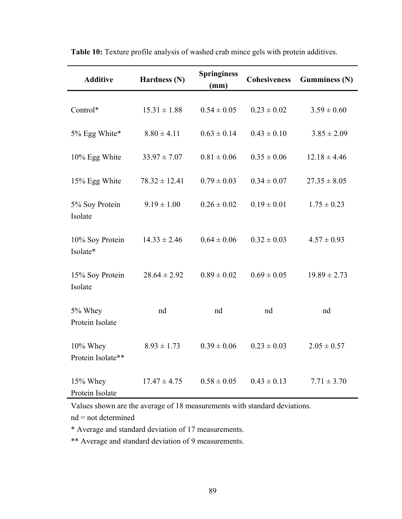| <b>Additive</b>               | Hardness (N)      | <b>Springiness</b><br>(mm) | <b>Cohesiveness</b> | <b>Gumminess (N)</b> |
|-------------------------------|-------------------|----------------------------|---------------------|----------------------|
| Control*                      | $15.31 \pm 1.88$  | $0.54 \pm 0.05$            | $0.23 \pm 0.02$     | $3.59 \pm 0.60$      |
| 5% Egg White*                 | $8.80 \pm 4.11$   | $0.63 \pm 0.14$            | $0.43 \pm 0.10$     | $3.85 \pm 2.09$      |
| 10% Egg White                 | $33.97 \pm 7.07$  | $0.81 \pm 0.06$            | $0.35 \pm 0.06$     | $12.18 \pm 4.46$     |
| 15% Egg White                 | $78.32 \pm 12.41$ | $0.79 \pm 0.03$            | $0.34 \pm 0.07$     | $27.35 \pm 8.05$     |
| 5% Soy Protein<br>Isolate     | $9.19 \pm 1.00$   | $0.26 \pm 0.02$            | $0.19 \pm 0.01$     | $1.75 \pm 0.23$      |
| 10% Soy Protein<br>Isolate*   | $14.33 \pm 2.46$  | $0.64 \pm 0.06$            | $0.32 \pm 0.03$     | $4.57 \pm 0.93$      |
| 15% Soy Protein<br>Isolate    | $28.64 \pm 2.92$  | $0.89 \pm 0.02$            | $0.69 \pm 0.05$     | $19.89 \pm 2.73$     |
| 5% Whey<br>Protein Isolate    | nd                | nd                         | nd                  | nd                   |
| 10% Whey<br>Protein Isolate** | $8.93 \pm 1.73$   | $0.39 \pm 0.06$            | $0.23 \pm 0.03$     | $2.05 \pm 0.57$      |
| 15% Whey<br>Protein Isolate   | $17.47 \pm 4.75$  | $0.58 \pm 0.05$            | $0.43 \pm 0.13$     | $7.71 \pm 3.70$      |

**Table 10:** Texture profile analysis of washed crab mince gels with protein additives.

Values shown are the average of 18 measurements with standard deviations.

nd = not determined

\* Average and standard deviation of 17 measurements.

\*\* Average and standard deviation of 9 measurements.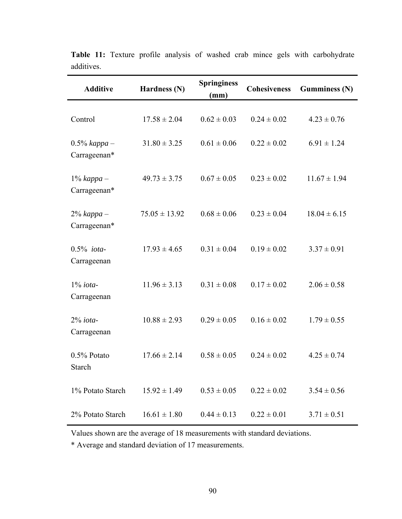| <b>Additive</b>                 | Hardness (N)      | <b>Springiness</b><br>(mm) | <b>Cohesiveness</b> | <b>Gumminess (N)</b> |
|---------------------------------|-------------------|----------------------------|---------------------|----------------------|
| Control                         | $17.58 \pm 2.04$  | $0.62 \pm 0.03$            | $0.24 \pm 0.02$     | $4.23 \pm 0.76$      |
| $0.5\%$ kappa –<br>Carrageenan* | $31.80 \pm 3.25$  | $0.61 \pm 0.06$            | $0.22 \pm 0.02$     | $6.91 \pm 1.24$      |
| $1\%$ kappa –<br>Carrageenan*   | $49.73 \pm 3.75$  | $0.67 \pm 0.05$            | $0.23 \pm 0.02$     | $11.67 \pm 1.94$     |
| $2\%$ kappa –<br>Carrageenan*   | $75.05 \pm 13.92$ | $0.68 \pm 0.06$            | $0.23 \pm 0.04$     | $18.04 \pm 6.15$     |
| $0.5\%$ iota-<br>Carrageenan    | $17.93 \pm 4.65$  | $0.31 \pm 0.04$            | $0.19 \pm 0.02$     | $3.37 \pm 0.91$      |
| $1\%$ iota-<br>Carrageenan      | $11.96 \pm 3.13$  | $0.31 \pm 0.08$            | $0.17 \pm 0.02$     | $2.06 \pm 0.58$      |
| $2\%$ iota-<br>Carrageenan      | $10.88 \pm 2.93$  | $0.29 \pm 0.05$            | $0.16 \pm 0.02$     | $1.79 \pm 0.55$      |
| 0.5% Potato<br><b>Starch</b>    | $17.66 \pm 2.14$  | $0.58 \pm 0.05$            | $0.24 \pm 0.02$     | $4.25 \pm 0.74$      |
| 1% Potato Starch                | $15.92 \pm 1.49$  | $0.53 \pm 0.05$            | $0.22 \pm 0.02$     | $3.54 \pm 0.56$      |
| 2% Potato Starch                | $16.61 \pm 1.80$  | $0.44 \pm 0.13$            | $0.22 \pm 0.01$     | $3.71 \pm 0.51$      |

Table 11: Texture profile analysis of washed crab mince gels with carbohydrate additives.

Values shown are the average of 18 measurements with standard deviations.

\* Average and standard deviation of 17 measurements.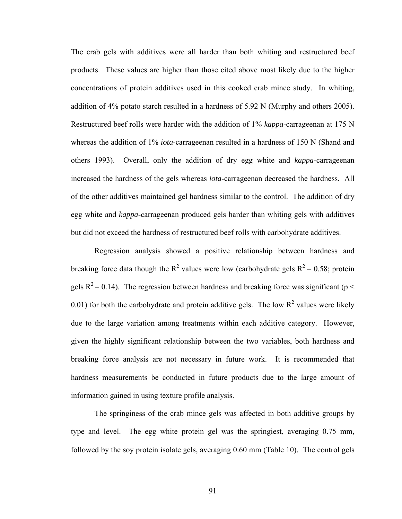The crab gels with additives were all harder than both whiting and restructured beef products. These values are higher than those cited above most likely due to the higher concentrations of protein additives used in this cooked crab mince study. In whiting, addition of 4% potato starch resulted in a hardness of 5.92 N (Murphy and others 2005). Restructured beef rolls were harder with the addition of 1% *kappa*-carrageenan at 175 N whereas the addition of 1% *iota*-carrageenan resulted in a hardness of 150 N (Shand and others 1993). Overall, only the addition of dry egg white and *kappa*-carrageenan increased the hardness of the gels whereas *iota*-carrageenan decreased the hardness. All of the other additives maintained gel hardness similar to the control. The addition of dry egg white and *kappa*-carrageenan produced gels harder than whiting gels with additives but did not exceed the hardness of restructured beef rolls with carbohydrate additives.

 Regression analysis showed a positive relationship between hardness and breaking force data though the  $R^2$  values were low (carbohydrate gels  $R^2 = 0.58$ ; protein gels  $R^2$  = 0.14). The regression between hardness and breaking force was significant (p < 0.01) for both the carbohydrate and protein additive gels. The low  $R^2$  values were likely due to the large variation among treatments within each additive category. However, given the highly significant relationship between the two variables, both hardness and breaking force analysis are not necessary in future work. It is recommended that hardness measurements be conducted in future products due to the large amount of information gained in using texture profile analysis.

 The springiness of the crab mince gels was affected in both additive groups by type and level. The egg white protein gel was the springiest, averaging 0.75 mm, followed by the soy protein isolate gels, averaging 0.60 mm (Table 10). The control gels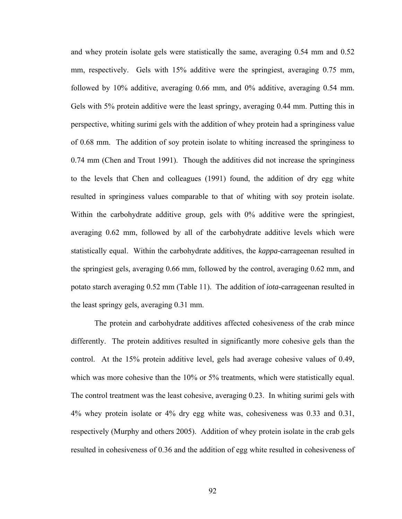and whey protein isolate gels were statistically the same, averaging 0.54 mm and 0.52 mm, respectively. Gels with 15% additive were the springiest, averaging 0.75 mm, followed by 10% additive, averaging 0.66 mm, and 0% additive, averaging 0.54 mm. Gels with 5% protein additive were the least springy, averaging 0.44 mm. Putting this in perspective, whiting surimi gels with the addition of whey protein had a springiness value of 0.68 mm. The addition of soy protein isolate to whiting increased the springiness to 0.74 mm (Chen and Trout 1991). Though the additives did not increase the springiness to the levels that Chen and colleagues (1991) found, the addition of dry egg white resulted in springiness values comparable to that of whiting with soy protein isolate. Within the carbohydrate additive group, gels with 0% additive were the springiest, averaging 0.62 mm, followed by all of the carbohydrate additive levels which were statistically equal. Within the carbohydrate additives, the *kappa*-carrageenan resulted in the springiest gels, averaging 0.66 mm, followed by the control, averaging 0.62 mm, and potato starch averaging 0.52 mm (Table 11). The addition of *iota-*carrageenan resulted in the least springy gels, averaging 0.31 mm.

 The protein and carbohydrate additives affected cohesiveness of the crab mince differently. The protein additives resulted in significantly more cohesive gels than the control. At the 15% protein additive level, gels had average cohesive values of 0.49, which was more cohesive than the 10% or 5% treatments, which were statistically equal. The control treatment was the least cohesive, averaging 0.23. In whiting surimi gels with 4% whey protein isolate or 4% dry egg white was, cohesiveness was 0.33 and 0.31, respectively (Murphy and others 2005). Addition of whey protein isolate in the crab gels resulted in cohesiveness of 0.36 and the addition of egg white resulted in cohesiveness of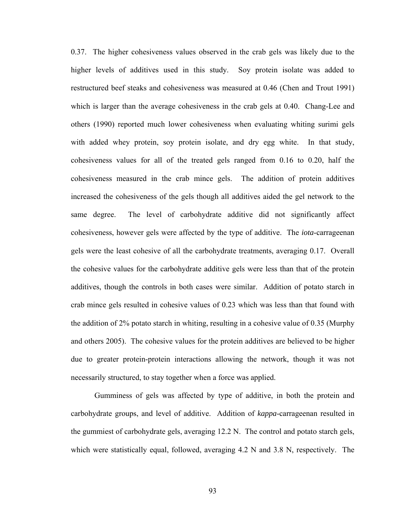0.37. The higher cohesiveness values observed in the crab gels was likely due to the higher levels of additives used in this study. Soy protein isolate was added to restructured beef steaks and cohesiveness was measured at 0.46 (Chen and Trout 1991) which is larger than the average cohesiveness in the crab gels at 0.40. Chang-Lee and others (1990) reported much lower cohesiveness when evaluating whiting surimi gels with added whey protein, soy protein isolate, and dry egg white. In that study, cohesiveness values for all of the treated gels ranged from 0.16 to 0.20, half the cohesiveness measured in the crab mince gels. The addition of protein additives increased the cohesiveness of the gels though all additives aided the gel network to the same degree. The level of carbohydrate additive did not significantly affect cohesiveness, however gels were affected by the type of additive. The *iota*-carrageenan gels were the least cohesive of all the carbohydrate treatments, averaging 0.17. Overall the cohesive values for the carbohydrate additive gels were less than that of the protein additives, though the controls in both cases were similar. Addition of potato starch in crab mince gels resulted in cohesive values of 0.23 which was less than that found with the addition of 2% potato starch in whiting, resulting in a cohesive value of 0.35 (Murphy and others 2005). The cohesive values for the protein additives are believed to be higher due to greater protein-protein interactions allowing the network, though it was not necessarily structured, to stay together when a force was applied.

 Gumminess of gels was affected by type of additive, in both the protein and carbohydrate groups, and level of additive. Addition of *kappa*-carrageenan resulted in the gummiest of carbohydrate gels, averaging 12.2 N. The control and potato starch gels, which were statistically equal, followed, averaging 4.2 N and 3.8 N, respectively. The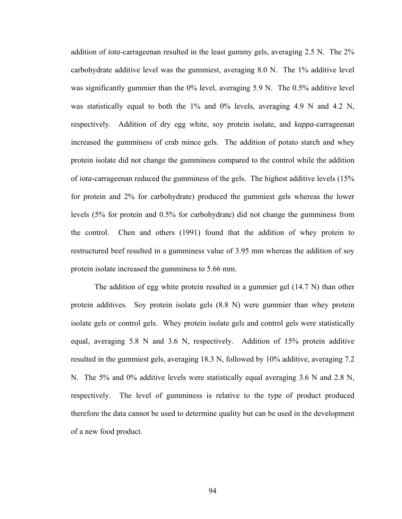addition of *iota-*carrageenan resulted in the least gummy gels, averaging 2.5 N. The 2% carbohydrate additive level was the gummiest, averaging 8.0 N. The 1% additive level was significantly gummier than the 0% level, averaging 5.9 N. The 0.5% additive level was statistically equal to both the 1% and 0% levels, averaging 4.9 N and 4.2 N, respectively. Addition of dry egg white, soy protein isolate, and *kappa*-carrageenan increased the gumminess of crab mince gels. The addition of potato starch and whey protein isolate did not change the gumminess compared to the control while the addition of *iota*-carrageenan reduced the gumminess of the gels. The highest additive levels (15% for protein and 2% for carbohydrate) produced the gummiest gels whereas the lower levels (5% for protein and 0.5% for carbohydrate) did not change the gumminess from the control. Chen and others (1991) found that the addition of whey protein to restructured beef resulted in a gumminess value of 3.95 mm whereas the addition of soy protein isolate increased the gumminess to 5.66 mm.

 The addition of egg white protein resulted in a gummier gel (14.7 N) than other protein additives. Soy protein isolate gels (8.8 N) were gummier than whey protein isolate gels or control gels. Whey protein isolate gels and control gels were statistically equal, averaging 5.8 N and 3.6 N, respectively. Addition of 15% protein additive resulted in the gummiest gels, averaging 18.3 N, followed by 10% additive, averaging 7.2 N. The 5% and 0% additive levels were statistically equal averaging 3.6 N and 2.8 N, respectively. The level of gumminess is relative to the type of product produced therefore the data cannot be used to determine quality but can be used in the development of a new food product.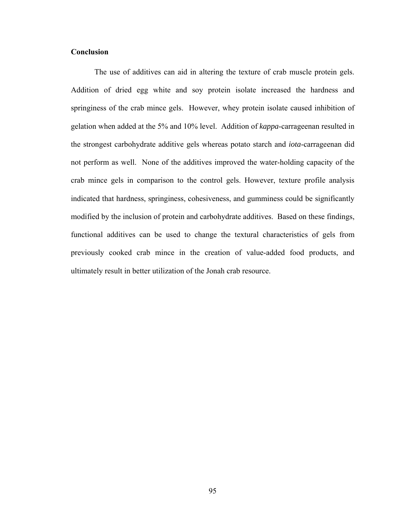#### **Conclusion**

 The use of additives can aid in altering the texture of crab muscle protein gels. Addition of dried egg white and soy protein isolate increased the hardness and springiness of the crab mince gels. However, whey protein isolate caused inhibition of gelation when added at the 5% and 10% level. Addition of *kappa*-carrageenan resulted in the strongest carbohydrate additive gels whereas potato starch and *iota*-carrageenan did not perform as well. None of the additives improved the water-holding capacity of the crab mince gels in comparison to the control gels. However, texture profile analysis indicated that hardness, springiness, cohesiveness, and gumminess could be significantly modified by the inclusion of protein and carbohydrate additives. Based on these findings, functional additives can be used to change the textural characteristics of gels from previously cooked crab mince in the creation of value-added food products, and ultimately result in better utilization of the Jonah crab resource.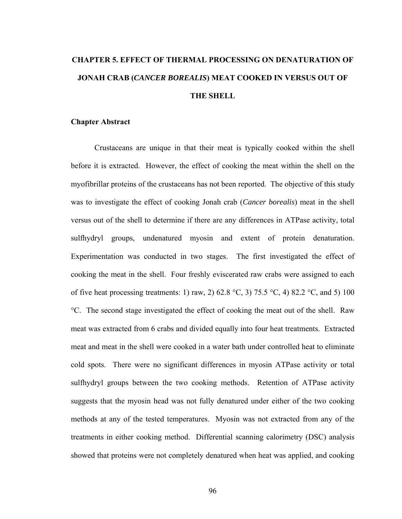# **CHAPTER 5. EFFECT OF THERMAL PROCESSING ON DENATURATION OF JONAH CRAB (***CANCER BOREALIS***) MEAT COOKED IN VERSUS OUT OF THE SHELL**

#### **Chapter Abstract**

 Crustaceans are unique in that their meat is typically cooked within the shell before it is extracted. However, the effect of cooking the meat within the shell on the myofibrillar proteins of the crustaceans has not been reported. The objective of this study was to investigate the effect of cooking Jonah crab (*Cancer borealis*) meat in the shell versus out of the shell to determine if there are any differences in ATPase activity, total sulfhydryl groups, undenatured myosin and extent of protein denaturation. Experimentation was conducted in two stages. The first investigated the effect of cooking the meat in the shell. Four freshly eviscerated raw crabs were assigned to each of five heat processing treatments: 1) raw, 2) 62.8 °C, 3) 75.5 °C, 4) 82.2 °C, and 5) 100 °C. The second stage investigated the effect of cooking the meat out of the shell. Raw meat was extracted from 6 crabs and divided equally into four heat treatments. Extracted meat and meat in the shell were cooked in a water bath under controlled heat to eliminate cold spots. There were no significant differences in myosin ATPase activity or total sulfhydryl groups between the two cooking methods. Retention of ATPase activity suggests that the myosin head was not fully denatured under either of the two cooking methods at any of the tested temperatures. Myosin was not extracted from any of the treatments in either cooking method. Differential scanning calorimetry (DSC) analysis showed that proteins were not completely denatured when heat was applied, and cooking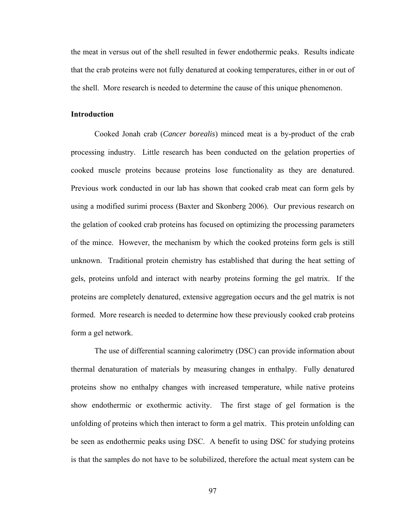the meat in versus out of the shell resulted in fewer endothermic peaks. Results indicate that the crab proteins were not fully denatured at cooking temperatures, either in or out of the shell. More research is needed to determine the cause of this unique phenomenon.

#### **Introduction**

 Cooked Jonah crab (*Cancer borealis*) minced meat is a by-product of the crab processing industry. Little research has been conducted on the gelation properties of cooked muscle proteins because proteins lose functionality as they are denatured. Previous work conducted in our lab has shown that cooked crab meat can form gels by using a modified surimi process (Baxter and Skonberg 2006). Our previous research on the gelation of cooked crab proteins has focused on optimizing the processing parameters of the mince. However, the mechanism by which the cooked proteins form gels is still unknown. Traditional protein chemistry has established that during the heat setting of gels, proteins unfold and interact with nearby proteins forming the gel matrix. If the proteins are completely denatured, extensive aggregation occurs and the gel matrix is not formed. More research is needed to determine how these previously cooked crab proteins form a gel network.

 The use of differential scanning calorimetry (DSC) can provide information about thermal denaturation of materials by measuring changes in enthalpy. Fully denatured proteins show no enthalpy changes with increased temperature, while native proteins show endothermic or exothermic activity. The first stage of gel formation is the unfolding of proteins which then interact to form a gel matrix. This protein unfolding can be seen as endothermic peaks using DSC. A benefit to using DSC for studying proteins is that the samples do not have to be solubilized, therefore the actual meat system can be

97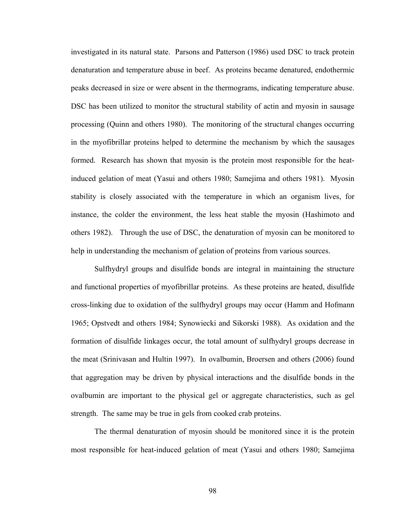investigated in its natural state. Parsons and Patterson (1986) used DSC to track protein denaturation and temperature abuse in beef. As proteins became denatured, endothermic peaks decreased in size or were absent in the thermograms, indicating temperature abuse. DSC has been utilized to monitor the structural stability of actin and myosin in sausage processing (Quinn and others 1980). The monitoring of the structural changes occurring in the myofibrillar proteins helped to determine the mechanism by which the sausages formed. Research has shown that myosin is the protein most responsible for the heatinduced gelation of meat (Yasui and others 1980; Samejima and others 1981). Myosin stability is closely associated with the temperature in which an organism lives, for instance, the colder the environment, the less heat stable the myosin (Hashimoto and others 1982). Through the use of DSC, the denaturation of myosin can be monitored to help in understanding the mechanism of gelation of proteins from various sources.

 Sulfhydryl groups and disulfide bonds are integral in maintaining the structure and functional properties of myofibrillar proteins. As these proteins are heated, disulfide cross-linking due to oxidation of the sulfhydryl groups may occur (Hamm and Hofmann 1965; Opstvedt and others 1984; Synowiecki and Sikorski 1988). As oxidation and the formation of disulfide linkages occur, the total amount of sulfhydryl groups decrease in the meat (Srinivasan and Hultin 1997). In ovalbumin, Broersen and others (2006) found that aggregation may be driven by physical interactions and the disulfide bonds in the ovalbumin are important to the physical gel or aggregate characteristics, such as gel strength. The same may be true in gels from cooked crab proteins.

 The thermal denaturation of myosin should be monitored since it is the protein most responsible for heat-induced gelation of meat (Yasui and others 1980; Samejima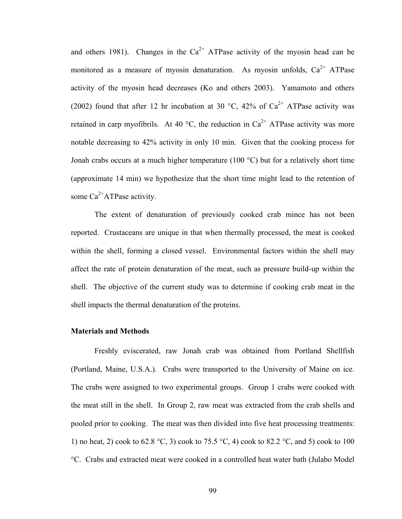and others 1981). Changes in the  $Ca^{2+}$  ATPase activity of the myosin head can be monitored as a measure of myosin denaturation. As myosin unfolds,  $Ca^{2+}$  ATPase activity of the myosin head decreases (Ko and others 2003). Yamamoto and others (2002) found that after 12 hr incubation at 30 °C, 42% of  $Ca^{2+}$  ATPase activity was retained in carp myofibrils. At 40 °C, the reduction in  $Ca^{2+}$  ATPase activity was more notable decreasing to 42% activity in only 10 min. Given that the cooking process for Jonah crabs occurs at a much higher temperature (100 °C) but for a relatively short time (approximate 14 min) we hypothesize that the short time might lead to the retention of some  $Ca^{2+}ATP$ ase activity.

 The extent of denaturation of previously cooked crab mince has not been reported. Crustaceans are unique in that when thermally processed, the meat is cooked within the shell, forming a closed vessel. Environmental factors within the shell may affect the rate of protein denaturation of the meat, such as pressure build-up within the shell. The objective of the current study was to determine if cooking crab meat in the shell impacts the thermal denaturation of the proteins.

#### **Materials and Methods**

 Freshly eviscerated, raw Jonah crab was obtained from Portland Shellfish (Portland, Maine, U.S.A.). Crabs were transported to the University of Maine on ice. The crabs were assigned to two experimental groups. Group 1 crabs were cooked with the meat still in the shell. In Group 2, raw meat was extracted from the crab shells and pooled prior to cooking. The meat was then divided into five heat processing treatments: 1) no heat, 2) cook to 62.8 °C, 3) cook to 75.5 °C, 4) cook to 82.2 °C, and 5) cook to 100 °C. Crabs and extracted meat were cooked in a controlled heat water bath (Julabo Model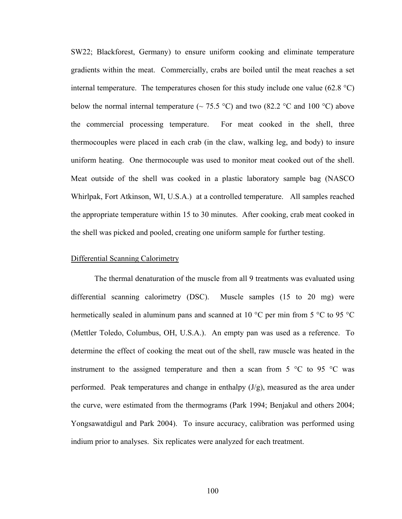SW22; Blackforest, Germany) to ensure uniform cooking and eliminate temperature gradients within the meat. Commercially, crabs are boiled until the meat reaches a set internal temperature. The temperatures chosen for this study include one value (62.8  $^{\circ}$ C) below the normal internal temperature ( $\sim$  75.5 °C) and two (82.2 °C and 100 °C) above the commercial processing temperature. For meat cooked in the shell, three thermocouples were placed in each crab (in the claw, walking leg, and body) to insure uniform heating. One thermocouple was used to monitor meat cooked out of the shell. Meat outside of the shell was cooked in a plastic laboratory sample bag (NASCO Whirlpak, Fort Atkinson, WI, U.S.A.) at a controlled temperature. All samples reached the appropriate temperature within 15 to 30 minutes. After cooking, crab meat cooked in the shell was picked and pooled, creating one uniform sample for further testing.

#### Differential Scanning Calorimetry

 The thermal denaturation of the muscle from all 9 treatments was evaluated using differential scanning calorimetry (DSC). Muscle samples (15 to 20 mg) were hermetically sealed in aluminum pans and scanned at 10 °C per min from 5 °C to 95 °C (Mettler Toledo, Columbus, OH, U.S.A.). An empty pan was used as a reference. To determine the effect of cooking the meat out of the shell, raw muscle was heated in the instrument to the assigned temperature and then a scan from  $5^{\circ}$ C to  $95^{\circ}$ C was performed. Peak temperatures and change in enthalpy  $(J/g)$ , measured as the area under the curve, were estimated from the thermograms (Park 1994; Benjakul and others 2004; Yongsawatdigul and Park 2004). To insure accuracy, calibration was performed using indium prior to analyses. Six replicates were analyzed for each treatment.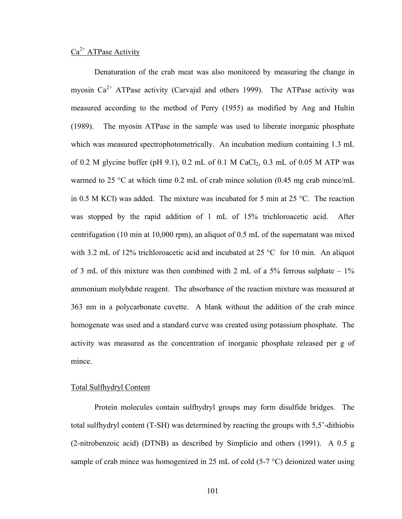### $Ca<sup>2+</sup> ATPase Activity$

 Denaturation of the crab meat was also monitored by measuring the change in myosin  $Ca^{2+}$  ATPase activity (Carvajal and others 1999). The ATPase activity was measured according to the method of Perry (1955) as modified by Ang and Hultin (1989). The myosin ATPase in the sample was used to liberate inorganic phosphate which was measured spectrophotometrically. An incubation medium containing 1.3 mL of 0.2 M glycine buffer (pH 9.1), 0.2 mL of 0.1 M CaCl<sub>2</sub>, 0.3 mL of 0.05 M ATP was warmed to 25 °C at which time 0.2 mL of crab mince solution (0.45 mg crab mince/mL in 0.5 M KCl) was added. The mixture was incubated for 5 min at 25 °C. The reaction was stopped by the rapid addition of 1 mL of 15% trichloroacetic acid. After centrifugation (10 min at 10,000 rpm), an aliquot of 0.5 mL of the supernatant was mixed with 3.2 mL of 12% trichloroacetic acid and incubated at 25 °C for 10 min. An aliquot of 3 mL of this mixture was then combined with 2 mL of a 5% ferrous sulphate  $-1\%$ ammonium molybdate reagent. The absorbance of the reaction mixture was measured at 363 nm in a polycarbonate cuvette. A blank without the addition of the crab mince homogenate was used and a standard curve was created using potassium phosphate. The activity was measured as the concentration of inorganic phosphate released per g of mince.

#### Total Sulfhydryl Content

 Protein molecules contain sulfhydryl groups may form disulfide bridges. The total sulfhydryl content (T-SH) was determined by reacting the groups with 5,5'-dithiobis (2-nitrobenzoic acid) (DTNB) as described by Simplicio and others (1991). A 0.5 g sample of crab mince was homogenized in 25 mL of cold (5-7 °C) deionized water using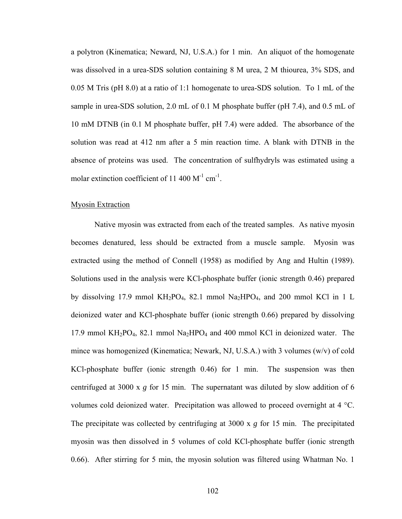a polytron (Kinematica; Neward, NJ, U.S.A.) for 1 min. An aliquot of the homogenate was dissolved in a urea-SDS solution containing 8 M urea, 2 M thiourea, 3% SDS, and 0.05 M Tris (pH 8.0) at a ratio of 1:1 homogenate to urea-SDS solution. To 1 mL of the sample in urea-SDS solution, 2.0 mL of 0.1 M phosphate buffer (pH 7.4), and 0.5 mL of 10 mM DTNB (in 0.1 M phosphate buffer, pH 7.4) were added. The absorbance of the solution was read at 412 nm after a 5 min reaction time. A blank with DTNB in the absence of proteins was used. The concentration of sulfhydryls was estimated using a molar extinction coefficient of 11 400  $M^{-1}$  cm<sup>-1</sup>.

#### Myosin Extraction

 Native myosin was extracted from each of the treated samples. As native myosin becomes denatured, less should be extracted from a muscle sample. Myosin was extracted using the method of Connell (1958) as modified by Ang and Hultin (1989). Solutions used in the analysis were KCl-phosphate buffer (ionic strength 0.46) prepared by dissolving 17.9 mmol  $KH_2PO_4$ , 82.1 mmol  $Na_2HPO_4$ , and 200 mmol KCl in 1 L deionized water and KCl-phosphate buffer (ionic strength 0.66) prepared by dissolving 17.9 mmol  $KH_2PO_4$ , 82.1 mmol  $Na_2HPO_4$  and 400 mmol KCl in deionized water. The mince was homogenized (Kinematica; Newark, NJ, U.S.A.) with 3 volumes (w/v) of cold KCl-phosphate buffer (ionic strength 0.46) for 1 min. The suspension was then centrifuged at 3000 x *g* for 15 min. The supernatant was diluted by slow addition of 6 volumes cold deionized water. Precipitation was allowed to proceed overnight at 4 °C. The precipitate was collected by centrifuging at 3000 x *g* for 15 min. The precipitated myosin was then dissolved in 5 volumes of cold KCl-phosphate buffer (ionic strength 0.66). After stirring for 5 min, the myosin solution was filtered using Whatman No. 1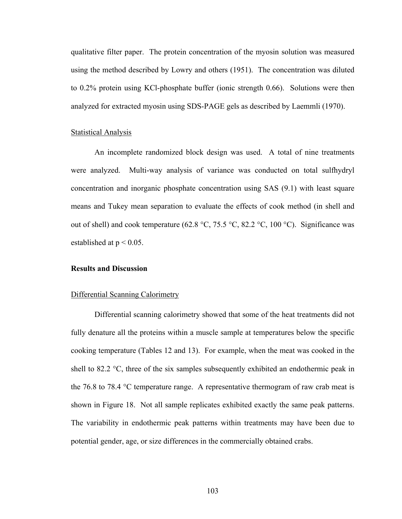qualitative filter paper. The protein concentration of the myosin solution was measured using the method described by Lowry and others (1951). The concentration was diluted to 0.2% protein using KCl-phosphate buffer (ionic strength 0.66). Solutions were then analyzed for extracted myosin using SDS-PAGE gels as described by Laemmli (1970).

#### **Statistical Analysis**

 An incomplete randomized block design was used. A total of nine treatments were analyzed. Multi-way analysis of variance was conducted on total sulfhydryl concentration and inorganic phosphate concentration using SAS (9.1) with least square means and Tukey mean separation to evaluate the effects of cook method (in shell and out of shell) and cook temperature (62.8 °C, 75.5 °C, 82.2 °C, 100 °C). Significance was established at  $p < 0.05$ .

#### **Results and Discussion**

#### Differential Scanning Calorimetry

 Differential scanning calorimetry showed that some of the heat treatments did not fully denature all the proteins within a muscle sample at temperatures below the specific cooking temperature (Tables 12 and 13). For example, when the meat was cooked in the shell to 82.2  $\degree$ C, three of the six samples subsequently exhibited an endothermic peak in the 76.8 to 78.4 °C temperature range. A representative thermogram of raw crab meat is shown in Figure 18. Not all sample replicates exhibited exactly the same peak patterns. The variability in endothermic peak patterns within treatments may have been due to potential gender, age, or size differences in the commercially obtained crabs.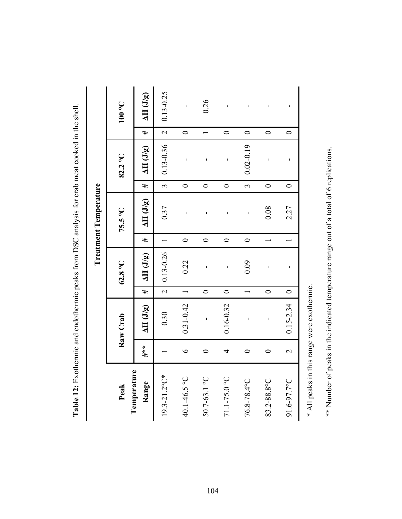|                              | $100\text{ }^{\circ}\text{C}$ | $\Delta H$ (J/g)     | $0.13 - 0.25$            | f,            | 0.26         | ï             | ı                  | ı           | ı                        |
|------------------------------|-------------------------------|----------------------|--------------------------|---------------|--------------|---------------|--------------------|-------------|--------------------------|
|                              |                               | #                    | $\overline{\mathcal{L}}$ | $\circ$       |              | $\circ$       | $\circ$            | $\circ$     | $\circ$                  |
|                              | 82.2°C                        | $\Delta H$ (J/g)     | $0.13 - 0.36$            | ı             | ı            | ı             | $0.02 - 0.19$      | ı           | ı                        |
|                              |                               | #                    | $\epsilon$               | $\circ$       | $\circ$      | $\circ$       | $\tilde{\epsilon}$ | $\circ$     | $\circ$                  |
| <b>Treatment Temperature</b> | 75.5°C                        | $\Delta H (J/g)$     | 0.37                     | ı             |              | ı             | ı                  | 0.08        | 2.27                     |
|                              |                               | #                    |                          | $\circ$       | $\circ$      | $\circ$       | $\circ$            |             |                          |
|                              | $62.8\text{°C}$               | $\Delta H$ (J/g)     | $0.13 - 0.26$            | 0.22          | ı            | ı             | 0.09               | ı           | ı                        |
|                              |                               | #                    | $\overline{\mathcal{L}}$ |               | $\circ$      | $\circ$       |                    | $\circ$     | $\circ$                  |
|                              | Raw Crab                      | $\Delta H$ (J/g)     | 0.30                     | $0.31 - 0.42$ | ı            | $0.16 - 0.32$ | ı                  | ı           | $0.15 - 2.34$            |
|                              |                               | $***$                |                          | $\bullet$     |              | 4             |                    |             | $\overline{\mathcal{C}}$ |
|                              | Peak                          | Temperature<br>Range | 19.3-21.2°C*             | 40.1-46.5 °C  | 50.7-63.1 °C | 71.1-75.0 °C  | 76.8-78.4°C        | 83.2-88.8°C | 91.6-97.7°C              |

**Table 12:** Exothermic and endothermic peaks from DSC analysis for crab meat cooked in the shell. Table 12: Exothermic and endothermic peaks from DSC analysis for crab meat cooked in the shell.

\* All peaks in this range were exothermic. \* All peaks in this range were exothermic. \*\* Number of peaks in the indicated temperature range out of a total of 6 replications. \*\* Number of peaks in the indicated temperature range out of a total of 6 replications.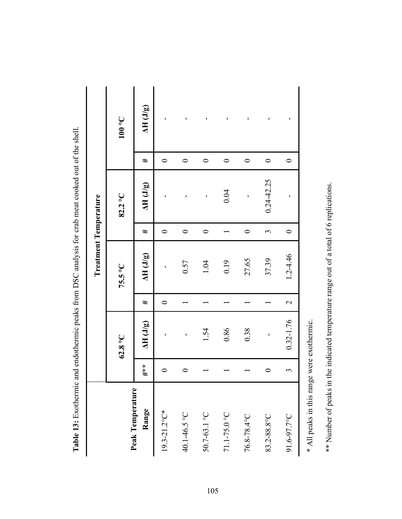| <b>THE PERSONS AND STRAIN</b> |     |                  |                          | TINITY IS NOT TO THE CHANGE TO THE STATE OF THE CONTRACT OF THE CONTRACT OF THE CONTRACT OF THE CONTRACT OF THE CONTRACT OF THE CONTRACT OF THE CONTRACT OF THE CONTRACT OF THE CONTRACT OF THE CONTRACT OF THE CONTRACT OF TH |         |                  |           |                               |
|-------------------------------|-----|------------------|--------------------------|--------------------------------------------------------------------------------------------------------------------------------------------------------------------------------------------------------------------------------|---------|------------------|-----------|-------------------------------|
|                               |     |                  |                          | Treatment Temperature                                                                                                                                                                                                          |         |                  |           |                               |
|                               |     | $62.8\text{°C}$  |                          | 75.5°C                                                                                                                                                                                                                         |         | 82.2°C           |           | $100\text{ }^{\circ}\text{C}$ |
| Peak Temperature<br>Range     | #** | $\Delta H$ (J/g) | #                        | $\Delta H$ (J/g)                                                                                                                                                                                                               | #       | $\Delta H$ (J/g) | #         | $\Delta H$ (J/g)              |
| $19.3 - 21.2$ °C*             |     | f,               | 0                        | f,                                                                                                                                                                                                                             | 0       | J.               | 0         | ı                             |
| 40.1-46.5 °C                  | 0   | ı                |                          | 0.57                                                                                                                                                                                                                           | $\circ$ | J.               | $\circ$   | ٠                             |
| 50.7-63.1 °C                  |     | 1.54             |                          | 1.04                                                                                                                                                                                                                           | $\circ$ | ı                | $\bullet$ | ı                             |
| 71.1-75.0 °C                  |     | 0.86             |                          | 0.19                                                                                                                                                                                                                           |         | 0.04             | $\circ$   | ı                             |
| 76.8-78.4°C                   |     | 0.38             |                          | 27.65                                                                                                                                                                                                                          | $\circ$ | ı                | $\circ$   | I                             |
| 83.2-88.8°C                   |     | ı                |                          | 37.39                                                                                                                                                                                                                          | 3       | $0.24 - 42.25$   | $\circ$   | ı                             |
| 91.6-97.7°C                   | 3   | 0.32-1.76        | $\overline{\mathcal{L}}$ | 1.2-4.46                                                                                                                                                                                                                       | $\circ$ | ı                | $\circ$   | 1                             |
|                               |     |                  |                          |                                                                                                                                                                                                                                |         |                  |           |                               |

**Table 13:** Exothermic and endothermic peaks from DSC analysis for crab meat cooked out of the shell. **Table 13:** Exothermic and endothermic peaks from DSC analysis for crab meat cooked out of the shell.

\* All peaks in this range were exothermic. \* All peaks in this range were exothermic. \*\* Number of peaks in the indicated temperature range out of a total of 6 replications. \*\* Number of peaks in the indicated temperature range out of a total of 6 replications.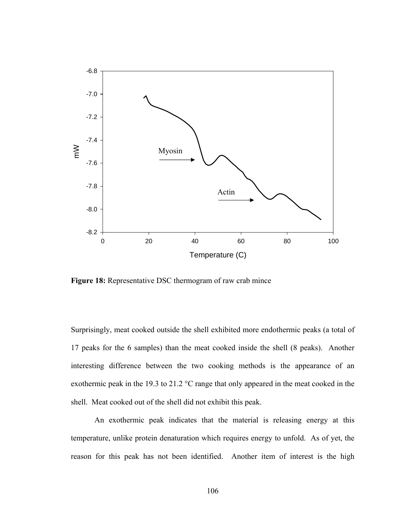

Figure 18: Representative DSC thermogram of raw crab mince

Surprisingly, meat cooked outside the shell exhibited more endothermic peaks (a total of 17 peaks for the 6 samples) than the meat cooked inside the shell (8 peaks). Another interesting difference between the two cooking methods is the appearance of an exothermic peak in the 19.3 to 21.2 °C range that only appeared in the meat cooked in the shell. Meat cooked out of the shell did not exhibit this peak.

 An exothermic peak indicates that the material is releasing energy at this temperature, unlike protein denaturation which requires energy to unfold. As of yet, the reason for this peak has not been identified. Another item of interest is the high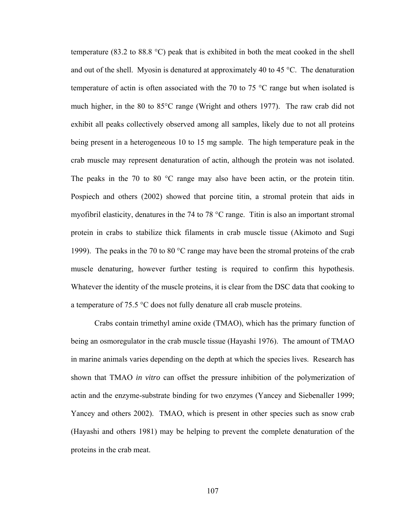temperature (83.2 to 88.8 °C) peak that is exhibited in both the meat cooked in the shell and out of the shell. Myosin is denatured at approximately 40 to 45  $^{\circ}$ C. The denaturation temperature of actin is often associated with the 70 to 75 °C range but when isolated is much higher, in the 80 to 85°C range (Wright and others 1977). The raw crab did not exhibit all peaks collectively observed among all samples, likely due to not all proteins being present in a heterogeneous 10 to 15 mg sample. The high temperature peak in the crab muscle may represent denaturation of actin, although the protein was not isolated. The peaks in the 70 to 80 °C range may also have been actin, or the protein titin. Pospiech and others (2002) showed that porcine titin, a stromal protein that aids in myofibril elasticity, denatures in the 74 to 78 °C range. Titin is also an important stromal protein in crabs to stabilize thick filaments in crab muscle tissue (Akimoto and Sugi 1999). The peaks in the 70 to 80 °C range may have been the stromal proteins of the crab muscle denaturing, however further testing is required to confirm this hypothesis. Whatever the identity of the muscle proteins, it is clear from the DSC data that cooking to a temperature of 75.5 °C does not fully denature all crab muscle proteins.

 Crabs contain trimethyl amine oxide (TMAO), which has the primary function of being an osmoregulator in the crab muscle tissue (Hayashi 1976). The amount of TMAO in marine animals varies depending on the depth at which the species lives. Research has shown that TMAO *in vitro* can offset the pressure inhibition of the polymerization of actin and the enzyme-substrate binding for two enzymes (Yancey and Siebenaller 1999; Yancey and others 2002). TMAO, which is present in other species such as snow crab (Hayashi and others 1981) may be helping to prevent the complete denaturation of the proteins in the crab meat.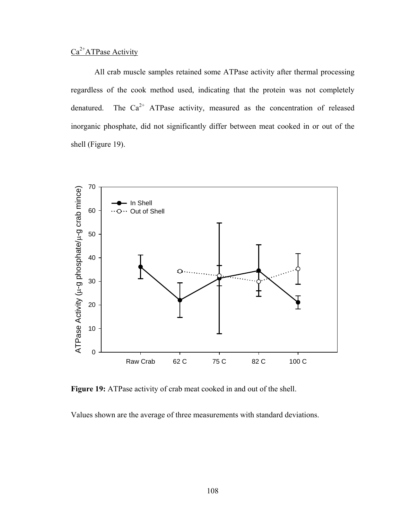## $Ca<sup>2+</sup>ATPase Activity$

 All crab muscle samples retained some ATPase activity after thermal processing regardless of the cook method used, indicating that the protein was not completely denatured. The  $Ca^{2+}$  ATPase activity, measured as the concentration of released inorganic phosphate, did not significantly differ between meat cooked in or out of the shell (Figure 19).



Figure 19: ATPase activity of crab meat cooked in and out of the shell.

Values shown are the average of three measurements with standard deviations.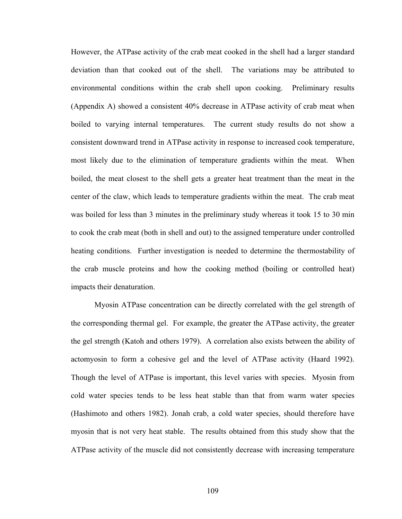However, the ATPase activity of the crab meat cooked in the shell had a larger standard deviation than that cooked out of the shell. The variations may be attributed to environmental conditions within the crab shell upon cooking. Preliminary results (Appendix A) showed a consistent 40% decrease in ATPase activity of crab meat when boiled to varying internal temperatures. The current study results do not show a consistent downward trend in ATPase activity in response to increased cook temperature, most likely due to the elimination of temperature gradients within the meat. When boiled, the meat closest to the shell gets a greater heat treatment than the meat in the center of the claw, which leads to temperature gradients within the meat. The crab meat was boiled for less than 3 minutes in the preliminary study whereas it took 15 to 30 min to cook the crab meat (both in shell and out) to the assigned temperature under controlled heating conditions. Further investigation is needed to determine the thermostability of the crab muscle proteins and how the cooking method (boiling or controlled heat) impacts their denaturation.

 Myosin ATPase concentration can be directly correlated with the gel strength of the corresponding thermal gel. For example, the greater the ATPase activity, the greater the gel strength (Katoh and others 1979). A correlation also exists between the ability of actomyosin to form a cohesive gel and the level of ATPase activity (Haard 1992). Though the level of ATPase is important, this level varies with species. Myosin from cold water species tends to be less heat stable than that from warm water species (Hashimoto and others 1982). Jonah crab, a cold water species, should therefore have myosin that is not very heat stable. The results obtained from this study show that the ATPase activity of the muscle did not consistently decrease with increasing temperature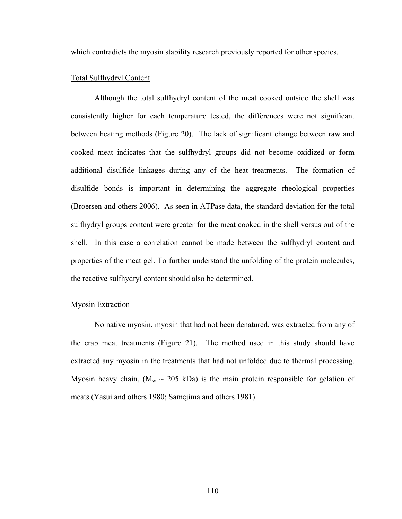which contradicts the myosin stability research previously reported for other species.

#### Total Sulfhydryl Content

 Although the total sulfhydryl content of the meat cooked outside the shell was consistently higher for each temperature tested, the differences were not significant between heating methods (Figure 20). The lack of significant change between raw and cooked meat indicates that the sulfhydryl groups did not become oxidized or form additional disulfide linkages during any of the heat treatments. The formation of disulfide bonds is important in determining the aggregate rheological properties (Broersen and others 2006). As seen in ATPase data, the standard deviation for the total sulfhydryl groups content were greater for the meat cooked in the shell versus out of the shell. In this case a correlation cannot be made between the sulfhydryl content and properties of the meat gel. To further understand the unfolding of the protein molecules, the reactive sulfhydryl content should also be determined.

#### Myosin Extraction

 No native myosin, myosin that had not been denatured, was extracted from any of the crab meat treatments (Figure 21). The method used in this study should have extracted any myosin in the treatments that had not unfolded due to thermal processing. Myosin heavy chain,  $(M_w \sim 205 \text{ kDa})$  is the main protein responsible for gelation of meats (Yasui and others 1980; Samejima and others 1981).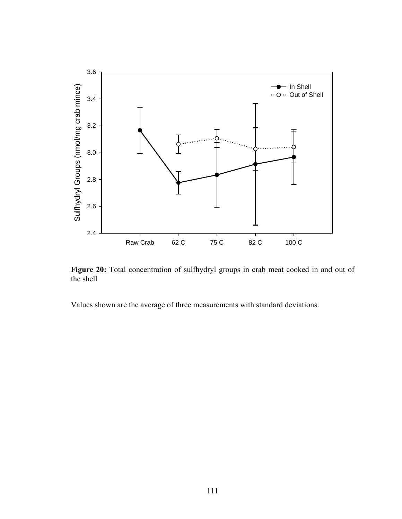

Figure 20: Total concentration of sulfhydryl groups in crab meat cooked in and out of the shell

Values shown are the average of three measurements with standard deviations.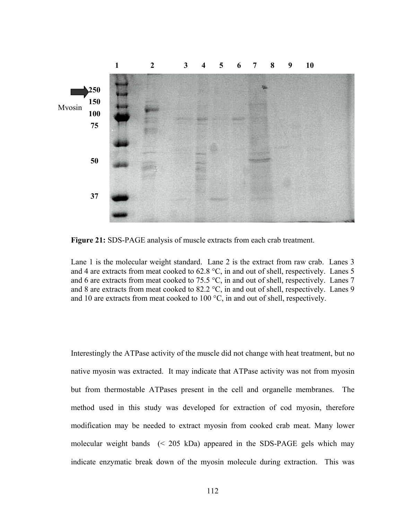

**Figure 21:** SDS-PAGE analysis of muscle extracts from each crab treatment.

Lane 1 is the molecular weight standard. Lane 2 is the extract from raw crab. Lanes 3 and 4 are extracts from meat cooked to 62.8 °C, in and out of shell, respectively. Lanes 5 and 6 are extracts from meat cooked to 75.5 °C, in and out of shell, respectively. Lanes 7 and 8 are extracts from meat cooked to 82.2 °C, in and out of shell, respectively. Lanes 9 and 10 are extracts from meat cooked to 100 °C, in and out of shell, respectively.

Interestingly the ATPase activity of the muscle did not change with heat treatment, but no native myosin was extracted. It may indicate that ATPase activity was not from myosin but from thermostable ATPases present in the cell and organelle membranes. The method used in this study was developed for extraction of cod myosin, therefore modification may be needed to extract myosin from cooked crab meat. Many lower molecular weight bands (< 205 kDa) appeared in the SDS-PAGE gels which may indicate enzymatic break down of the myosin molecule during extraction. This was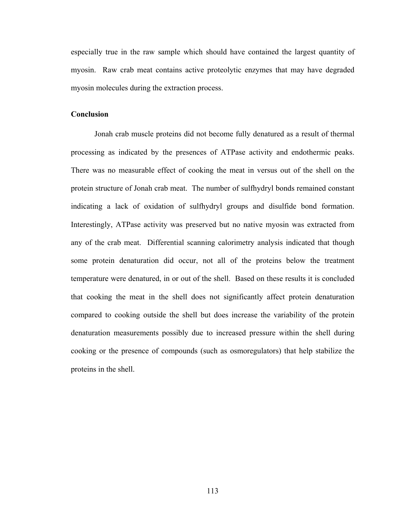especially true in the raw sample which should have contained the largest quantity of myosin. Raw crab meat contains active proteolytic enzymes that may have degraded myosin molecules during the extraction process.

#### **Conclusion**

 Jonah crab muscle proteins did not become fully denatured as a result of thermal processing as indicated by the presences of ATPase activity and endothermic peaks. There was no measurable effect of cooking the meat in versus out of the shell on the protein structure of Jonah crab meat. The number of sulfhydryl bonds remained constant indicating a lack of oxidation of sulfhydryl groups and disulfide bond formation. Interestingly, ATPase activity was preserved but no native myosin was extracted from any of the crab meat. Differential scanning calorimetry analysis indicated that though some protein denaturation did occur, not all of the proteins below the treatment temperature were denatured, in or out of the shell. Based on these results it is concluded that cooking the meat in the shell does not significantly affect protein denaturation compared to cooking outside the shell but does increase the variability of the protein denaturation measurements possibly due to increased pressure within the shell during cooking or the presence of compounds (such as osmoregulators) that help stabilize the proteins in the shell.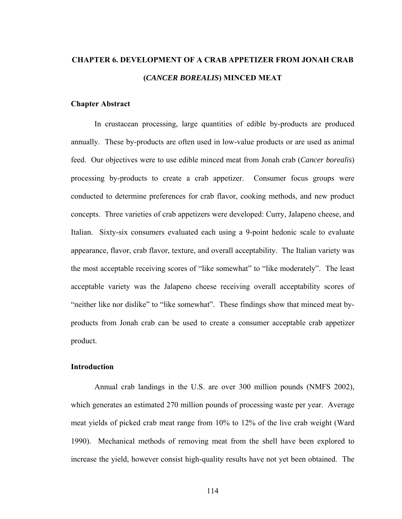## **CHAPTER 6. DEVELOPMENT OF A CRAB APPETIZER FROM JONAH CRAB (***CANCER BOREALIS***) MINCED MEAT**

#### **Chapter Abstract**

 In crustacean processing, large quantities of edible by-products are produced annually. These by-products are often used in low-value products or are used as animal feed. Our objectives were to use edible minced meat from Jonah crab (*Cancer borealis*) processing by-products to create a crab appetizer. Consumer focus groups were conducted to determine preferences for crab flavor, cooking methods, and new product concepts. Three varieties of crab appetizers were developed: Curry, Jalapeno cheese, and Italian. Sixty-six consumers evaluated each using a 9-point hedonic scale to evaluate appearance, flavor, crab flavor, texture, and overall acceptability. The Italian variety was the most acceptable receiving scores of "like somewhat" to "like moderately". The least acceptable variety was the Jalapeno cheese receiving overall acceptability scores of "neither like nor dislike" to "like somewhat". These findings show that minced meat byproducts from Jonah crab can be used to create a consumer acceptable crab appetizer product.

#### **Introduction**

 Annual crab landings in the U.S. are over 300 million pounds (NMFS 2002), which generates an estimated 270 million pounds of processing waste per year. Average meat yields of picked crab meat range from 10% to 12% of the live crab weight (Ward 1990). Mechanical methods of removing meat from the shell have been explored to increase the yield, however consist high-quality results have not yet been obtained. The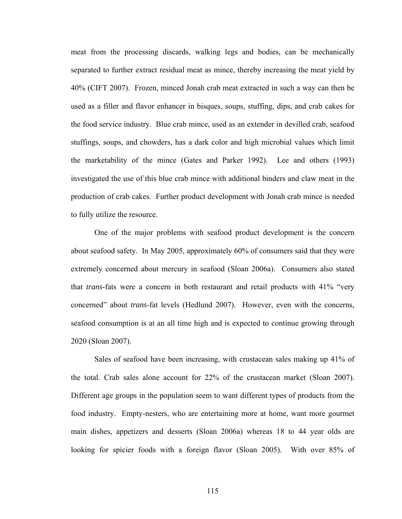meat from the processing discards, walking legs and bodies, can be mechanically separated to further extract residual meat as mince, thereby increasing the meat yield by 40% (CIFT 2007). Frozen, minced Jonah crab meat extracted in such a way can then be used as a filler and flavor enhancer in bisques, soups, stuffing, dips, and crab cakes for the food service industry. Blue crab mince, used as an extender in devilled crab, seafood stuffings, soups, and chowders, has a dark color and high microbial values which limit the marketability of the mince (Gates and Parker 1992). Lee and others (1993) investigated the use of this blue crab mince with additional binders and claw meat in the production of crab cakes. Further product development with Jonah crab mince is needed to fully utilize the resource.

 One of the major problems with seafood product development is the concern about seafood safety. In May 2005, approximately 60% of consumers said that they were extremely concerned about mercury in seafood (Sloan 2006a). Consumers also stated that *trans*-fats were a concern in both restaurant and retail products with 41% "very concerned" about *trans*-fat levels (Hedlund 2007). However, even with the concerns, seafood consumption is at an all time high and is expected to continue growing through 2020 (Sloan 2007).

 Sales of seafood have been increasing, with crustacean sales making up 41% of the total. Crab sales alone account for 22% of the crustacean market (Sloan 2007). Different age groups in the population seem to want different types of products from the food industry. Empty-nesters, who are entertaining more at home, want more gourmet main dishes, appetizers and desserts (Sloan 2006a) whereas 18 to 44 year olds are looking for spicier foods with a foreign flavor (Sloan 2005). With over 85% of

115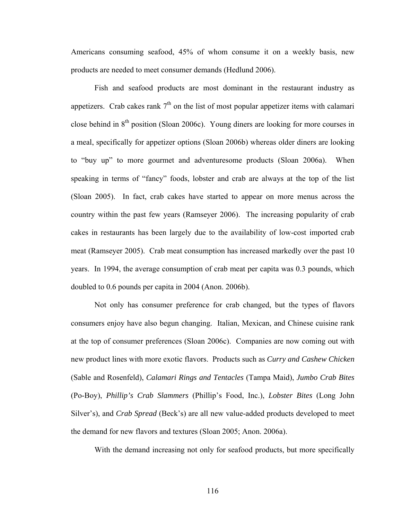Americans consuming seafood, 45% of whom consume it on a weekly basis, new products are needed to meet consumer demands (Hedlund 2006).

 Fish and seafood products are most dominant in the restaurant industry as appetizers. Crab cakes rank  $7<sup>th</sup>$  on the list of most popular appetizer items with calamari close behind in 8th position (Sloan 2006c). Young diners are looking for more courses in a meal, specifically for appetizer options (Sloan 2006b) whereas older diners are looking to "buy up" to more gourmet and adventuresome products (Sloan 2006a). When speaking in terms of "fancy" foods, lobster and crab are always at the top of the list (Sloan 2005). In fact, crab cakes have started to appear on more menus across the country within the past few years (Ramseyer 2006). The increasing popularity of crab cakes in restaurants has been largely due to the availability of low-cost imported crab meat (Ramseyer 2005). Crab meat consumption has increased markedly over the past 10 years. In 1994, the average consumption of crab meat per capita was 0.3 pounds, which doubled to 0.6 pounds per capita in 2004 (Anon. 2006b).

 Not only has consumer preference for crab changed, but the types of flavors consumers enjoy have also begun changing. Italian, Mexican, and Chinese cuisine rank at the top of consumer preferences (Sloan 2006c). Companies are now coming out with new product lines with more exotic flavors. Products such as *Curry and Cashew Chicken* (Sable and Rosenfeld), *Calamari Rings and Tentacles* (Tampa Maid), *Jumbo Crab Bites* (Po-Boy), *Phillip's Crab Slammers* (Phillip's Food, Inc.), *Lobster Bites* (Long John Silver's), and *Crab Spread* (Beck's) are all new value-added products developed to meet the demand for new flavors and textures (Sloan 2005; Anon. 2006a).

With the demand increasing not only for seafood products, but more specifically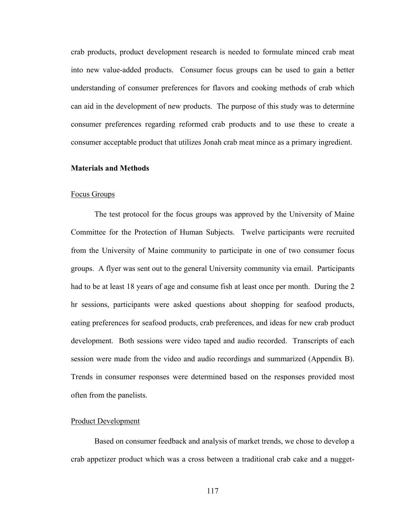crab products, product development research is needed to formulate minced crab meat into new value-added products. Consumer focus groups can be used to gain a better understanding of consumer preferences for flavors and cooking methods of crab which can aid in the development of new products. The purpose of this study was to determine consumer preferences regarding reformed crab products and to use these to create a consumer acceptable product that utilizes Jonah crab meat mince as a primary ingredient.

#### **Materials and Methods**

#### Focus Groups

 The test protocol for the focus groups was approved by the University of Maine Committee for the Protection of Human Subjects. Twelve participants were recruited from the University of Maine community to participate in one of two consumer focus groups. A flyer was sent out to the general University community via email. Participants had to be at least 18 years of age and consume fish at least once per month. During the 2 hr sessions, participants were asked questions about shopping for seafood products, eating preferences for seafood products, crab preferences, and ideas for new crab product development. Both sessions were video taped and audio recorded. Transcripts of each session were made from the video and audio recordings and summarized (Appendix B). Trends in consumer responses were determined based on the responses provided most often from the panelists.

#### Product Development

 Based on consumer feedback and analysis of market trends, we chose to develop a crab appetizer product which was a cross between a traditional crab cake and a nugget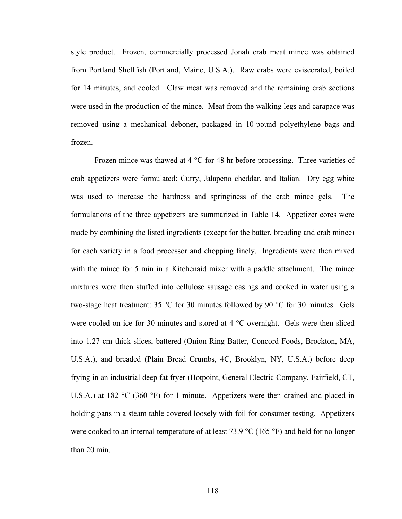style product. Frozen, commercially processed Jonah crab meat mince was obtained from Portland Shellfish (Portland, Maine, U.S.A.). Raw crabs were eviscerated, boiled for 14 minutes, and cooled. Claw meat was removed and the remaining crab sections were used in the production of the mince. Meat from the walking legs and carapace was removed using a mechanical deboner, packaged in 10-pound polyethylene bags and frozen.

Frozen mince was thawed at 4 °C for 48 hr before processing. Three varieties of crab appetizers were formulated: Curry, Jalapeno cheddar, and Italian. Dry egg white was used to increase the hardness and springiness of the crab mince gels. The formulations of the three appetizers are summarized in Table 14. Appetizer cores were made by combining the listed ingredients (except for the batter, breading and crab mince) for each variety in a food processor and chopping finely. Ingredients were then mixed with the mince for 5 min in a Kitchenaid mixer with a paddle attachment. The mince mixtures were then stuffed into cellulose sausage casings and cooked in water using a two-stage heat treatment: 35 °C for 30 minutes followed by 90 °C for 30 minutes. Gels were cooled on ice for 30 minutes and stored at 4 °C overnight. Gels were then sliced into 1.27 cm thick slices, battered (Onion Ring Batter, Concord Foods, Brockton, MA, U.S.A.), and breaded (Plain Bread Crumbs, 4C, Brooklyn, NY, U.S.A.) before deep frying in an industrial deep fat fryer (Hotpoint, General Electric Company, Fairfield, CT, U.S.A.) at 182 °C (360 °F) for 1 minute. Appetizers were then drained and placed in holding pans in a steam table covered loosely with foil for consumer testing. Appetizers were cooked to an internal temperature of at least 73.9 °C (165 °F) and held for no longer than 20 min.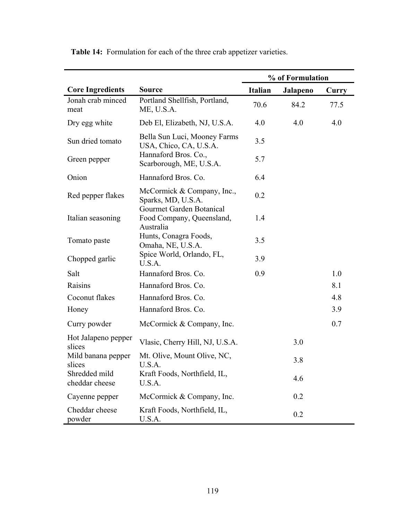|                                 |                                                                    |                | % of Formulation |       |
|---------------------------------|--------------------------------------------------------------------|----------------|------------------|-------|
| <b>Core Ingredients</b>         | <b>Source</b>                                                      | <b>Italian</b> | Jalapeno         | Curry |
| Jonah crab minced<br>meat       | Portland Shellfish, Portland,<br>ME, U.S.A.                        | 70.6           | 84.2             | 77.5  |
| Dry egg white                   | Deb El, Elizabeth, NJ, U.S.A.                                      | 4.0            | 4.0              | 4.0   |
| Sun dried tomato                | Bella Sun Luci, Mooney Farms<br>USA, Chico, CA, U.S.A.             | 3.5            |                  |       |
| Green pepper                    | Hannaford Bros. Co.,<br>Scarborough, ME, U.S.A.                    | 5.7            |                  |       |
| Onion                           | Hannaford Bros. Co.                                                | 6.4            |                  |       |
| Red pepper flakes               | McCormick & Company, Inc.,<br>Sparks, MD, U.S.A.                   | 0.2            |                  |       |
| Italian seasoning               | Gourmet Garden Botanical<br>Food Company, Queensland,<br>Australia | 1.4            |                  |       |
| Tomato paste                    | Hunts, Conagra Foods,<br>Omaha, NE, U.S.A.                         | 3.5            |                  |       |
| Chopped garlic                  | Spice World, Orlando, FL,<br>U.S.A.                                | 3.9            |                  |       |
| Salt                            | Hannaford Bros. Co.                                                | 0.9            |                  | 1.0   |
| Raisins                         | Hannaford Bros. Co.                                                |                |                  | 8.1   |
| Coconut flakes                  | Hannaford Bros. Co.                                                |                |                  | 4.8   |
| Honey                           | Hannaford Bros. Co.                                                |                |                  | 3.9   |
| Curry powder                    | McCormick & Company, Inc.                                          |                |                  | 0.7   |
| Hot Jalapeno pepper<br>slices   | Vlasic, Cherry Hill, NJ, U.S.A.                                    |                | 3.0              |       |
| Mild banana pepper<br>slices    | Mt. Olive, Mount Olive, NC,<br>U.S.A.                              |                | 3.8              |       |
| Shredded mild<br>cheddar cheese | Kraft Foods, Northfield, IL,<br>U.S.A.                             |                | 4.6              |       |
| Cayenne pepper                  | McCormick & Company, Inc.                                          |                | 0.2              |       |
| Cheddar cheese<br>powder        | Kraft Foods, Northfield, IL,<br>U.S.A.                             |                | 0.2              |       |

**Table 14:** Formulation for each of the three crab appetizer varieties.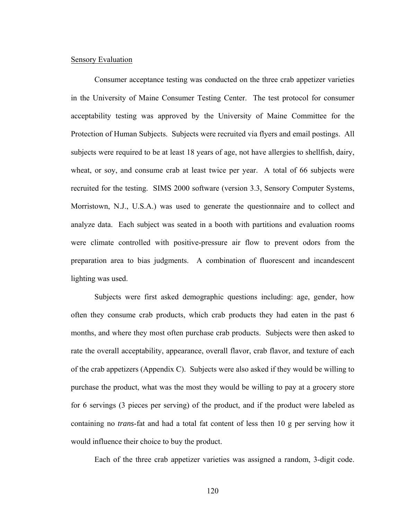#### Sensory Evaluation

 Consumer acceptance testing was conducted on the three crab appetizer varieties in the University of Maine Consumer Testing Center. The test protocol for consumer acceptability testing was approved by the University of Maine Committee for the Protection of Human Subjects. Subjects were recruited via flyers and email postings. All subjects were required to be at least 18 years of age, not have allergies to shellfish, dairy, wheat, or soy, and consume crab at least twice per year. A total of 66 subjects were recruited for the testing. SIMS 2000 software (version 3.3, Sensory Computer Systems, Morristown, N.J., U.S.A.) was used to generate the questionnaire and to collect and analyze data. Each subject was seated in a booth with partitions and evaluation rooms were climate controlled with positive-pressure air flow to prevent odors from the preparation area to bias judgments. A combination of fluorescent and incandescent lighting was used.

 Subjects were first asked demographic questions including: age, gender, how often they consume crab products, which crab products they had eaten in the past 6 months, and where they most often purchase crab products. Subjects were then asked to rate the overall acceptability, appearance, overall flavor, crab flavor, and texture of each of the crab appetizers (Appendix C). Subjects were also asked if they would be willing to purchase the product, what was the most they would be willing to pay at a grocery store for 6 servings (3 pieces per serving) of the product, and if the product were labeled as containing no *trans*-fat and had a total fat content of less then 10 g per serving how it would influence their choice to buy the product.

Each of the three crab appetizer varieties was assigned a random, 3-digit code.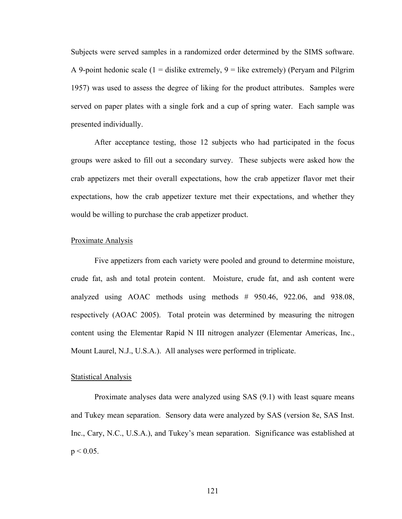Subjects were served samples in a randomized order determined by the SIMS software. A 9-point hedonic scale  $(1 - \text{dislike extremely}, 9 - \text{like extremely})$  (Peryam and Pilgrim 1957) was used to assess the degree of liking for the product attributes. Samples were served on paper plates with a single fork and a cup of spring water. Each sample was presented individually.

 After acceptance testing, those 12 subjects who had participated in the focus groups were asked to fill out a secondary survey. These subjects were asked how the crab appetizers met their overall expectations, how the crab appetizer flavor met their expectations, how the crab appetizer texture met their expectations, and whether they would be willing to purchase the crab appetizer product.

#### Proximate Analysis

 Five appetizers from each variety were pooled and ground to determine moisture, crude fat, ash and total protein content. Moisture, crude fat, and ash content were analyzed using AOAC methods using methods # 950.46, 922.06, and 938.08, respectively (AOAC 2005). Total protein was determined by measuring the nitrogen content using the Elementar Rapid N III nitrogen analyzer (Elementar Americas, Inc., Mount Laurel, N.J., U.S.A.). All analyses were performed in triplicate.

#### Statistical Analysis

 Proximate analyses data were analyzed using SAS (9.1) with least square means and Tukey mean separation. Sensory data were analyzed by SAS (version 8e, SAS Inst. Inc., Cary, N.C., U.S.A.), and Tukey's mean separation. Significance was established at  $p < 0.05$ .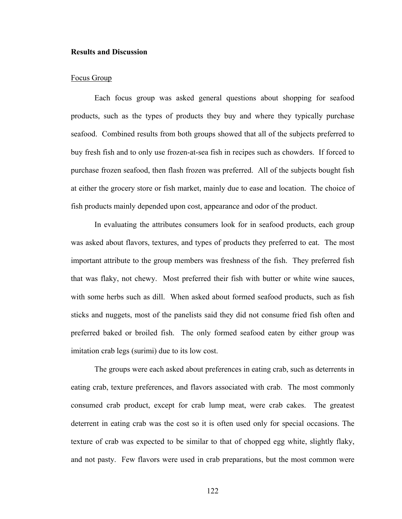#### **Results and Discussion**

#### Focus Group

 Each focus group was asked general questions about shopping for seafood products, such as the types of products they buy and where they typically purchase seafood. Combined results from both groups showed that all of the subjects preferred to buy fresh fish and to only use frozen-at-sea fish in recipes such as chowders. If forced to purchase frozen seafood, then flash frozen was preferred. All of the subjects bought fish at either the grocery store or fish market, mainly due to ease and location. The choice of fish products mainly depended upon cost, appearance and odor of the product.

 In evaluating the attributes consumers look for in seafood products, each group was asked about flavors, textures, and types of products they preferred to eat. The most important attribute to the group members was freshness of the fish. They preferred fish that was flaky, not chewy. Most preferred their fish with butter or white wine sauces, with some herbs such as dill. When asked about formed seafood products, such as fish sticks and nuggets, most of the panelists said they did not consume fried fish often and preferred baked or broiled fish. The only formed seafood eaten by either group was imitation crab legs (surimi) due to its low cost.

 The groups were each asked about preferences in eating crab, such as deterrents in eating crab, texture preferences, and flavors associated with crab. The most commonly consumed crab product, except for crab lump meat, were crab cakes. The greatest deterrent in eating crab was the cost so it is often used only for special occasions. The texture of crab was expected to be similar to that of chopped egg white, slightly flaky, and not pasty. Few flavors were used in crab preparations, but the most common were

122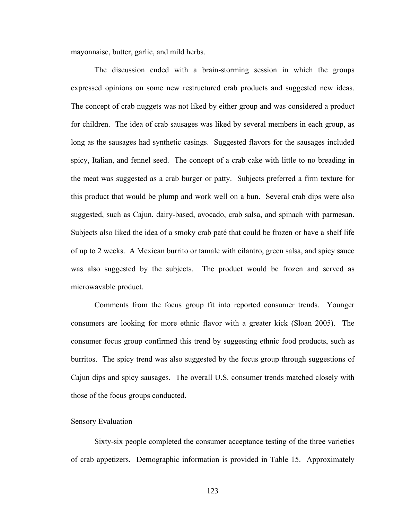mayonnaise, butter, garlic, and mild herbs.

 The discussion ended with a brain-storming session in which the groups expressed opinions on some new restructured crab products and suggested new ideas. The concept of crab nuggets was not liked by either group and was considered a product for children. The idea of crab sausages was liked by several members in each group, as long as the sausages had synthetic casings. Suggested flavors for the sausages included spicy, Italian, and fennel seed. The concept of a crab cake with little to no breading in the meat was suggested as a crab burger or patty. Subjects preferred a firm texture for this product that would be plump and work well on a bun. Several crab dips were also suggested, such as Cajun, dairy-based, avocado, crab salsa, and spinach with parmesan. Subjects also liked the idea of a smoky crab paté that could be frozen or have a shelf life of up to 2 weeks. A Mexican burrito or tamale with cilantro, green salsa, and spicy sauce was also suggested by the subjects. The product would be frozen and served as microwavable product.

 Comments from the focus group fit into reported consumer trends. Younger consumers are looking for more ethnic flavor with a greater kick (Sloan 2005). The consumer focus group confirmed this trend by suggesting ethnic food products, such as burritos. The spicy trend was also suggested by the focus group through suggestions of Cajun dips and spicy sausages. The overall U.S. consumer trends matched closely with those of the focus groups conducted.

#### **Sensory Evaluation**

 Sixty-six people completed the consumer acceptance testing of the three varieties of crab appetizers. Demographic information is provided in Table 15. Approximately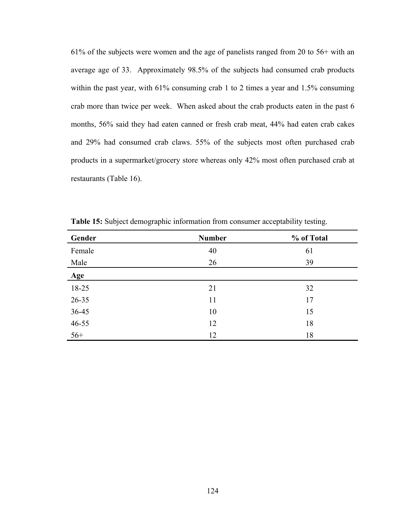61% of the subjects were women and the age of panelists ranged from 20 to 56+ with an average age of 33. Approximately 98.5% of the subjects had consumed crab products within the past year, with 61% consuming crab 1 to 2 times a year and 1.5% consuming crab more than twice per week. When asked about the crab products eaten in the past 6 months, 56% said they had eaten canned or fresh crab meat, 44% had eaten crab cakes and 29% had consumed crab claws. 55% of the subjects most often purchased crab products in a supermarket/grocery store whereas only 42% most often purchased crab at restaurants (Table 16).

| Gender    | <b>Number</b> | % of Total |
|-----------|---------------|------------|
| Female    | 40            | 61         |
| Male      | 26            | 39         |
| Age       |               |            |
| 18-25     | 21            | 32         |
| 26-35     | 11            | 17         |
| $36 - 45$ | 10            | 15         |
| $46 - 55$ | 12            | 18         |
| $56+$     | 12            | 18         |

**Table 15:** Subject demographic information from consumer acceptability testing.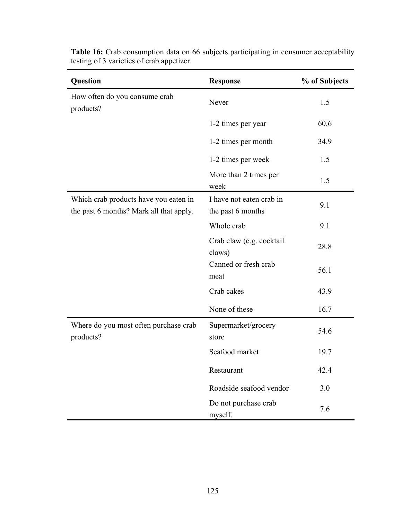| Question                                                                         | <b>Response</b>                               | % of Subjects |
|----------------------------------------------------------------------------------|-----------------------------------------------|---------------|
| How often do you consume crab<br>products?                                       | Never                                         | 1.5           |
|                                                                                  | 1-2 times per year                            | 60.6          |
|                                                                                  | 1-2 times per month                           | 34.9          |
|                                                                                  | 1-2 times per week                            | 1.5           |
|                                                                                  | More than 2 times per<br>week                 | 1.5           |
| Which crab products have you eaten in<br>the past 6 months? Mark all that apply. | I have not eaten crab in<br>the past 6 months | 9.1           |
|                                                                                  | Whole crab                                    | 9.1           |
|                                                                                  | Crab claw (e.g. cocktail<br>claws)            | 28.8          |
|                                                                                  | Canned or fresh crab<br>meat                  | 56.1          |
|                                                                                  | Crab cakes                                    | 43.9          |
|                                                                                  | None of these                                 | 16.7          |
| Where do you most often purchase crab<br>products?                               | Supermarket/grocery<br>store                  | 54.6          |
|                                                                                  | Seafood market                                | 19.7          |
|                                                                                  | Restaurant                                    | 42.4          |
|                                                                                  | Roadside seafood vendor                       | 3.0           |
|                                                                                  | Do not purchase crab<br>myself.               | 7.6           |

**Table 16:** Crab consumption data on 66 subjects participating in consumer acceptability testing of 3 varieties of crab appetizer.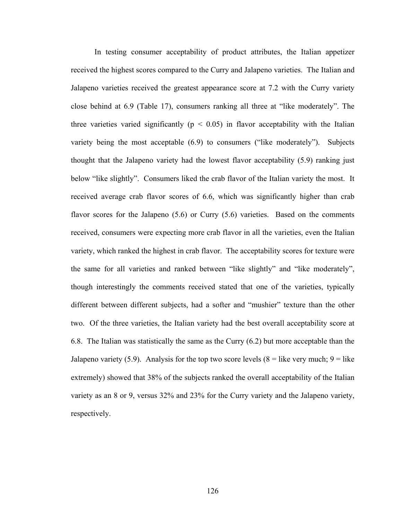In testing consumer acceptability of product attributes, the Italian appetizer received the highest scores compared to the Curry and Jalapeno varieties. The Italian and Jalapeno varieties received the greatest appearance score at 7.2 with the Curry variety close behind at 6.9 (Table 17), consumers ranking all three at "like moderately". The three varieties varied significantly ( $p < 0.05$ ) in flavor acceptability with the Italian variety being the most acceptable (6.9) to consumers ("like moderately"). Subjects thought that the Jalapeno variety had the lowest flavor acceptability (5.9) ranking just below "like slightly". Consumers liked the crab flavor of the Italian variety the most. It received average crab flavor scores of 6.6, which was significantly higher than crab flavor scores for the Jalapeno (5.6) or Curry (5.6) varieties. Based on the comments received, consumers were expecting more crab flavor in all the varieties, even the Italian variety, which ranked the highest in crab flavor. The acceptability scores for texture were the same for all varieties and ranked between "like slightly" and "like moderately", though interestingly the comments received stated that one of the varieties, typically different between different subjects, had a softer and "mushier" texture than the other two. Of the three varieties, the Italian variety had the best overall acceptability score at 6.8. The Italian was statistically the same as the Curry (6.2) but more acceptable than the Jalapeno variety (5.9). Analysis for the top two score levels ( $8$  = like very much;  $9$  = like extremely) showed that 38% of the subjects ranked the overall acceptability of the Italian variety as an 8 or 9, versus 32% and 23% for the Curry variety and the Jalapeno variety, respectively.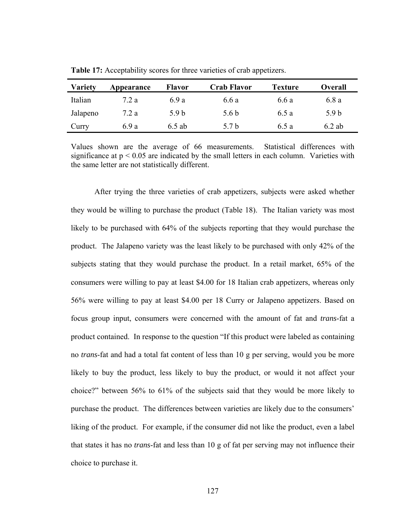| <b>Variety</b> | Appearance | <b>Flavor</b>    | <b>Crab Flavor</b> | <b>Texture</b> | <b>Overall</b> |
|----------------|------------|------------------|--------------------|----------------|----------------|
| Italian        | 7.2 a      | 6.9 a            | 6.6 a              | 6.6 a          | 6.8 a          |
| Jalapeno       | 7.2 a      | 5.9 <sub>b</sub> | 5.6 <sub>b</sub>   | 6.5 a          | 5.9 b          |
| Curry          | 6.9 a      | $6.5$ ab         | 5.7 b              | 6.5 a          | $6.2$ ab       |

**Table 17:** Acceptability scores for three varieties of crab appetizers.

Values shown are the average of 66 measurements. Statistical differences with significance at  $p < 0.05$  are indicated by the small letters in each column. Varieties with the same letter are not statistically different.

 After trying the three varieties of crab appetizers, subjects were asked whether they would be willing to purchase the product (Table 18). The Italian variety was most likely to be purchased with 64% of the subjects reporting that they would purchase the product. The Jalapeno variety was the least likely to be purchased with only 42% of the subjects stating that they would purchase the product. In a retail market, 65% of the consumers were willing to pay at least \$4.00 for 18 Italian crab appetizers, whereas only 56% were willing to pay at least \$4.00 per 18 Curry or Jalapeno appetizers. Based on focus group input, consumers were concerned with the amount of fat and *trans*-fat a product contained. In response to the question "If this product were labeled as containing no *trans*-fat and had a total fat content of less than 10 g per serving, would you be more likely to buy the product, less likely to buy the product, or would it not affect your choice?" between 56% to 61% of the subjects said that they would be more likely to purchase the product. The differences between varieties are likely due to the consumers' liking of the product. For example, if the consumer did not like the product, even a label that states it has no *trans*-fat and less than 10 g of fat per serving may not influence their choice to purchase it.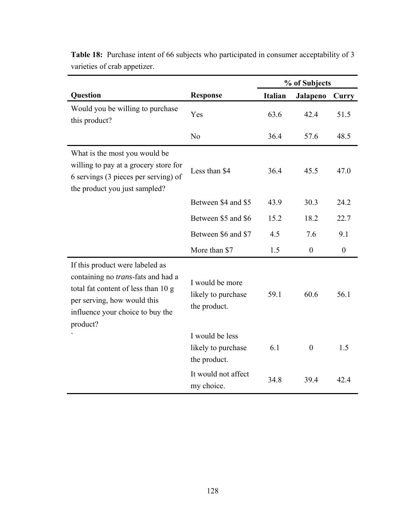|                                                                                                                                                                                                     |                                                       | % of Subjects |                  |                  |
|-----------------------------------------------------------------------------------------------------------------------------------------------------------------------------------------------------|-------------------------------------------------------|---------------|------------------|------------------|
| Question                                                                                                                                                                                            | <b>Response</b>                                       | Italian       | Jalapeno         | Curry            |
| Would you be willing to purchase<br>this product?                                                                                                                                                   | Yes                                                   | 63.6          | 42.4             | 51.5             |
|                                                                                                                                                                                                     | N <sub>0</sub>                                        | 36.4          | 57.6             | 48.5             |
| What is the most you would be<br>willing to pay at a grocery store for<br>6 servings (3 pieces per serving) of<br>the product you just sampled?                                                     | Less than \$4                                         | 36.4          | 45.5             | 47.0             |
|                                                                                                                                                                                                     | Between \$4 and \$5                                   | 43.9          | 30.3             | 24.2             |
|                                                                                                                                                                                                     | Between \$5 and \$6                                   | 15.2          | 18.2             | 22.7             |
|                                                                                                                                                                                                     | Between \$6 and \$7                                   | 4.5           | 7.6              | 9.1              |
|                                                                                                                                                                                                     | More than \$7                                         | 1.5           | $\boldsymbol{0}$ | $\boldsymbol{0}$ |
| If this product were labeled as<br>containing no <i>trans</i> -fats and had a<br>total fat content of less than 10 g<br>per serving, how would this<br>influence your choice to buy the<br>product? | I would be more<br>likely to purchase<br>the product. | 59.1          | 60.6             | 56.1             |
|                                                                                                                                                                                                     | I would be less<br>likely to purchase<br>the product. | 6.1           | $\boldsymbol{0}$ | 1.5              |
|                                                                                                                                                                                                     | It would not affect<br>my choice.                     | 34.8          | 39.4             | 42.4             |

**Table 18:** Purchase intent of 66 subjects who participated in consumer acceptability of 3 varieties of crab appetizer.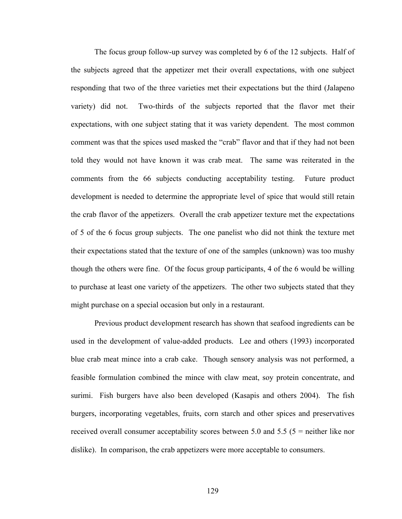The focus group follow-up survey was completed by 6 of the 12 subjects. Half of the subjects agreed that the appetizer met their overall expectations, with one subject responding that two of the three varieties met their expectations but the third (Jalapeno variety) did not. Two-thirds of the subjects reported that the flavor met their expectations, with one subject stating that it was variety dependent. The most common comment was that the spices used masked the "crab" flavor and that if they had not been told they would not have known it was crab meat. The same was reiterated in the comments from the 66 subjects conducting acceptability testing. Future product development is needed to determine the appropriate level of spice that would still retain the crab flavor of the appetizers. Overall the crab appetizer texture met the expectations of 5 of the 6 focus group subjects. The one panelist who did not think the texture met their expectations stated that the texture of one of the samples (unknown) was too mushy though the others were fine. Of the focus group participants, 4 of the 6 would be willing to purchase at least one variety of the appetizers. The other two subjects stated that they might purchase on a special occasion but only in a restaurant.

 Previous product development research has shown that seafood ingredients can be used in the development of value-added products. Lee and others (1993) incorporated blue crab meat mince into a crab cake. Though sensory analysis was not performed, a feasible formulation combined the mince with claw meat, soy protein concentrate, and surimi. Fish burgers have also been developed (Kasapis and others 2004). The fish burgers, incorporating vegetables, fruits, corn starch and other spices and preservatives received overall consumer acceptability scores between 5.0 and 5.5 (5 = neither like nor dislike). In comparison, the crab appetizers were more acceptable to consumers.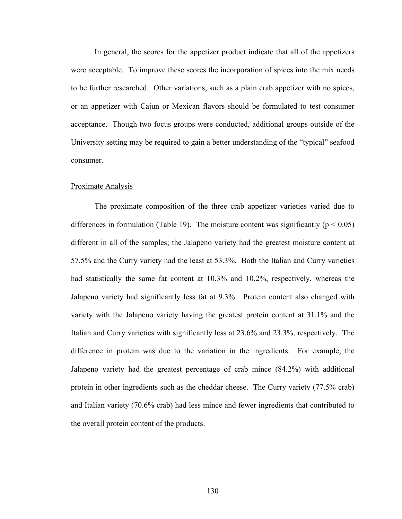In general, the scores for the appetizer product indicate that all of the appetizers were acceptable. To improve these scores the incorporation of spices into the mix needs to be further researched. Other variations, such as a plain crab appetizer with no spices, or an appetizer with Cajun or Mexican flavors should be formulated to test consumer acceptance. Though two focus groups were conducted, additional groups outside of the University setting may be required to gain a better understanding of the "typical" seafood consumer.

#### Proximate Analysis

 The proximate composition of the three crab appetizer varieties varied due to differences in formulation (Table 19). The moisture content was significantly ( $p < 0.05$ ) different in all of the samples; the Jalapeno variety had the greatest moisture content at 57.5% and the Curry variety had the least at 53.3%. Both the Italian and Curry varieties had statistically the same fat content at 10.3% and 10.2%, respectively, whereas the Jalapeno variety had significantly less fat at 9.3%. Protein content also changed with variety with the Jalapeno variety having the greatest protein content at 31.1% and the Italian and Curry varieties with significantly less at 23.6% and 23.3%, respectively. The difference in protein was due to the variation in the ingredients. For example, the Jalapeno variety had the greatest percentage of crab mince (84.2%) with additional protein in other ingredients such as the cheddar cheese. The Curry variety (77.5% crab) and Italian variety (70.6% crab) had less mince and fewer ingredients that contributed to the overall protein content of the products.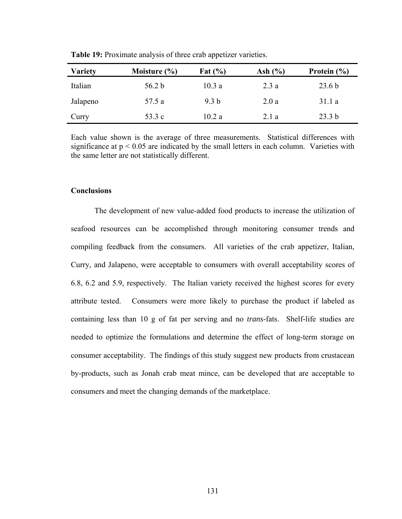| <b>Variety</b> | Moisture $(\% )$ | Fat $(\% )$      | Ash $(\% )$ | Protein $(\% )$   |
|----------------|------------------|------------------|-------------|-------------------|
| Italian        | 56.2 b           | 10.3a            | 2.3a        | 23.6 <sub>b</sub> |
| Jalapeno       | 57.5 a           | 9.3 <sub>b</sub> | 2.0a        | 31.1a             |
| Curry          | 53.3 c           | 10.2a            | 2.1a        | 23.3 <sub>b</sub> |

**Table 19:** Proximate analysis of three crab appetizer varieties.

Each value shown is the average of three measurements. Statistical differences with significance at  $p < 0.05$  are indicated by the small letters in each column. Varieties with the same letter are not statistically different.

#### **Conclusions**

 The development of new value-added food products to increase the utilization of seafood resources can be accomplished through monitoring consumer trends and compiling feedback from the consumers. All varieties of the crab appetizer, Italian, Curry, and Jalapeno, were acceptable to consumers with overall acceptability scores of 6.8, 6.2 and 5.9, respectively. The Italian variety received the highest scores for every attribute tested. Consumers were more likely to purchase the product if labeled as containing less than 10 g of fat per serving and no *trans*-fats. Shelf-life studies are needed to optimize the formulations and determine the effect of long-term storage on consumer acceptability. The findings of this study suggest new products from crustacean by-products, such as Jonah crab meat mince, can be developed that are acceptable to consumers and meet the changing demands of the marketplace.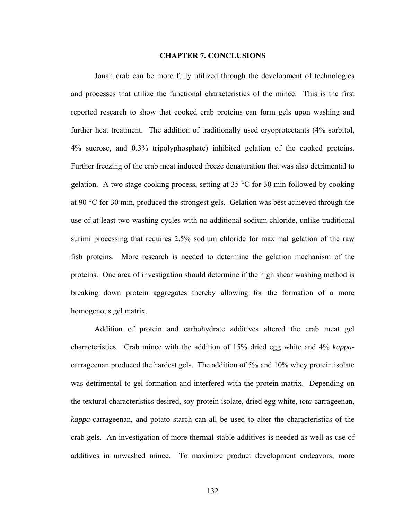#### **CHAPTER 7. CONCLUSIONS**

 Jonah crab can be more fully utilized through the development of technologies and processes that utilize the functional characteristics of the mince. This is the first reported research to show that cooked crab proteins can form gels upon washing and further heat treatment. The addition of traditionally used cryoprotectants (4% sorbitol, 4% sucrose, and 0.3% tripolyphosphate) inhibited gelation of the cooked proteins. Further freezing of the crab meat induced freeze denaturation that was also detrimental to gelation. A two stage cooking process, setting at 35 °C for 30 min followed by cooking at 90 °C for 30 min, produced the strongest gels. Gelation was best achieved through the use of at least two washing cycles with no additional sodium chloride, unlike traditional surimi processing that requires 2.5% sodium chloride for maximal gelation of the raw fish proteins. More research is needed to determine the gelation mechanism of the proteins. One area of investigation should determine if the high shear washing method is breaking down protein aggregates thereby allowing for the formation of a more homogenous gel matrix.

 Addition of protein and carbohydrate additives altered the crab meat gel characteristics. Crab mince with the addition of 15% dried egg white and 4% *kappa*carrageenan produced the hardest gels. The addition of 5% and 10% whey protein isolate was detrimental to gel formation and interfered with the protein matrix. Depending on the textural characteristics desired, soy protein isolate, dried egg white, *iota*-carrageenan, *kappa*-carrageenan, and potato starch can all be used to alter the characteristics of the crab gels. An investigation of more thermal-stable additives is needed as well as use of additives in unwashed mince. To maximize product development endeavors, more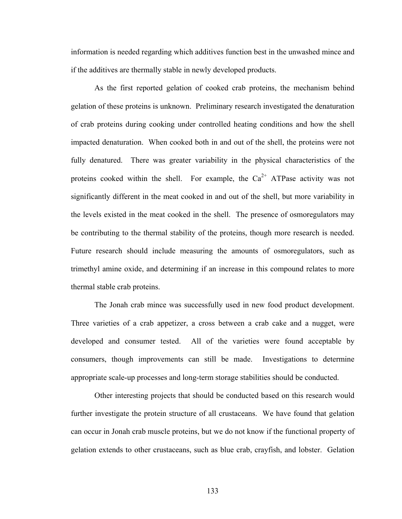information is needed regarding which additives function best in the unwashed mince and if the additives are thermally stable in newly developed products.

 As the first reported gelation of cooked crab proteins, the mechanism behind gelation of these proteins is unknown. Preliminary research investigated the denaturation of crab proteins during cooking under controlled heating conditions and how the shell impacted denaturation. When cooked both in and out of the shell, the proteins were not fully denatured. There was greater variability in the physical characteristics of the proteins cooked within the shell. For example, the  $Ca^{2+}$  ATPase activity was not significantly different in the meat cooked in and out of the shell, but more variability in the levels existed in the meat cooked in the shell. The presence of osmoregulators may be contributing to the thermal stability of the proteins, though more research is needed. Future research should include measuring the amounts of osmoregulators, such as trimethyl amine oxide, and determining if an increase in this compound relates to more thermal stable crab proteins.

 The Jonah crab mince was successfully used in new food product development. Three varieties of a crab appetizer, a cross between a crab cake and a nugget, were developed and consumer tested. All of the varieties were found acceptable by consumers, though improvements can still be made. Investigations to determine appropriate scale-up processes and long-term storage stabilities should be conducted.

 Other interesting projects that should be conducted based on this research would further investigate the protein structure of all crustaceans. We have found that gelation can occur in Jonah crab muscle proteins, but we do not know if the functional property of gelation extends to other crustaceans, such as blue crab, crayfish, and lobster. Gelation

133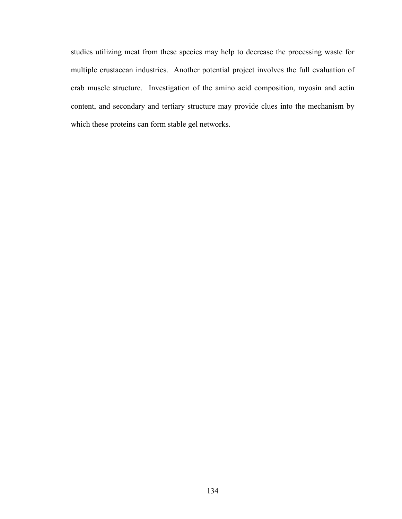studies utilizing meat from these species may help to decrease the processing waste for multiple crustacean industries. Another potential project involves the full evaluation of crab muscle structure. Investigation of the amino acid composition, myosin and actin content, and secondary and tertiary structure may provide clues into the mechanism by which these proteins can form stable gel networks.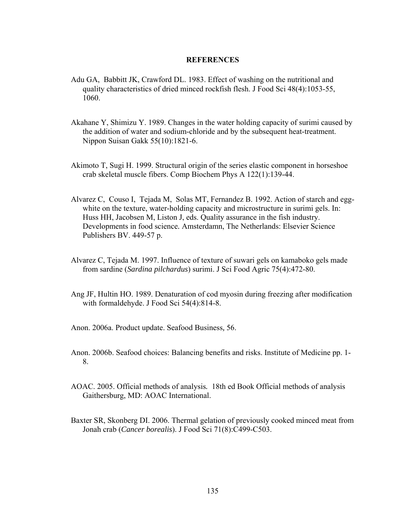# **REFERENCES**

- Adu GA, Babbitt JK, Crawford DL. 1983. Effect of washing on the nutritional and quality characteristics of dried minced rockfish flesh. J Food Sci 48(4):1053-55, 1060.
- Akahane Y, Shimizu Y. 1989. Changes in the water holding capacity of surimi caused by the addition of water and sodium-chloride and by the subsequent heat-treatment. Nippon Suisan Gakk 55(10):1821-6.
- Akimoto T, Sugi H. 1999. Structural origin of the series elastic component in horseshoe crab skeletal muscle fibers. Comp Biochem Phys A 122(1):139-44.
- Alvarez C, Couso I, Tejada M, Solas MT, Fernandez B. 1992. Action of starch and eggwhite on the texture, water-holding capacity and microstructure in surimi gels. In: Huss HH, Jacobsen M, Liston J, eds. Quality assurance in the fish industry. Developments in food science*.* Amsterdamn, The Netherlands: Elsevier Science Publishers BV. 449-57 p.
- Alvarez C, Tejada M. 1997. Influence of texture of suwari gels on kamaboko gels made from sardine (*Sardina pilchardus*) surimi. J Sci Food Agric 75(4):472-80.
- Ang JF, Hultin HO. 1989. Denaturation of cod myosin during freezing after modification with formaldehyde. J Food Sci 54(4):814-8.
- Anon. 2006a. Product update. Seafood Business*,* 56.
- Anon. 2006b. Seafood choices: Balancing benefits and risks. Institute of Medicine pp. 1- 8.
- AOAC. 2005. Official methods of analysis*.* 18th ed Book Official methods of analysis Gaithersburg, MD: AOAC International.
- Baxter SR, Skonberg DI. 2006. Thermal gelation of previously cooked minced meat from Jonah crab (*Cancer borealis*). J Food Sci 71(8):C499-C503.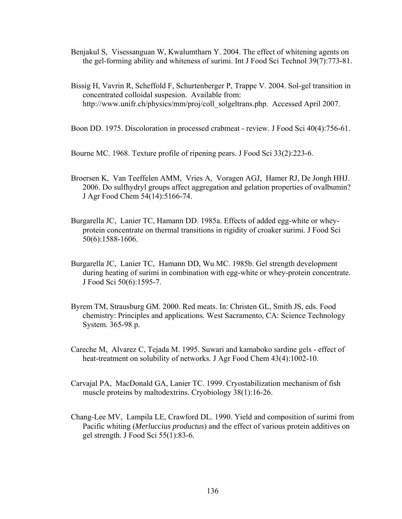- Benjakul S, Visessanguan W, Kwalumtharn Y. 2004. The effect of whitening agents on the gel-forming ability and whiteness of surimi. Int J Food Sci Technol 39(7):773-81.
- Bissig H, Vavrin R, Scheffold F, Schurtenberger P, Trappe V. 2004. Sol-gel transition in concentrated colloidal suspesion. Available from: http://www.unifr.ch/physics/mm/proj/coll\_solgeltrans.php. Accessed April 2007.
- Boon DD. 1975. Discoloration in processed crabmeat review. J Food Sci 40(4):756-61.

Bourne MC. 1968. Texture profile of ripening pears. J Food Sci 33(2):223-6.

- Broersen K, Van Teeffelen AMM, Vries A, Voragen AGJ, Hamer RJ, De Jongh HHJ. 2006. Do sulfhydryl groups affect aggregation and gelation properties of ovalbumin? J Agr Food Chem 54(14):5166-74.
- Burgarella JC, Lanier TC, Hamann DD. 1985a. Effects of added egg-white or wheyprotein concentrate on thermal transitions in rigidity of croaker surimi. J Food Sci 50(6):1588-1606.
- Burgarella JC, Lanier TC, Hamann DD, Wu MC. 1985b. Gel strength development during heating of surimi in combination with egg-white or whey-protein concentrate. J Food Sci 50(6):1595-7.
- Byrem TM, Strausburg GM. 2000. Red meats. In: Christen GL, Smith JS, eds. Food chemistry: Principles and applications*.* West Sacramento, CA: Science Technology System. 365-98 p.
- Careche M, Alvarez C, Tejada M. 1995. Suwari and kamaboko sardine gels effect of heat-treatment on solubility of networks. J Agr Food Chem 43(4):1002-10.
- Carvajal PA, MacDonald GA, Lanier TC. 1999. Cryostabilization mechanism of fish muscle proteins by maltodextrins. Cryobiology 38(1):16-26.
- Chang-Lee MV, Lampila LE, Crawford DL. 1990. Yield and composition of surimi from Pacific whiting (*Merluccius productus*) and the effect of various protein additives on gel strength. J Food Sci 55(1):83-6.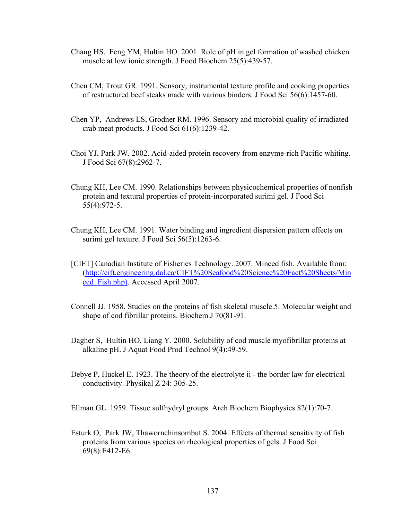- Chang HS, Feng YM, Hultin HO. 2001. Role of pH in gel formation of washed chicken muscle at low ionic strength. J Food Biochem 25(5):439-57.
- Chen CM, Trout GR. 1991. Sensory, instrumental texture profile and cooking properties of restructured beef steaks made with various binders. J Food Sci 56(6):1457-60.
- Chen YP, Andrews LS, Grodner RM. 1996. Sensory and microbial quality of irradiated crab meat products. J Food Sci 61(6):1239-42.
- Choi YJ, Park JW. 2002. Acid-aided protein recovery from enzyme-rich Pacific whiting. J Food Sci 67(8):2962-7.
- Chung KH, Lee CM. 1990. Relationships between physicochemical properties of nonfish protein and textural properties of protein-incorporated surimi gel. J Food Sci 55(4):972-5.
- Chung KH, Lee CM. 1991. Water binding and ingredient dispersion pattern effects on surimi gel texture. J Food Sci 56(5):1263-6.
- [CIFT] Canadian Institute of Fisheries Technology. 2007. Minced fish. Available from: (http://cift.engineering.dal.ca/CIFT%20Seafood%20Science%20Fact%20Sheets/Min ced\_Fish.php). Accessed April 2007.
- Connell JJ. 1958. Studies on the proteins of fish skeletal muscle.5. Molecular weight and shape of cod fibrillar proteins. Biochem J 70(81-91.
- Dagher S, Hultin HO, Liang Y. 2000. Solubility of cod muscle myofibrillar proteins at alkaline pH. J Aquat Food Prod Technol 9(4):49-59.
- Debye P, Huckel E. 1923. The theory of the electrolyte ii the border law for electrical conductivity. Physikal Z 24: 305-25.

Ellman GL. 1959. Tissue sulfhydryl groups. Arch Biochem Biophysics 82(1):70-7.

Esturk O, Park JW, Thawornchinsombut S. 2004. Effects of thermal sensitivity of fish proteins from various species on rheological properties of gels. J Food Sci 69(8):E412-E6.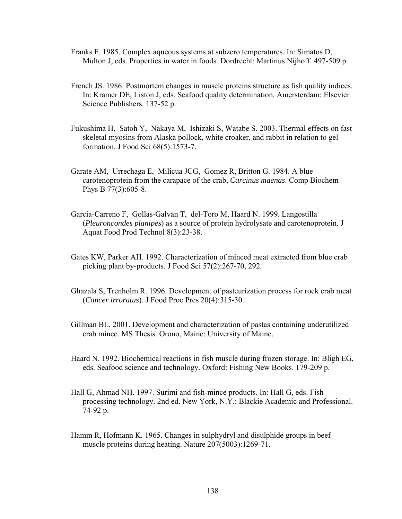- Franks F. 1985. Complex aqueous systems at subzero temperatures. In: Simatos D, Multon J, eds. Properties in water in foods*.* Dordrecht: Martinus Nijhoff. 497-509 p.
- French JS. 1986. Postmortem changes in muscle proteins structure as fish quality indices. In: Kramer DE, Liston J, eds. Seafood quality determination*.* Amersterdam: Elsevier Science Publishers. 137-52 p.
- Fukushima H, Satoh Y, Nakaya M, Ishizaki S, Watabe S. 2003. Thermal effects on fast skeletal myosins from Alaska pollock, white croaker, and rabbit in relation to gel formation. J Food Sci 68(5):1573-7.
- Garate AM, Urrechaga E, Milicua JCG, Gomez R, Britton G. 1984. A blue carotenoprotein from the carapace of the crab, *Carcinus maenas*. Comp Biochem Phys B 77(3):605-8.
- Garcia-Carreno F, Gollas-Galvan T, del-Toro M, Haard N. 1999. Langostilla (*Pleuroncondes planipes*) as a source of protein hydrolysate and carotenoprotein. J Aquat Food Prod Technol 8(3):23-38.
- Gates KW, Parker AH. 1992. Characterization of minced meat extracted from blue crab picking plant by-products. J Food Sci 57(2):267-70, 292.
- Ghazala S, Trenholm R. 1996. Development of pasteurization process for rock crab meat (*Cancer irroratus*). J Food Proc Pres 20(4):315-30.
- Gillman BL. 2001. Development and characterization of pastas containing underutilized crab mince*.* MS Thesis. Orono, Maine: University of Maine.
- Haard N. 1992. Biochemical reactions in fish muscle during frozen storage. In: Bligh EG, eds. Seafood science and technology*.* Oxford: Fishing New Books. 179-209 p.
- Hall G, Ahmad NH. 1997. Surimi and fish-mince products. In: Hall G, eds. Fish processing technology*.* 2nd ed. New York, N.Y.: Blackie Academic and Professional. 74-92 p.
- Hamm R, Hofmann K. 1965. Changes in sulphydryl and disulphide groups in beef muscle proteins during heating. Nature 207(5003):1269-71.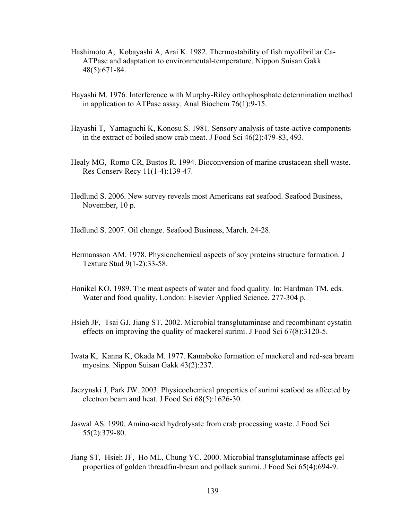- Hashimoto A, Kobayashi A, Arai K. 1982. Thermostability of fish myofibrillar Ca-ATPase and adaptation to environmental-temperature. Nippon Suisan Gakk 48(5):671-84.
- Hayashi M. 1976. Interference with Murphy-Riley orthophosphate determination method in application to ATPase assay. Anal Biochem 76(1):9-15.
- Hayashi T, Yamaguchi K, Konosu S. 1981. Sensory analysis of taste-active components in the extract of boiled snow crab meat. J Food Sci 46(2):479-83, 493.
- Healy MG, Romo CR, Bustos R. 1994. Bioconversion of marine crustacean shell waste. Res Conserv Recy 11(1-4):139-47.
- Hedlund S. 2006. New survey reveals most Americans eat seafood. Seafood Business, November*,* 10 p.

Hedlund S. 2007. Oil change. Seafood Business, March. 24-28.

- Hermansson AM. 1978. Physicochemical aspects of soy proteins structure formation. J Texture Stud 9(1-2):33-58.
- Honikel KO. 1989. The meat aspects of water and food quality. In: Hardman TM, eds. Water and food quality*.* London: Elsevier Applied Science. 277-304 p.
- Hsieh JF, Tsai GJ, Jiang ST. 2002. Microbial transglutaminase and recombinant cystatin effects on improving the quality of mackerel surimi. J Food Sci 67(8):3120-5.
- Iwata K, Kanna K, Okada M. 1977. Kamaboko formation of mackerel and red-sea bream myosins. Nippon Suisan Gakk 43(2):237.
- Jaczynski J, Park JW. 2003. Physicochemical properties of surimi seafood as affected by electron beam and heat. J Food Sci 68(5):1626-30.
- Jaswal AS. 1990. Amino-acid hydrolysate from crab processing waste. J Food Sci 55(2):379-80.
- Jiang ST, Hsieh JF, Ho ML, Chung YC. 2000. Microbial transglutaminase affects gel properties of golden threadfin-bream and pollack surimi. J Food Sci 65(4):694-9.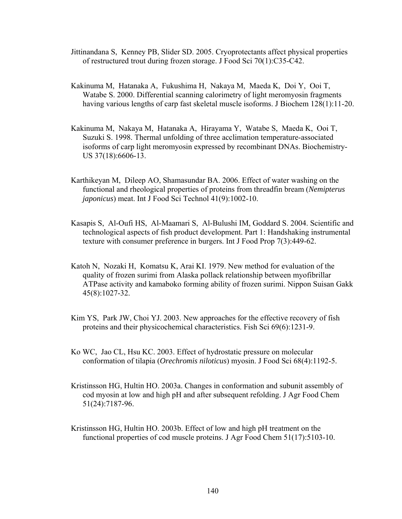- Jittinandana S, Kenney PB, Slider SD. 2005. Cryoprotectants affect physical properties of restructured trout during frozen storage. J Food Sci 70(1):C35-C42.
- Kakinuma M, Hatanaka A, Fukushima H, Nakaya M, Maeda K, Doi Y, Ooi T, Watabe S. 2000. Differential scanning calorimetry of light meromyosin fragments having various lengths of carp fast skeletal muscle isoforms. J Biochem 128(1):11-20.
- Kakinuma M, Nakaya M, Hatanaka A, Hirayama Y, Watabe S, Maeda K, Ooi T, Suzuki S. 1998. Thermal unfolding of three acclimation temperature-associated isoforms of carp light meromyosin expressed by recombinant DNAs. Biochemistry-US 37(18):6606-13.
- Karthikeyan M, Dileep AO, Shamasundar BA. 2006. Effect of water washing on the functional and rheological properties of proteins from threadfin bream (*Nemipterus japonicus*) meat. Int J Food Sci Technol 41(9):1002-10.
- Kasapis S, Al-Oufi HS, Al-Maamari S, Al-Bulushi IM, Goddard S. 2004. Scientific and technological aspects of fish product development. Part 1: Handshaking instrumental texture with consumer preference in burgers. Int J Food Prop 7(3):449-62.
- Katoh N, Nozaki H, Komatsu K, Arai KI. 1979. New method for evaluation of the quality of frozen surimi from Alaska pollack relationship between myofibrillar ATPase activity and kamaboko forming ability of frozen surimi. Nippon Suisan Gakk 45(8):1027-32.
- Kim YS, Park JW, Choi YJ. 2003. New approaches for the effective recovery of fish proteins and their physicochemical characteristics. Fish Sci 69(6):1231-9.
- Ko WC, Jao CL, Hsu KC. 2003. Effect of hydrostatic pressure on molecular conformation of tilapia (*Orechromis niloticus*) myosin. J Food Sci 68(4):1192-5.
- Kristinsson HG, Hultin HO. 2003a. Changes in conformation and subunit assembly of cod myosin at low and high pH and after subsequent refolding. J Agr Food Chem 51(24):7187-96.
- Kristinsson HG, Hultin HO. 2003b. Effect of low and high pH treatment on the functional properties of cod muscle proteins. J Agr Food Chem 51(17):5103-10.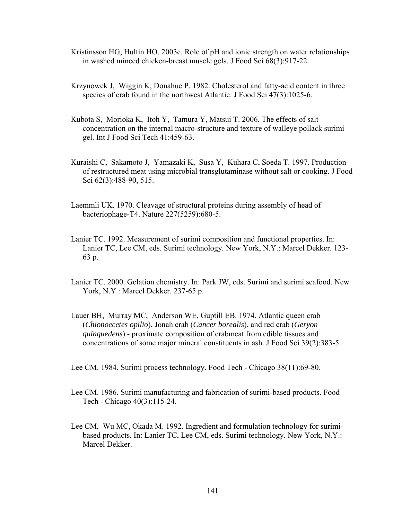- Kristinsson HG, Hultin HO. 2003c. Role of pH and ionic strength on water relationships in washed minced chicken-breast muscle gels. J Food Sci 68(3):917-22.
- Krzynowek J, Wiggin K, Donahue P. 1982. Cholesterol and fatty-acid content in three species of crab found in the northwest Atlantic. J Food Sci 47(3):1025-6.
- Kubota S, Morioka K, Itoh Y, Tamura Y, Matsui T. 2006. The effects of salt concentration on the internal macro-structure and texture of walleye pollack surimi gel. Int J Food Sci Tech 41:459-63.
- Kuraishi C, Sakamoto J, Yamazaki K, Susa Y, Kuhara C, Soeda T. 1997. Production of restructured meat using microbial transglutaminase without salt or cooking. J Food Sci 62(3):488-90, 515.
- Laemmli UK. 1970. Cleavage of structural proteins during assembly of head of bacteriophage-T4. Nature 227(5259):680-5.
- Lanier TC. 1992. Measurement of surimi composition and functional properties. In: Lanier TC, Lee CM, eds. Surimi technology*.* New York, N.Y.: Marcel Dekker. 123- 63 p.
- Lanier TC. 2000. Gelation chemistry. In: Park JW, eds. Surimi and surimi seafood*.* New York, N.Y.: Marcel Dekker. 237-65 p.
- Lauer BH, Murray MC, Anderson WE, Guptill EB. 1974. Atlantic queen crab (*Chionoecetes opilio*), Jonah crab (*Cancer borealis*), and red crab (*Geryon quinquedens*) - proximate composition of crabmeat from edible tissues and concentrations of some major mineral constituents in ash. J Food Sci 39(2):383-5.
- Lee CM. 1984. Surimi process technology. Food Tech Chicago 38(11):69-80.
- Lee CM. 1986. Surimi manufacturing and fabrication of surimi-based products. Food Tech - Chicago 40(3):115-24.
- Lee CM, Wu MC, Okada M. 1992. Ingredient and formulation technology for surimibased products. In: Lanier TC, Lee CM, eds. Surimi technology*.* New York, N.Y.: Marcel Dekker.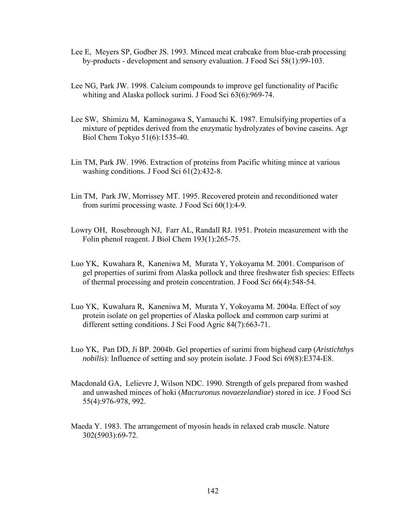- Lee E, Meyers SP, Godber JS. 1993. Minced meat crabcake from blue-crab processing by-products - development and sensory evaluation. J Food Sci 58(1):99-103.
- Lee NG, Park JW. 1998. Calcium compounds to improve gel functionality of Pacific whiting and Alaska pollock surimi. J Food Sci 63(6):969-74.
- Lee SW, Shimizu M, Kaminogawa S, Yamauchi K. 1987. Emulsifying properties of a mixture of peptides derived from the enzymatic hydrolyzates of bovine caseins. Agr Biol Chem Tokyo 51(6):1535-40.
- Lin TM, Park JW. 1996. Extraction of proteins from Pacific whiting mince at various washing conditions. J Food Sci 61(2):432-8.
- Lin TM, Park JW, Morrissey MT. 1995. Recovered protein and reconditioned water from surimi processing waste. J Food Sci 60(1):4-9.
- Lowry OH, Rosebrough NJ, Farr AL, Randall RJ. 1951. Protein measurement with the Folin phenol reagent. J Biol Chem 193(1):265-75.
- Luo YK, Kuwahara R, Kaneniwa M, Murata Y, Yokoyama M. 2001. Comparison of gel properties of surimi from Alaska pollock and three freshwater fish species: Effects of thermal processing and protein concentration. J Food Sci 66(4):548-54.
- Luo YK, Kuwahara R, Kaneniwa M, Murata Y, Yokoyama M. 2004a. Effect of soy protein isolate on gel properties of Alaska pollock and common carp surimi at different setting conditions. J Sci Food Agric 84(7):663-71.
- Luo YK, Pan DD, Ji BP. 2004b. Gel properties of surimi from bighead carp (*Aristichthys nobilis*): Influence of setting and soy protein isolate. J Food Sci 69(8):E374-E8.
- Macdonald GA, Lelievre J, Wilson NDC. 1990. Strength of gels prepared from washed and unwashed minces of hoki (*Macruronus novaezelandiae*) stored in ice. J Food Sci 55(4):976-978, 992.
- Maeda Y. 1983. The arrangement of myosin heads in relaxed crab muscle. Nature 302(5903):69-72.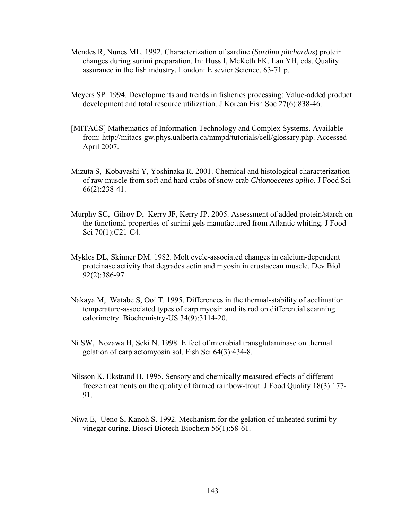- Mendes R, Nunes ML. 1992. Characterization of sardine (*Sardina pilchardus*) protein changes during surimi preparation. In: Huss I, McKeth FK, Lan YH, eds. Quality assurance in the fish industry*.* London: Elsevier Science. 63-71 p.
- Meyers SP. 1994. Developments and trends in fisheries processing: Value-added product development and total resource utilization. J Korean Fish Soc 27(6):838-46.
- [MITACS] Mathematics of Information Technology and Complex Systems. Available from: http://mitacs-gw.phys.ualberta.ca/mmpd/tutorials/cell/glossary.php. Accessed April 2007.
- Mizuta S, Kobayashi Y, Yoshinaka R. 2001. Chemical and histological characterization of raw muscle from soft and hard crabs of snow crab *Chionoecetes opilio*. J Food Sci 66(2):238-41.
- Murphy SC, Gilroy D, Kerry JF, Kerry JP. 2005. Assessment of added protein/starch on the functional properties of surimi gels manufactured from Atlantic whiting. J Food Sci 70(1):C21-C4.
- Mykles DL, Skinner DM. 1982. Molt cycle-associated changes in calcium-dependent proteinase activity that degrades actin and myosin in crustacean muscle. Dev Biol 92(2):386-97.
- Nakaya M, Watabe S, Ooi T. 1995. Differences in the thermal-stability of acclimation temperature-associated types of carp myosin and its rod on differential scanning calorimetry. Biochemistry-US 34(9):3114-20.
- Ni SW, Nozawa H, Seki N. 1998. Effect of microbial transglutaminase on thermal gelation of carp actomyosin sol. Fish Sci 64(3):434-8.
- Nilsson K, Ekstrand B. 1995. Sensory and chemically measured effects of different freeze treatments on the quality of farmed rainbow-trout. J Food Quality 18(3):177- 91.
- Niwa E, Ueno S, Kanoh S. 1992. Mechanism for the gelation of unheated surimi by vinegar curing. Biosci Biotech Biochem 56(1):58-61.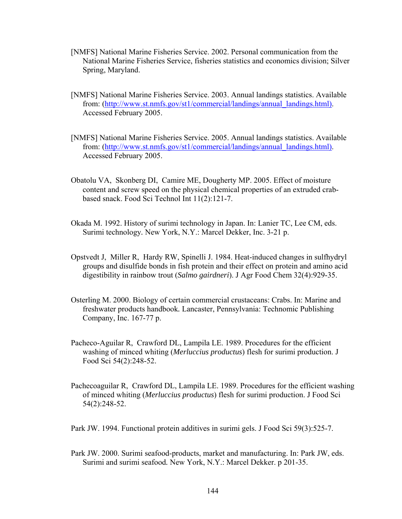- [NMFS] National Marine Fisheries Service. 2002. Personal communication from the National Marine Fisheries Service, fisheries statistics and economics division; Silver Spring, Maryland.
- [NMFS] National Marine Fisheries Service. 2003. Annual landings statistics. Available from: (http://www.st.nmfs.gov/st1/commercial/landings/annual\_landings.html). Accessed February 2005.
- [NMFS] National Marine Fisheries Service. 2005. Annual landings statistics. Available from: (http://www.st.nmfs.gov/st1/commercial/landings/annual\_landings.html). Accessed February 2005.
- Obatolu VA, Skonberg DI, Camire ME, Dougherty MP. 2005. Effect of moisture content and screw speed on the physical chemical properties of an extruded crabbased snack. Food Sci Technol Int 11(2):121-7.
- Okada M. 1992. History of surimi technology in Japan. In: Lanier TC, Lee CM, eds. Surimi technology*.* New York, N.Y.: Marcel Dekker, Inc. 3-21 p.
- Opstvedt J, Miller R, Hardy RW, Spinelli J. 1984. Heat-induced changes in sulfhydryl groups and disulfide bonds in fish protein and their effect on protein and amino acid digestibility in rainbow trout (*Salmo gairdneri*). J Agr Food Chem 32(4):929-35.
- Osterling M. 2000. Biology of certain commercial crustaceans: Crabs. In: Marine and freshwater products handbook*.* Lancaster, Pennsylvania: Technomic Publishing Company, Inc. 167-77 p.
- Pacheco-Aguilar R, Crawford DL, Lampila LE. 1989. Procedures for the efficient washing of minced whiting (*Merluccius productus*) flesh for surimi production. J Food Sci 54(2):248-52.
- Pachecoaguilar R, Crawford DL, Lampila LE. 1989. Procedures for the efficient washing of minced whiting (*Merluccius productus*) flesh for surimi production. J Food Sci 54(2):248-52.
- Park JW. 1994. Functional protein additives in surimi gels. J Food Sci 59(3):525-7.
- Park JW. 2000. Surimi seafood-products, market and manufacturing. In: Park JW, eds. Surimi and surimi seafood*.* New York, N.Y.: Marcel Dekker. p 201-35.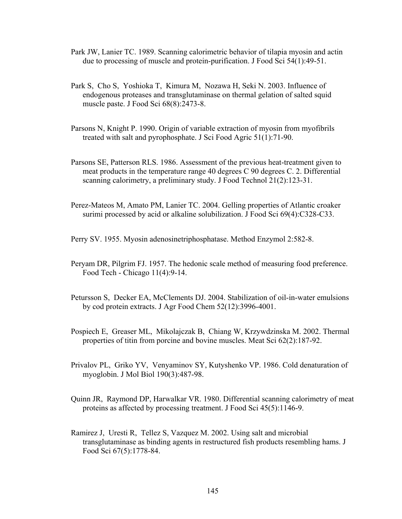- Park JW, Lanier TC. 1989. Scanning calorimetric behavior of tilapia myosin and actin due to processing of muscle and protein-purification. J Food Sci 54(1):49-51.
- Park S, Cho S, Yoshioka T, Kimura M, Nozawa H, Seki N. 2003. Influence of endogenous proteases and transglutaminase on thermal gelation of salted squid muscle paste. J Food Sci 68(8):2473-8.
- Parsons N, Knight P. 1990. Origin of variable extraction of myosin from myofibrils treated with salt and pyrophosphate. J Sci Food Agric 51(1):71-90.
- Parsons SE, Patterson RLS. 1986. Assessment of the previous heat-treatment given to meat products in the temperature range 40 degrees C 90 degrees C. 2. Differential scanning calorimetry, a preliminary study. J Food Technol 21(2):123-31.
- Perez-Mateos M, Amato PM, Lanier TC. 2004. Gelling properties of Atlantic croaker surimi processed by acid or alkaline solubilization. J Food Sci 69(4):C328-C33.

Perry SV. 1955. Myosin adenosinetriphosphatase. Method Enzymol 2:582-8.

- Peryam DR, Pilgrim FJ. 1957. The hedonic scale method of measuring food preference. Food Tech - Chicago 11(4):9-14.
- Petursson S, Decker EA, McClements DJ. 2004. Stabilization of oil-in-water emulsions by cod protein extracts. J Agr Food Chem 52(12):3996-4001.
- Pospiech E, Greaser ML, Mikolajczak B, Chiang W, Krzywdzinska M. 2002. Thermal properties of titin from porcine and bovine muscles. Meat Sci 62(2):187-92.
- Privalov PL, Griko YV, Venyaminov SY, Kutyshenko VP. 1986. Cold denaturation of myoglobin. J Mol Biol 190(3):487-98.
- Quinn JR, Raymond DP, Harwalkar VR. 1980. Differential scanning calorimetry of meat proteins as affected by processing treatment. J Food Sci 45(5):1146-9.
- Ramirez J, Uresti R, Tellez S, Vazquez M. 2002. Using salt and microbial transglutaminase as binding agents in restructured fish products resembling hams. J Food Sci 67(5):1778-84.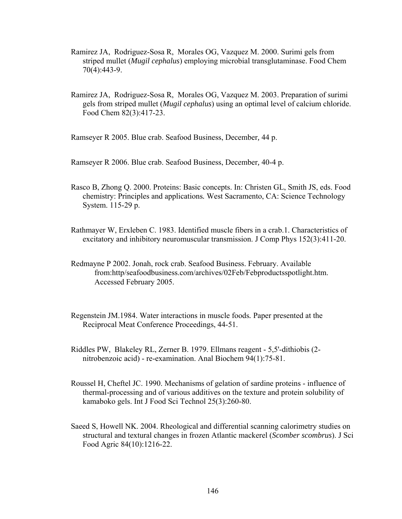- Ramirez JA, Rodriguez-Sosa R, Morales OG, Vazquez M. 2000. Surimi gels from striped mullet (*Mugil cephalus*) employing microbial transglutaminase. Food Chem 70(4):443-9.
- Ramirez JA, Rodriguez-Sosa R, Morales OG, Vazquez M. 2003. Preparation of surimi gels from striped mullet (*Mugil cephalus*) using an optimal level of calcium chloride. Food Chem 82(3):417-23.

Ramseyer R 2005. Blue crab. Seafood Business, December*,* 44 p.

Ramseyer R 2006. Blue crab. Seafood Business, December*,* 40-4 p.

- Rasco B, Zhong Q. 2000. Proteins: Basic concepts. In: Christen GL, Smith JS, eds. Food chemistry: Principles and applications*.* West Sacramento, CA: Science Technology System. 115-29 p.
- Rathmayer W, Erxleben C. 1983. Identified muscle fibers in a crab.1. Characteristics of excitatory and inhibitory neuromuscular transmission. J Comp Phys 152(3):411-20.
- Redmayne P 2002. Jonah, rock crab. Seafood Business. February. Available from:http/seafoodbusiness.com/archives/02Feb/Febproductsspotlight.htm. Accessed February 2005.
- Regenstein JM.1984. Water interactions in muscle foods*.* Paper presented at the Reciprocal Meat Conference Proceedings, 44-51.
- Riddles PW, Blakeley RL, Zerner B. 1979. Ellmans reagent 5,5'-dithiobis (2 nitrobenzoic acid) - re-examination. Anal Biochem 94(1):75-81.
- Roussel H, Cheftel JC. 1990. Mechanisms of gelation of sardine proteins influence of thermal-processing and of various additives on the texture and protein solubility of kamaboko gels. Int J Food Sci Technol 25(3):260-80.
- Saeed S, Howell NK. 2004. Rheological and differential scanning calorimetry studies on structural and textural changes in frozen Atlantic mackerel (*Scomber scombrus*). J Sci Food Agric 84(10):1216-22.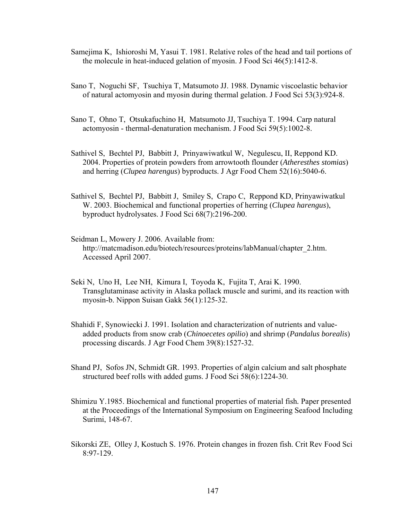- Samejima K, Ishioroshi M, Yasui T. 1981. Relative roles of the head and tail portions of the molecule in heat-induced gelation of myosin. J Food Sci 46(5):1412-8.
- Sano T, Noguchi SF, Tsuchiya T, Matsumoto JJ. 1988. Dynamic viscoelastic behavior of natural actomyosin and myosin during thermal gelation. J Food Sci 53(3):924-8.
- Sano T, Ohno T, Otsukafuchino H, Matsumoto JJ, Tsuchiya T. 1994. Carp natural actomyosin - thermal-denaturation mechanism. J Food Sci 59(5):1002-8.
- Sathivel S, Bechtel PJ, Babbitt J, Prinyawiwatkul W, Negulescu, II, Reppond KD. 2004. Properties of protein powders from arrowtooth flounder (*Atheresthes stomias*) and herring (*Clupea harengus*) byproducts. J Agr Food Chem 52(16):5040-6.
- Sathivel S, Bechtel PJ, Babbitt J, Smiley S, Crapo C, Reppond KD, Prinyawiwatkul W. 2003. Biochemical and functional properties of herring (*Clupea harengus*), byproduct hydrolysates. J Food Sci 68(7):2196-200.
- Seidman L, Mowery J. 2006. Available from: http://matcmadison.edu/biotech/resources/proteins/labManual/chapter\_2.htm. Accessed April 2007.
- Seki N, Uno H, Lee NH, Kimura I, Toyoda K, Fujita T, Arai K. 1990. Transglutaminase activity in Alaska pollack muscle and surimi, and its reaction with myosin-b. Nippon Suisan Gakk 56(1):125-32.
- Shahidi F, Synowiecki J. 1991. Isolation and characterization of nutrients and valueadded products from snow crab (*Chinoecetes opilio*) and shrimp (*Pandalus borealis*) processing discards. J Agr Food Chem 39(8):1527-32.
- Shand PJ, Sofos JN, Schmidt GR. 1993. Properties of algin calcium and salt phosphate structured beef rolls with added gums. J Food Sci 58(6):1224-30.
- Shimizu Y.1985. Biochemical and functional properties of material fish*.* Paper presented at the Proceedings of the International Symposium on Engineering Seafood Including Surimi, 148-67.
- Sikorski ZE, Olley J, Kostuch S. 1976. Protein changes in frozen fish. Crit Rev Food Sci 8:97-129.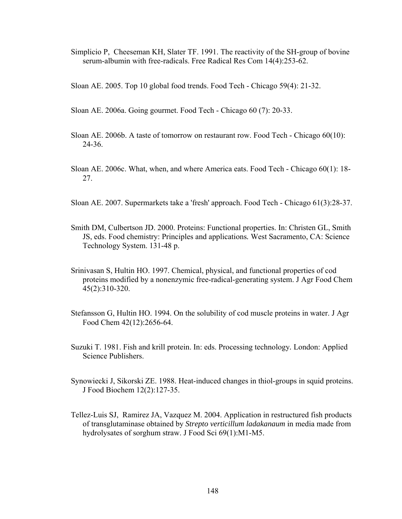Simplicio P, Cheeseman KH, Slater TF. 1991. The reactivity of the SH-group of bovine serum-albumin with free-radicals. Free Radical Res Com 14(4):253-62.

Sloan AE. 2005. Top 10 global food trends. Food Tech - Chicago 59(4): 21-32.

- Sloan AE. 2006a. Going gourmet. Food Tech Chicago 60 (7): 20-33.
- Sloan AE. 2006b. A taste of tomorrow on restaurant row. Food Tech Chicago 60(10): 24-36.
- Sloan AE. 2006c. What, when, and where America eats. Food Tech Chicago 60(1): 18- 27.
- Sloan AE. 2007. Supermarkets take a 'fresh' approach. Food Tech Chicago 61(3):28-37.
- Smith DM, Culbertson JD. 2000. Proteins: Functional properties. In: Christen GL, Smith JS, eds. Food chemistry: Principles and applications*.* West Sacramento, CA: Science Technology System. 131-48 p.
- Srinivasan S, Hultin HO. 1997. Chemical, physical, and functional properties of cod proteins modified by a nonenzymic free-radical-generating system. J Agr Food Chem 45(2):310-320.
- Stefansson G, Hultin HO. 1994. On the solubility of cod muscle proteins in water. J Agr Food Chem 42(12):2656-64.
- Suzuki T. 1981. Fish and krill protein. In: eds. Processing technology*.* London: Applied Science Publishers.
- Synowiecki J, Sikorski ZE. 1988. Heat-induced changes in thiol-groups in squid proteins. J Food Biochem 12(2):127-35.
- Tellez-Luis SJ, Ramirez JA, Vazquez M. 2004. Application in restructured fish products of transglutaminase obtained by *Strepto verticillum ladakanaum* in media made from hydrolysates of sorghum straw. J Food Sci 69(1):M1-M5.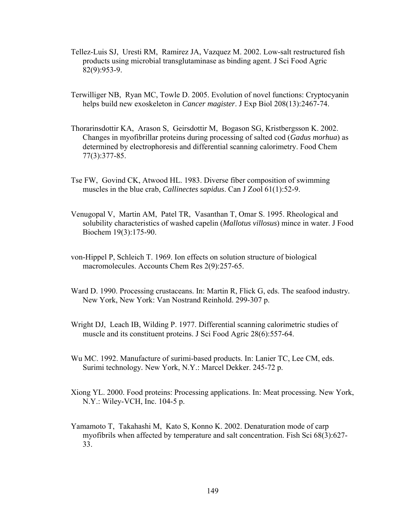- Tellez-Luis SJ, Uresti RM, Ramirez JA, Vazquez M. 2002. Low-salt restructured fish products using microbial transglutaminase as binding agent. J Sci Food Agric 82(9):953-9.
- Terwilliger NB, Ryan MC, Towle D. 2005. Evolution of novel functions: Cryptocyanin helps build new exoskeleton in *Cancer magister*. J Exp Biol 208(13):2467-74.
- Thorarinsdottir KA, Arason S, Geirsdottir M, Bogason SG, Kristbergsson K. 2002. Changes in myofibrillar proteins during processing of salted cod (*Gadus morhua*) as determined by electrophoresis and differential scanning calorimetry. Food Chem 77(3):377-85.
- Tse FW, Govind CK, Atwood HL. 1983. Diverse fiber composition of swimming muscles in the blue crab, *Callinectes sapidus*. Can J Zool 61(1):52-9.
- Venugopal V, Martin AM, Patel TR, Vasanthan T, Omar S. 1995. Rheological and solubility characteristics of washed capelin (*Mallotus villosus*) mince in water. J Food Biochem 19(3):175-90.
- von-Hippel P, Schleich T. 1969. Ion effects on solution structure of biological macromolecules. Accounts Chem Res 2(9):257-65.
- Ward D. 1990. Processing crustaceans. In: Martin R, Flick G, eds. The seafood industry*.* New York, New York: Van Nostrand Reinhold. 299-307 p.
- Wright DJ, Leach IB, Wilding P. 1977. Differential scanning calorimetric studies of muscle and its constituent proteins. J Sci Food Agric 28(6):557-64.
- Wu MC. 1992. Manufacture of surimi-based products. In: Lanier TC, Lee CM, eds. Surimi technology*.* New York, N.Y.: Marcel Dekker. 245-72 p.
- Xiong YL. 2000. Food proteins: Processing applications. In: Meat processing*.* New York, N.Y.: Wiley-VCH, Inc. 104-5 p.
- Yamamoto T, Takahashi M, Kato S, Konno K. 2002. Denaturation mode of carp myofibrils when affected by temperature and salt concentration. Fish Sci 68(3):627- 33.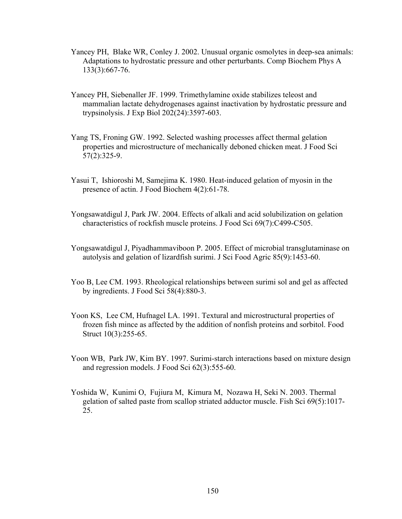- Yancey PH, Blake WR, Conley J. 2002. Unusual organic osmolytes in deep-sea animals: Adaptations to hydrostatic pressure and other perturbants. Comp Biochem Phys A 133(3):667-76.
- Yancey PH, Siebenaller JF. 1999. Trimethylamine oxide stabilizes teleost and mammalian lactate dehydrogenases against inactivation by hydrostatic pressure and trypsinolysis. J Exp Biol 202(24):3597-603.
- Yang TS, Froning GW. 1992. Selected washing processes affect thermal gelation properties and microstructure of mechanically deboned chicken meat. J Food Sci 57(2):325-9.
- Yasui T, Ishioroshi M, Samejima K. 1980. Heat-induced gelation of myosin in the presence of actin. J Food Biochem 4(2):61-78.
- Yongsawatdigul J, Park JW. 2004. Effects of alkali and acid solubilization on gelation characteristics of rockfish muscle proteins. J Food Sci 69(7):C499-C505.
- Yongsawatdigul J, Piyadhammaviboon P. 2005. Effect of microbial transglutaminase on autolysis and gelation of lizardfish surimi. J Sci Food Agric 85(9):1453-60.
- Yoo B, Lee CM. 1993. Rheological relationships between surimi sol and gel as affected by ingredients. J Food Sci 58(4):880-3.
- Yoon KS, Lee CM, Hufnagel LA. 1991. Textural and microstructural properties of frozen fish mince as affected by the addition of nonfish proteins and sorbitol. Food Struct 10(3):255-65.
- Yoon WB, Park JW, Kim BY. 1997. Surimi-starch interactions based on mixture design and regression models. J Food Sci 62(3):555-60.
- Yoshida W, Kunimi O, Fujiura M, Kimura M, Nozawa H, Seki N. 2003. Thermal gelation of salted paste from scallop striated adductor muscle. Fish Sci 69(5):1017- 25.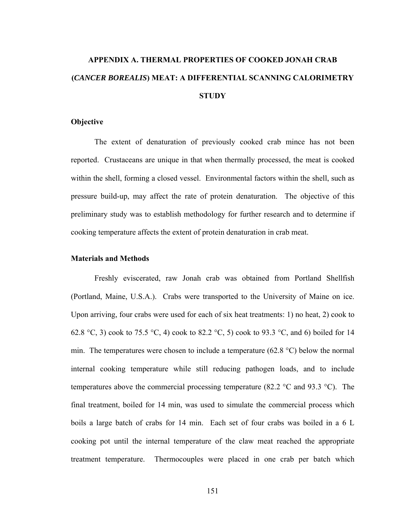# **APPENDIX A. THERMAL PROPERTIES OF COOKED JONAH CRAB (***CANCER BOREALIS***) MEAT: A DIFFERENTIAL SCANNING CALORIMETRY STUDY**

#### **Objective**

 The extent of denaturation of previously cooked crab mince has not been reported. Crustaceans are unique in that when thermally processed, the meat is cooked within the shell, forming a closed vessel. Environmental factors within the shell, such as pressure build-up, may affect the rate of protein denaturation. The objective of this preliminary study was to establish methodology for further research and to determine if cooking temperature affects the extent of protein denaturation in crab meat.

#### **Materials and Methods**

 Freshly eviscerated, raw Jonah crab was obtained from Portland Shellfish (Portland, Maine, U.S.A.). Crabs were transported to the University of Maine on ice. Upon arriving, four crabs were used for each of six heat treatments: 1) no heat, 2) cook to 62.8 °C, 3) cook to 75.5 °C, 4) cook to 82.2 °C, 5) cook to 93.3 °C, and 6) boiled for 14 min. The temperatures were chosen to include a temperature (62.8 °C) below the normal internal cooking temperature while still reducing pathogen loads, and to include temperatures above the commercial processing temperature (82.2  $^{\circ}$ C and 93.3  $^{\circ}$ C). The final treatment, boiled for 14 min, was used to simulate the commercial process which boils a large batch of crabs for 14 min. Each set of four crabs was boiled in a 6 L cooking pot until the internal temperature of the claw meat reached the appropriate treatment temperature. Thermocouples were placed in one crab per batch which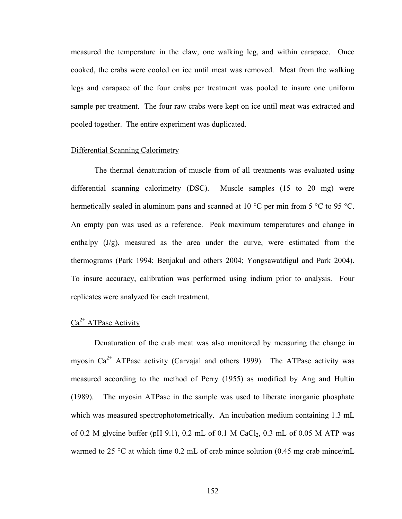measured the temperature in the claw, one walking leg, and within carapace. Once cooked, the crabs were cooled on ice until meat was removed. Meat from the walking legs and carapace of the four crabs per treatment was pooled to insure one uniform sample per treatment. The four raw crabs were kept on ice until meat was extracted and pooled together. The entire experiment was duplicated.

## Differential Scanning Calorimetry

 The thermal denaturation of muscle from of all treatments was evaluated using differential scanning calorimetry (DSC). Muscle samples (15 to 20 mg) were hermetically sealed in aluminum pans and scanned at 10 °C per min from 5 °C to 95 °C. An empty pan was used as a reference. Peak maximum temperatures and change in enthalpy  $(J/g)$ , measured as the area under the curve, were estimated from the thermograms (Park 1994; Benjakul and others 2004; Yongsawatdigul and Park 2004). To insure accuracy, calibration was performed using indium prior to analysis. Four replicates were analyzed for each treatment.

# $Ca<sup>2+</sup> ATPase Activity$

 Denaturation of the crab meat was also monitored by measuring the change in myosin  $Ca^{2+}$  ATPase activity (Carvajal and others 1999). The ATPase activity was measured according to the method of Perry (1955) as modified by Ang and Hultin (1989). The myosin ATPase in the sample was used to liberate inorganic phosphate which was measured spectrophotometrically. An incubation medium containing 1.3 mL of 0.2 M glycine buffer (pH 9.1), 0.2 mL of 0.1 M CaCl<sub>2</sub>, 0.3 mL of 0.05 M ATP was warmed to 25  $\degree$ C at which time 0.2 mL of crab mince solution (0.45 mg crab mince/mL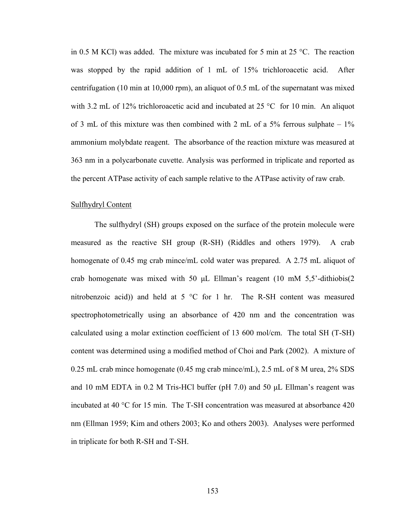in 0.5 M KCl) was added. The mixture was incubated for 5 min at 25 °C. The reaction was stopped by the rapid addition of 1 mL of 15% trichloroacetic acid. After centrifugation (10 min at 10,000 rpm), an aliquot of 0.5 mL of the supernatant was mixed with 3.2 mL of 12% trichloroacetic acid and incubated at 25 °C for 10 min. An aliquot of 3 mL of this mixture was then combined with 2 mL of a 5% ferrous sulphate  $-1\%$ ammonium molybdate reagent. The absorbance of the reaction mixture was measured at 363 nm in a polycarbonate cuvette. Analysis was performed in triplicate and reported as the percent ATPase activity of each sample relative to the ATPase activity of raw crab.

#### Sulfhydryl Content

 The sulfhydryl (SH) groups exposed on the surface of the protein molecule were measured as the reactive SH group (R-SH) (Riddles and others 1979). A crab homogenate of 0.45 mg crab mince/mL cold water was prepared. A 2.75 mL aliquot of crab homogenate was mixed with 50  $\mu$ L Ellman's reagent (10 mM 5,5'-dithiobis(2) nitrobenzoic acid)) and held at 5 °C for 1 hr. The R-SH content was measured spectrophotometrically using an absorbance of 420 nm and the concentration was calculated using a molar extinction coefficient of 13 600 mol/cm. The total SH (T-SH) content was determined using a modified method of Choi and Park (2002). A mixture of 0.25 mL crab mince homogenate (0.45 mg crab mince/mL), 2.5 mL of 8 M urea, 2% SDS and 10 mM EDTA in 0.2 M Tris-HCl buffer (pH 7.0) and 50 μL Ellman's reagent was incubated at 40 °C for 15 min. The T-SH concentration was measured at absorbance 420 nm (Ellman 1959; Kim and others 2003; Ko and others 2003). Analyses were performed in triplicate for both R-SH and T-SH.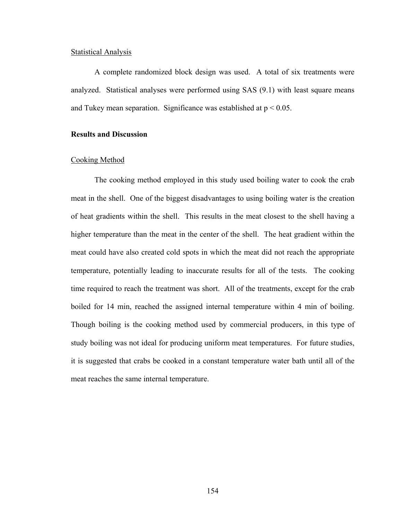## Statistical Analysis

 A complete randomized block design was used. A total of six treatments were analyzed. Statistical analyses were performed using SAS (9.1) with least square means and Tukey mean separation. Significance was established at  $p < 0.05$ .

# **Results and Discussion**

## Cooking Method

 The cooking method employed in this study used boiling water to cook the crab meat in the shell. One of the biggest disadvantages to using boiling water is the creation of heat gradients within the shell. This results in the meat closest to the shell having a higher temperature than the meat in the center of the shell. The heat gradient within the meat could have also created cold spots in which the meat did not reach the appropriate temperature, potentially leading to inaccurate results for all of the tests. The cooking time required to reach the treatment was short. All of the treatments, except for the crab boiled for 14 min, reached the assigned internal temperature within 4 min of boiling. Though boiling is the cooking method used by commercial producers, in this type of study boiling was not ideal for producing uniform meat temperatures. For future studies, it is suggested that crabs be cooked in a constant temperature water bath until all of the meat reaches the same internal temperature.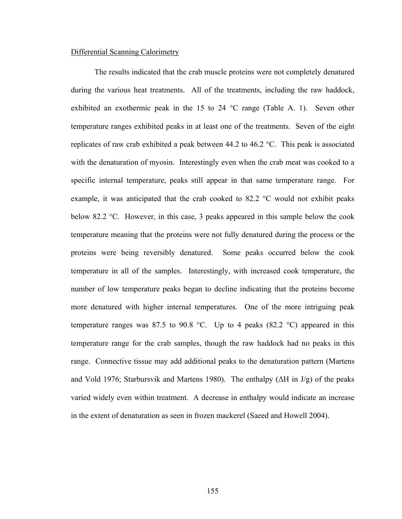## Differential Scanning Calorimetry

 The results indicated that the crab muscle proteins were not completely denatured during the various heat treatments. All of the treatments, including the raw haddock, exhibited an exothermic peak in the 15 to 24 °C range (Table A. 1). Seven other temperature ranges exhibited peaks in at least one of the treatments. Seven of the eight replicates of raw crab exhibited a peak between 44.2 to 46.2 °C. This peak is associated with the denaturation of myosin. Interestingly even when the crab meat was cooked to a specific internal temperature, peaks still appear in that same temperature range. For example, it was anticipated that the crab cooked to 82.2 °C would not exhibit peaks below 82.2 °C. However, in this case, 3 peaks appeared in this sample below the cook temperature meaning that the proteins were not fully denatured during the process or the proteins were being reversibly denatured. Some peaks occurred below the cook temperature in all of the samples. Interestingly, with increased cook temperature, the number of low temperature peaks began to decline indicating that the proteins become more denatured with higher internal temperatures. One of the more intriguing peak temperature ranges was 87.5 to 90.8 °C. Up to 4 peaks (82.2 °C) appeared in this temperature range for the crab samples, though the raw haddock had no peaks in this range. Connective tissue may add additional peaks to the denaturation pattern (Martens and Vold 1976; Starbursvik and Martens 1980). The enthalpy ( $\Delta H$  in J/g) of the peaks varied widely even within treatment. A decrease in enthalpy would indicate an increase in the extent of denaturation as seen in frozen mackerel (Saeed and Howell 2004).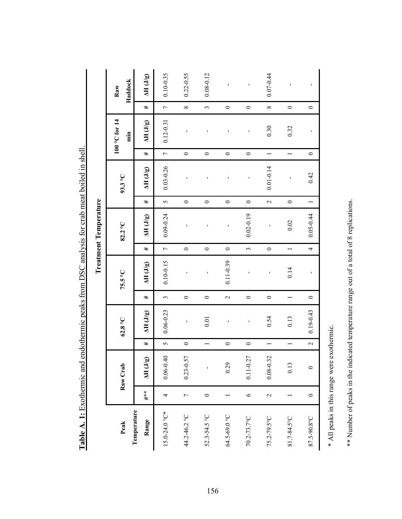|                              | Haddock<br>Raw<br>$100$ °C for $14$<br>$\dot{a}$ | $\Delta \mathbf{H}$ (J/g) | $0.10 - 0.35$            | $0.22 - 0.55$     | $0.08 - 0.12$  | ı               | $\blacksquare$                | $0.07 - 0.44$            | ı                        | $\blacksquare$           |
|------------------------------|--------------------------------------------------|---------------------------|--------------------------|-------------------|----------------|-----------------|-------------------------------|--------------------------|--------------------------|--------------------------|
|                              |                                                  | #                         | $\overline{a}$           | $\infty$          | $\epsilon$     | $\circ$         | $\circ$                       | $\infty$                 | $\circ$                  | $\circ$                  |
|                              |                                                  | $\Delta H$ (J/g)          | $0.12 - 0.31$            | $\overline{1}$    |                | f,              | ï                             | 0.30                     | 0.32                     | ı                        |
|                              |                                                  | #                         | $\overline{C}$           | $\circ$           | $\circ$        | $\circ$         | $\circ$                       | $\overline{ }$           | $\overline{\phantom{0}}$ | $\circ$                  |
|                              | 93.3 °C                                          | $\Delta H$ (J/g)          | $0.03 - 0.26$            | $\mathbf{I}$      |                | ı               | $\mathbf{r}$                  | $0.01 - 0.14$            | $\mathbf{I}$             | 0.42                     |
|                              |                                                  | #                         | $\overline{C}$           | $\circ$           | $\circ$        | $\circ$         | $\circ$                       | $\overline{\mathcal{L}}$ | $\circ$                  | $\overline{\phantom{0}}$ |
| <b>Treatment Temperature</b> | 82.2°C                                           | $\Delta H$ (J/g)          | 0.09-0.24                | ï                 |                | ı               | $0.02 - 0.19$                 | $\mathbf{I}$             | 0.02                     | $0.05 - 0.44$            |
|                              |                                                  | #                         | $\overline{a}$           | $\circ$           | $\circ$        | $\circ$         | $\tilde{\xi}$                 | $\circ$                  | $\overline{\phantom{0}}$ | 4                        |
|                              | 75.5°C                                           | $\Delta H(J/g)$           | $0.10 - 0.15$            | $\mathbf{I}$      |                | $0.11 - 0.39$   |                               | $\mathbf{I}$             | 0.14                     | ı                        |
|                              |                                                  | #                         | $\epsilon$               | $\circ$           | $\circ$        | $\mathbf{\sim}$ | $\circ$                       | $\circ$                  |                          | $\circ$                  |
|                              | $62.8\,^{\circ}\mathrm{C}$                       | $\Delta H(J/g)$           | $0.06 - 0.23$            | $\mathbf{I}$      | 0.01           | f,              | $\blacksquare$                | 0.54                     | 0.13                     | $0.19 - 0.43$            |
|                              |                                                  | #                         | $\overline{6}$           | $\circ$           | $\overline{ }$ | $\circ$         | $\circ$                       |                          |                          | $\overline{\mathcal{L}}$ |
|                              | Raw Crab                                         | $\Delta H$ (J/g)          | $\ddot{=}$<br>$0.06 - 0$ | .57<br>$0.23 - 0$ | í.             | 0.29            | $\overline{27}$<br>$0.11 - 0$ | .32<br>$0.08 - 0$        | 0.13                     | $\circ$                  |
|                              |                                                  | $***$                     | 4                        | $\overline{C}$    | $\circ$        |                 | $\circ$                       | 2                        |                          | $\circ$                  |
|                              | Peak                                             | Temperature<br>Range      | $15.0 - 24.0 °C*$        | 44.2-46.2 °C      | 52.3-54.5 °C   | 64.5-69.0 °C    | $70.2 - 73.7$ °C              | 75.2-79.5°C              | 81.7-84.5°C              | 87.5-90.8°C              |

Table A. 1: Exothermic and endothermic peaks from DSC analysis for crab meat boiled in shell. ysis for crab meat boiled in shell. peaks from DSC anal **Table A. 1:** Exothermic and endothermic

\* All peaks in this range were exothermic. \* All peaks in this range were exothermic.

\*\* Number of peaks in the indicated temperature range out of a total of 8 replications.

\*\* Number of peaks in the indicated temperature range out of a total of 8 replications.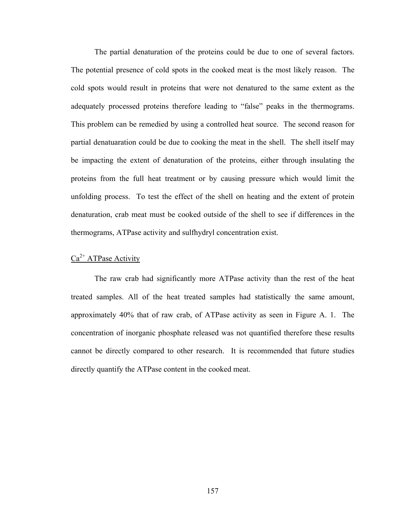The partial denaturation of the proteins could be due to one of several factors. The potential presence of cold spots in the cooked meat is the most likely reason. The cold spots would result in proteins that were not denatured to the same extent as the adequately processed proteins therefore leading to "false" peaks in the thermograms. This problem can be remedied by using a controlled heat source. The second reason for partial denatuaration could be due to cooking the meat in the shell. The shell itself may be impacting the extent of denaturation of the proteins, either through insulating the proteins from the full heat treatment or by causing pressure which would limit the unfolding process. To test the effect of the shell on heating and the extent of protein denaturation, crab meat must be cooked outside of the shell to see if differences in the thermograms, ATPase activity and sulfhydryl concentration exist.

# $Ca<sup>2+</sup>ATPase Activity$

 The raw crab had significantly more ATPase activity than the rest of the heat treated samples. All of the heat treated samples had statistically the same amount, approximately 40% that of raw crab, of ATPase activity as seen in Figure A. 1. The concentration of inorganic phosphate released was not quantified therefore these results cannot be directly compared to other research. It is recommended that future studies directly quantify the ATPase content in the cooked meat.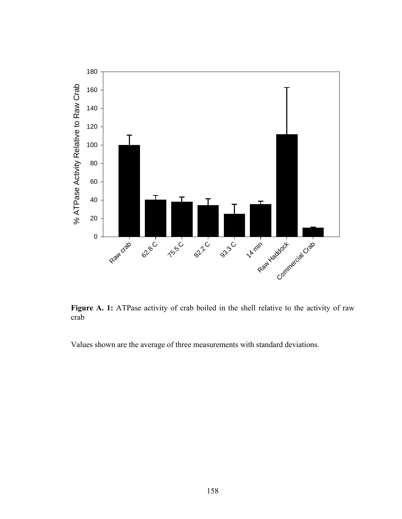

Figure A. 1: ATPase activity of crab boiled in the shell relative to the activity of raw crab

Values shown are the average of three measurements with standard deviations.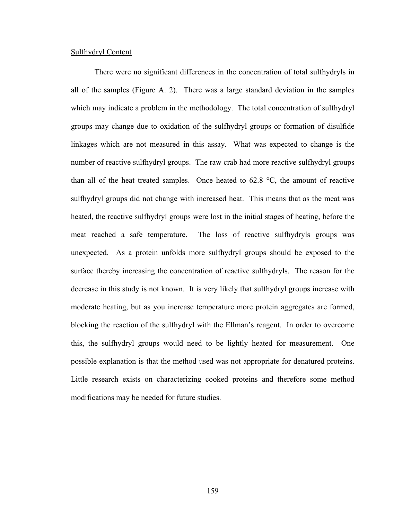#### Sulfhydryl Content

 There were no significant differences in the concentration of total sulfhydryls in all of the samples (Figure A. 2). There was a large standard deviation in the samples which may indicate a problem in the methodology. The total concentration of sulfhydryl groups may change due to oxidation of the sulfhydryl groups or formation of disulfide linkages which are not measured in this assay. What was expected to change is the number of reactive sulfhydryl groups. The raw crab had more reactive sulfhydryl groups than all of the heat treated samples. Once heated to 62.8 °C, the amount of reactive sulfhydryl groups did not change with increased heat. This means that as the meat was heated, the reactive sulfhydryl groups were lost in the initial stages of heating, before the meat reached a safe temperature. The loss of reactive sulfhydryls groups was unexpected. As a protein unfolds more sulfhydryl groups should be exposed to the surface thereby increasing the concentration of reactive sulfhydryls. The reason for the decrease in this study is not known. It is very likely that sulfhydryl groups increase with moderate heating, but as you increase temperature more protein aggregates are formed, blocking the reaction of the sulfhydryl with the Ellman's reagent. In order to overcome this, the sulfhydryl groups would need to be lightly heated for measurement. One possible explanation is that the method used was not appropriate for denatured proteins. Little research exists on characterizing cooked proteins and therefore some method modifications may be needed for future studies.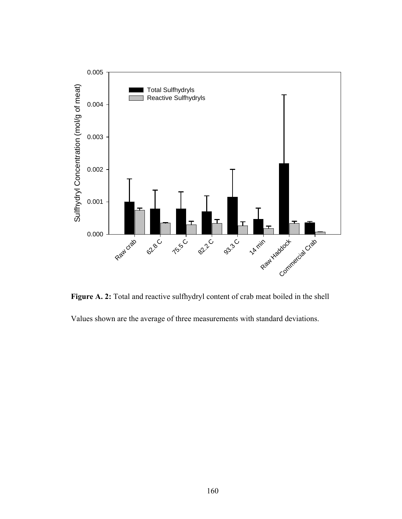

**Figure A. 2:** Total and reactive sulfhydryl content of crab meat boiled in the shell

Values shown are the average of three measurements with standard deviations.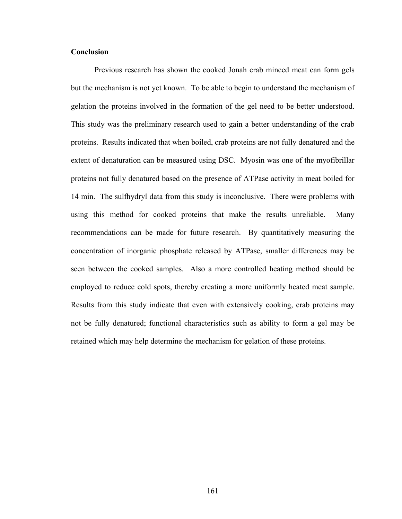# **Conclusion**

 Previous research has shown the cooked Jonah crab minced meat can form gels but the mechanism is not yet known. To be able to begin to understand the mechanism of gelation the proteins involved in the formation of the gel need to be better understood. This study was the preliminary research used to gain a better understanding of the crab proteins. Results indicated that when boiled, crab proteins are not fully denatured and the extent of denaturation can be measured using DSC. Myosin was one of the myofibrillar proteins not fully denatured based on the presence of ATPase activity in meat boiled for 14 min. The sulfhydryl data from this study is inconclusive. There were problems with using this method for cooked proteins that make the results unreliable. Many recommendations can be made for future research. By quantitatively measuring the concentration of inorganic phosphate released by ATPase, smaller differences may be seen between the cooked samples. Also a more controlled heating method should be employed to reduce cold spots, thereby creating a more uniformly heated meat sample. Results from this study indicate that even with extensively cooking, crab proteins may not be fully denatured; functional characteristics such as ability to form a gel may be retained which may help determine the mechanism for gelation of these proteins.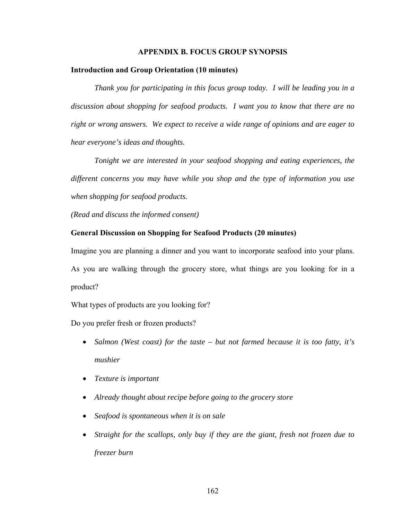#### **APPENDIX B. FOCUS GROUP SYNOPSIS**

#### **Introduction and Group Orientation (10 minutes)**

 *Thank you for participating in this focus group today. I will be leading you in a discussion about shopping for seafood products. I want you to know that there are no right or wrong answers. We expect to receive a wide range of opinions and are eager to hear everyone's ideas and thoughts.* 

*Tonight we are interested in your seafood shopping and eating experiences, the different concerns you may have while you shop and the type of information you use when shopping for seafood products.* 

*(Read and discuss the informed consent)*

#### **General Discussion on Shopping for Seafood Products (20 minutes)**

Imagine you are planning a dinner and you want to incorporate seafood into your plans. As you are walking through the grocery store, what things are you looking for in a product?

What types of products are you looking for?

Do you prefer fresh or frozen products?

- *Salmon (West coast) for the taste but not farmed because it is too fatty, it's mushier*
- *Texture is important*
- *Already thought about recipe before going to the grocery store*
- *Seafood is spontaneous when it is on sale*
- *Straight for the scallops, only buy if they are the giant, fresh not frozen due to freezer burn*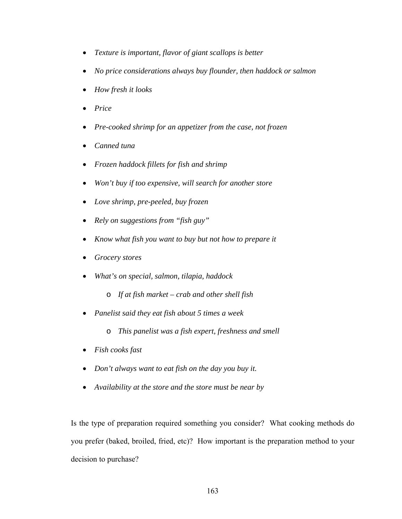- *Texture is important, flavor of giant scallops is better*
- *No price considerations always buy flounder, then haddock or salmon*
- *How fresh it looks*
- *Price*
- *Pre-cooked shrimp for an appetizer from the case, not frozen*
- *Canned tuna*
- *Frozen haddock fillets for fish and shrimp*
- *Won't buy if too expensive, will search for another store*
- *Love shrimp, pre-peeled, buy frozen*
- *Rely on suggestions from "fish guy"*
- *Know what fish you want to buy but not how to prepare it*
- *Grocery stores*
- *What's on special, salmon, tilapia, haddock* 
	- o *If at fish market crab and other shell fish*
- *Panelist said they eat fish about 5 times a week* 
	- o *This panelist was a fish expert, freshness and smell*
- *Fish cooks fast*
- *Don't always want to eat fish on the day you buy it.*
- *Availability at the store and the store must be near by*

Is the type of preparation required something you consider? What cooking methods do you prefer (baked, broiled, fried, etc)? How important is the preparation method to your decision to purchase?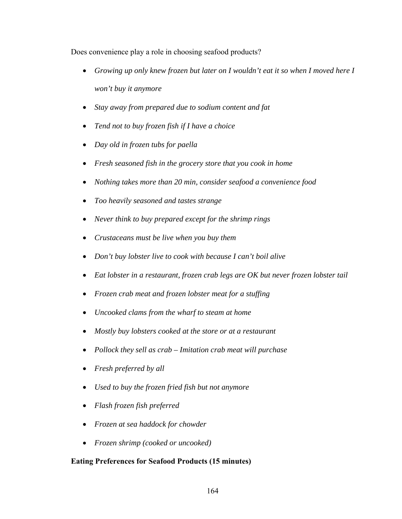Does convenience play a role in choosing seafood products?

- *Growing up only knew frozen but later on I wouldn't eat it so when I moved here I won't buy it anymore*
- *Stay away from prepared due to sodium content and fat*
- *Tend not to buy frozen fish if I have a choice*
- *Day old in frozen tubs for paella*
- *Fresh seasoned fish in the grocery store that you cook in home*
- *Nothing takes more than 20 min, consider seafood a convenience food*
- *Too heavily seasoned and tastes strange*
- *Never think to buy prepared except for the shrimp rings*
- *Crustaceans must be live when you buy them*
- *Don't buy lobster live to cook with because I can't boil alive*
- *Eat lobster in a restaurant, frozen crab legs are OK but never frozen lobster tail*
- *Frozen crab meat and frozen lobster meat for a stuffing*
- *Uncooked clams from the wharf to steam at home*
- *Mostly buy lobsters cooked at the store or at a restaurant*
- *Pollock they sell as crab Imitation crab meat will purchase*
- *Fresh preferred by all*
- *Used to buy the frozen fried fish but not anymore*
- *Flash frozen fish preferred*
- *Frozen at sea haddock for chowder*
- *Frozen shrimp (cooked or uncooked)*

## **Eating Preferences for Seafood Products (15 minutes)**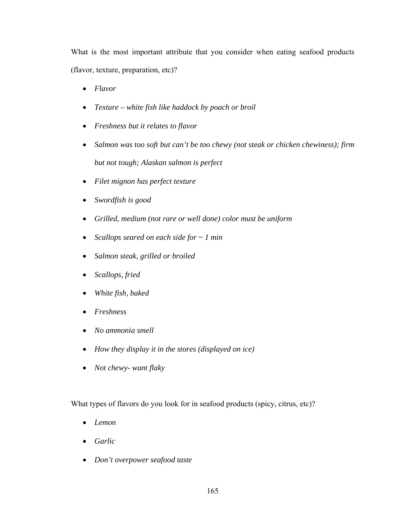What is the most important attribute that you consider when eating seafood products (flavor, texture, preparation, etc)?

- *Flavor*
- *Texture white fish like haddock by poach or broil*
- *Freshness but it relates to flavor*
- *Salmon was too soft but can't be too chewy (not steak or chicken chewiness); firm but not tough; Alaskan salmon is perfect*
- *Filet mignon has perfect texture*
- *Swordfish is good*
- *Grilled, medium (not rare or well done) color must be uniform*
- *Scallops seared on each side for ~ 1 min*
- *Salmon steak, grilled or broiled*
- *Scallops, fried*
- *White fish, baked*
- *Freshness*
- *No ammonia smell*
- *How they display it in the stores (displayed on ice)*
- *Not chewy- want flaky*

What types of flavors do you look for in seafood products (spicy, citrus, etc)?

- *Lemon*
- *Garlic*
- *Don't overpower seafood taste*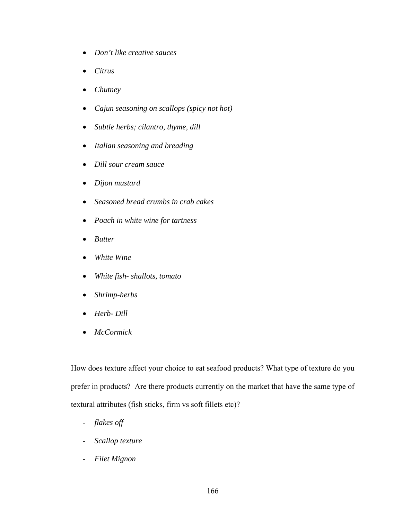- *Don't like creative sauces*
- *Citrus*
- *Chutney*
- *Cajun seasoning on scallops (spicy not hot)*
- *Subtle herbs; cilantro, thyme, dill*
- *Italian seasoning and breading*
- *Dill sour cream sauce*
- *Dijon mustard*
- *Seasoned bread crumbs in crab cakes*
- *Poach in white wine for tartness*
- *Butter*
- *White Wine*
- *White fish- shallots, tomato*
- *Shrimp-herbs*
- *Herb- Dill*
- *McCormick*

How does texture affect your choice to eat seafood products? What type of texture do you prefer in products? Are there products currently on the market that have the same type of textural attributes (fish sticks, firm vs soft fillets etc)?

- *flakes off*
- *Scallop texture*
- *Filet Mignon*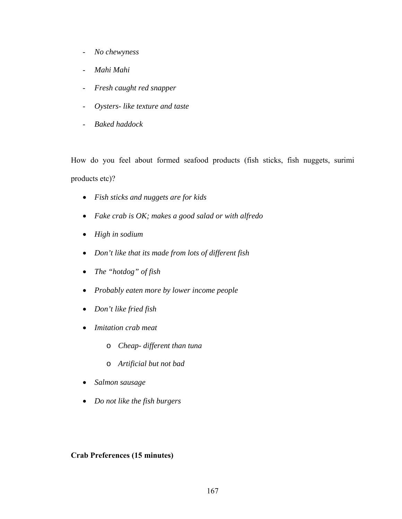- *No chewyness*
- *Mahi Mahi*
- *Fresh caught red snapper*
- *Oysters- like texture and taste*
- *Baked haddock*

How do you feel about formed seafood products (fish sticks, fish nuggets, surimi products etc)?

- *Fish sticks and nuggets are for kids*
- *Fake crab is OK; makes a good salad or with alfredo*
- *High in sodium*
- *Don't like that its made from lots of different fish*
- *The "hotdog" of fish*
- *Probably eaten more by lower income people*
- *Don't like fried fish*
- *Imitation crab meat* 
	- o *Cheap- different than tuna*
	- o *Artificial but not bad*
- *Salmon sausage*
- *Do not like the fish burgers*

# **Crab Preferences (15 minutes)**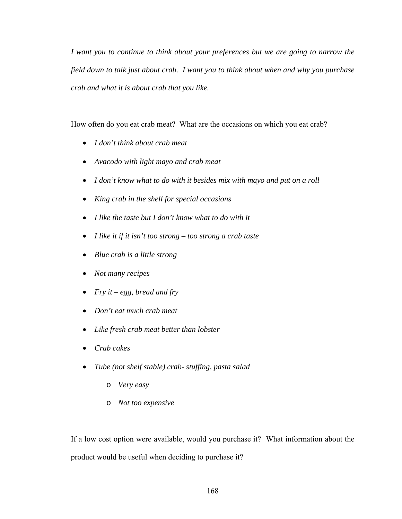*I want you to continue to think about your preferences but we are going to narrow the field down to talk just about crab. I want you to think about when and why you purchase crab and what it is about crab that you like.* 

How often do you eat crab meat? What are the occasions on which you eat crab?

- *I don't think about crab meat*
- *Avacodo with light mayo and crab meat*
- *I don't know what to do with it besides mix with mayo and put on a roll*
- *King crab in the shell for special occasions*
- *I like the taste but I don't know what to do with it*
- *I like it if it isn't too strong too strong a crab taste*
- *Blue crab is a little strong*
- *Not many recipes*
- *Fry it egg, bread and fry*
- *Don't eat much crab meat*
- *Like fresh crab meat better than lobster*
- *Crab cakes*
- *Tube (not shelf stable) crab- stuffing, pasta salad* 
	- o *Very easy*
	- o *Not too expensive*

If a low cost option were available, would you purchase it? What information about the product would be useful when deciding to purchase it?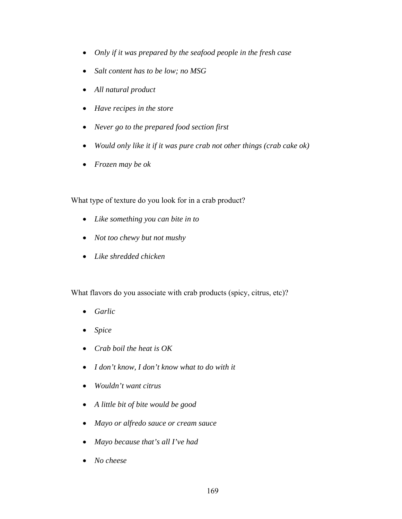- *Only if it was prepared by the seafood people in the fresh case*
- *Salt content has to be low; no MSG*
- *All natural product*
- *Have recipes in the store*
- *Never go to the prepared food section first*
- *Would only like it if it was pure crab not other things (crab cake ok)*
- *Frozen may be ok*

What type of texture do you look for in a crab product?

- *Like something you can bite in to*
- *Not too chewy but not mushy*
- *Like shredded chicken*

What flavors do you associate with crab products (spicy, citrus, etc)?

- *Garlic*
- *Spice*
- *Crab boil the heat is OK*
- *I don't know, I don't know what to do with it*
- *Wouldn't want citrus*
- *A little bit of bite would be good*
- *Mayo or alfredo sauce or cream sauce*
- *Mayo because that's all I've had*
- *No cheese*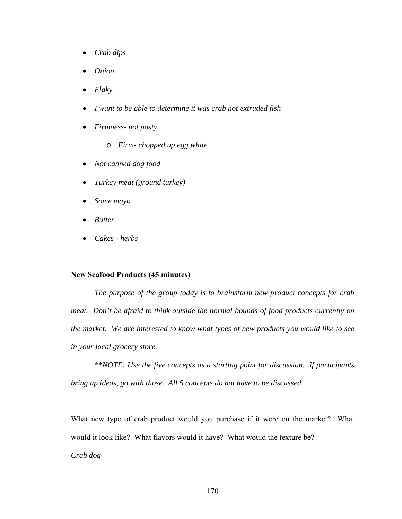- *Crab dips*
- *Onion*
- *Flaky*
- *I want to be able to determine it was crab not extruded fish*
- *Firmness- not pasty* 
	- o *Firm- chopped up egg white*
- *Not canned dog food*
- *Turkey meat (ground turkey)*
- *Some mayo*
- *Butter*
- *Cakes herbs*

#### **New Seafood Products (45 minutes)**

 *The purpose of the group today is to brainstorm new product concepts for crab meat. Don't be afraid to think outside the normal bounds of food products currently on the market. We are interested to know what types of new products you would like to see in your local grocery store.* 

 *\*\*NOTE: Use the five concepts as a starting point for discussion. If participants bring up ideas, go with those. All 5 concepts do not have to be discussed.* 

What new type of crab product would you purchase if it were on the market? What would it look like? What flavors would it have? What would the texture be? *Crab dog*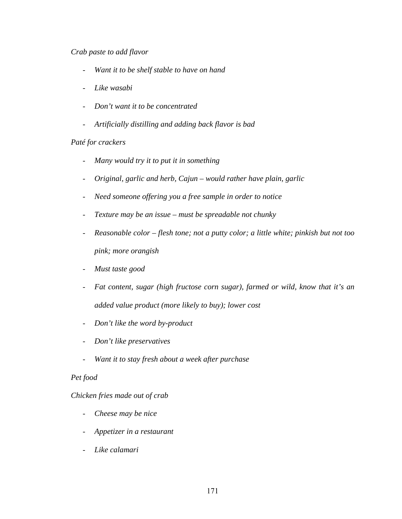## *Crab paste to add flavor*

- *Want it to be shelf stable to have on hand*
- *Like wasabi*
- *Don't want it to be concentrated*
- *Artificially distilling and adding back flavor is bad*

## *Paté for crackers*

- *Many would try it to put it in something*
- *Original, garlic and herb, Cajun would rather have plain, garlic*
- *Need someone offering you a free sample in order to notice*
- *Texture may be an issue must be spreadable not chunky*
- *Reasonable color flesh tone; not a putty color; a little white; pinkish but not too pink; more orangish*
- *Must taste good*
- *Fat content, sugar (high fructose corn sugar), farmed or wild, know that it's an added value product (more likely to buy); lower cost*
- *Don't like the word by-product*
- *Don't like preservatives*
- *Want it to stay fresh about a week after purchase*

## *Pet food*

## *Chicken fries made out of crab*

- *Cheese may be nice*
- *Appetizer in a restaurant*
- *Like calamari*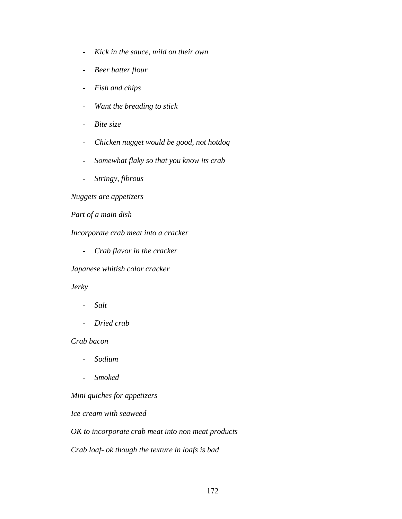- *Kick in the sauce, mild on their own*
- *Beer batter flour*
- *Fish and chips*
- *Want the breading to stick*
- *Bite size*
- *Chicken nugget would be good, not hotdog*
- *Somewhat flaky so that you know its crab*
- *Stringy, fibrous*

*Nuggets are appetizers* 

*Part of a main dish* 

*Incorporate crab meat into a cracker* 

- *Crab flavor in the cracker* 

*Japanese whitish color cracker* 

### *Jerky*

- *Salt*
- *Dried crab*

*Crab bacon* 

- *Sodium*
- *Smoked*

*Mini quiches for appetizers* 

*Ice cream with seaweed* 

*OK to incorporate crab meat into non meat products* 

*Crab loaf- ok though the texture in loafs is bad*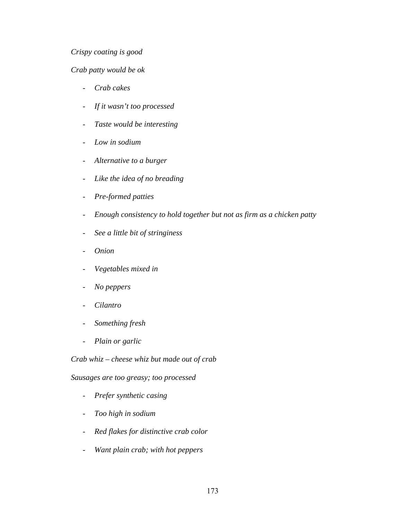# *Crispy coating is good*

### *Crab patty would be ok*

- *Crab cakes*
- *If it wasn't too processed*
- *Taste would be interesting*
- *Low in sodium*
- *Alternative to a burger*
- *Like the idea of no breading*
- *Pre-formed patties*
- *Enough consistency to hold together but not as firm as a chicken patty*
- *See a little bit of stringiness*
- *Onion*
- *Vegetables mixed in*
- *No peppers*
- *Cilantro*
- *Something fresh*
- *Plain or garlic*

*Crab whiz – cheese whiz but made out of crab* 

*Sausages are too greasy; too processed* 

- *Prefer synthetic casing*
- *Too high in sodium*
- *Red flakes for distinctive crab color*
- *Want plain crab; with hot peppers*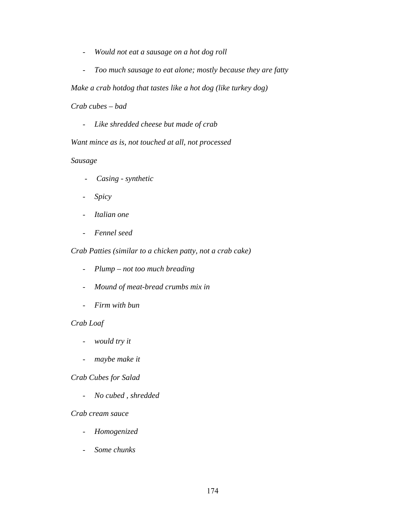- *Would not eat a sausage on a hot dog roll*
- *Too much sausage to eat alone; mostly because they are fatty*

*Make a crab hotdog that tastes like a hot dog (like turkey dog)* 

*Crab cubes – bad* 

- *Like shredded cheese but made of crab* 

*Want mince as is, not touched at all, not processed* 

### *Sausage*

- *Casing synthetic*
- *Spicy*
- *Italian one*
- *Fennel seed*

*Crab Patties (similar to a chicken patty, not a crab cake)* 

- *Plump not too much breading*
- *Mound of meat-bread crumbs mix in*
- *Firm with bun*

## *Crab Loaf*

- *would try it*
- *maybe make it*

### *Crab Cubes for Salad*

- *No cubed , shredded* 

### *Crab cream sauce*

- *Homogenized*
- *Some chunks*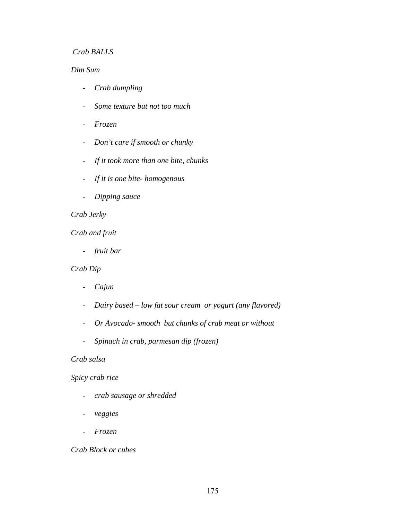## *Crab BALLS*

## *Dim Sum*

- *Crab dumpling*
- *Some texture but not too much*
- *Frozen*
- *Don't care if smooth or chunky*
- *If it took more than one bite, chunks*
- *If it is one bite- homogenous*
- *Dipping sauce*

## *Crab Jerky*

## *Crab and fruit*

- *fruit bar* 

### *Crab Dip*

- *Cajun*
- *Dairy based low fat sour cream or yogurt (any flavored)*
- *Or Avocado- smooth but chunks of crab meat or without*
- *Spinach in crab, parmesan dip (frozen)*

#### *Crab salsa*

#### *Spicy crab rice*

- *crab sausage or shredded*
- *veggies*
- *Frozen*

### *Crab Block or cubes*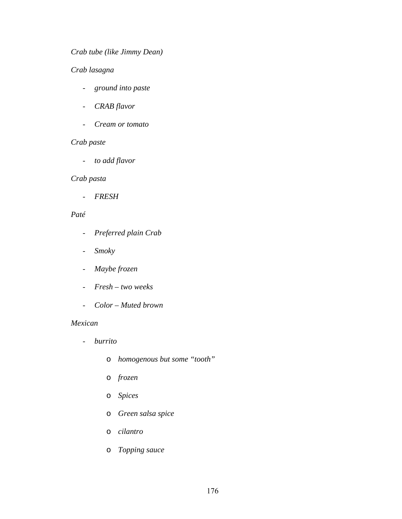# *Crab tube (like Jimmy Dean)*

## *Crab lasagna*

- *ground into paste*
- *CRAB flavor*
- *Cream or tomato*

# *Crab paste*

- *to add flavor* 

## *Crab pasta*

- *FRESH* 

## *Paté*

- *Preferred plain Crab*
- *Smoky*
- *Maybe frozen*
- *Fresh two weeks*
- *Color Muted brown*

#### *Mexican*

- *burrito* 
	- o *homogenous but some "tooth"*
	- o *frozen*
	- o *Spices*
	- o *Green salsa spice*
	- o *cilantro*
	- o *Topping sauce*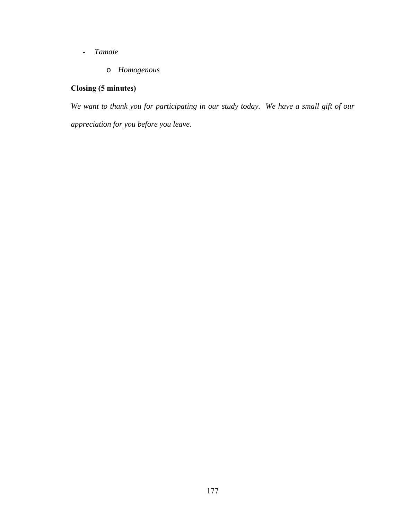- *Tamale* 
	- o *Homogenous*

# **Closing (5 minutes)**

*We want to thank you for participating in our study today. We have a small gift of our appreciation for you before you leave.*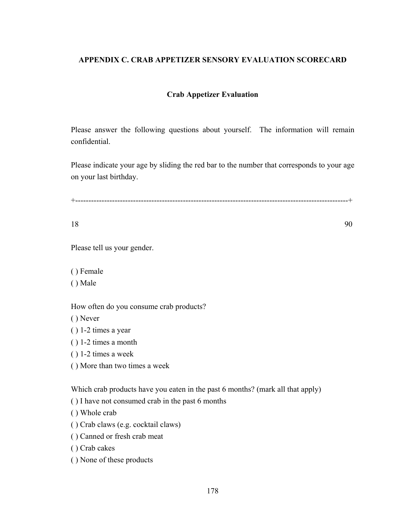# **APPENDIX C. CRAB APPETIZER SENSORY EVALUATION SCORECARD**

## **Crab Appetizer Evaluation**

Please answer the following questions about yourself. The information will remain confidential.

Please indicate your age by sliding the red bar to the number that corresponds to your age on your last birthday.

+--------------------------------------------------------------------------------------------------------+

18 90

Please tell us your gender.

( ) Female

( ) Male

How often do you consume crab products?

( ) Never

( ) 1-2 times a year

( ) 1-2 times a month

( ) 1-2 times a week

( ) More than two times a week

Which crab products have you eaten in the past 6 months? (mark all that apply)

( ) I have not consumed crab in the past 6 months

( ) Whole crab

( ) Crab claws (e.g. cocktail claws)

( ) Canned or fresh crab meat

( ) Crab cakes

( ) None of these products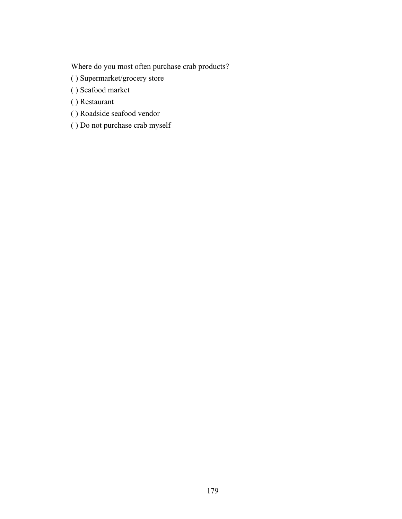Where do you most often purchase crab products?

- ( ) Supermarket/grocery store
- ( ) Seafood market
- ( ) Restaurant
- ( ) Roadside seafood vendor
- ( ) Do not purchase crab myself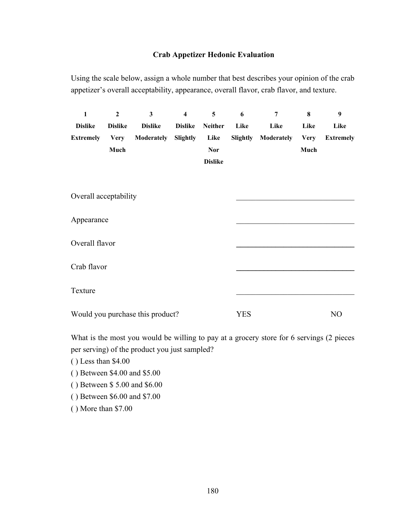## **Crab Appetizer Hedonic Evaluation**

Using the scale below, assign a whole number that best describes your opinion of the crab appetizer's overall acceptability, appearance, overall flavor, crab flavor, and texture.

| $\mathbf{1}$                     | $\mathbf{2}$   | $\overline{\mathbf{3}}$ | $\overline{\mathbf{4}}$ | 5              | 6          | 7          | 8           | 9                |
|----------------------------------|----------------|-------------------------|-------------------------|----------------|------------|------------|-------------|------------------|
| <b>Dislike</b>                   | <b>Dislike</b> | <b>Dislike</b>          | <b>Dislike</b>          | <b>Neither</b> | Like       | Like       | Like        | Like             |
| <b>Extremely</b>                 | <b>Very</b>    | Moderately              | Slightly                | Like           | Slightly   | Moderately | <b>Very</b> | <b>Extremely</b> |
|                                  | Much           |                         |                         | <b>Nor</b>     |            |            | Much        |                  |
|                                  |                |                         |                         | <b>Dislike</b> |            |            |             |                  |
|                                  |                |                         |                         |                |            |            |             |                  |
|                                  |                |                         |                         |                |            |            |             |                  |
| Overall acceptability            |                |                         |                         |                |            |            |             |                  |
|                                  |                |                         |                         |                |            |            |             |                  |
| Appearance                       |                |                         |                         |                |            |            |             |                  |
|                                  |                |                         |                         |                |            |            |             |                  |
| Overall flavor                   |                |                         |                         |                |            |            |             |                  |
|                                  |                |                         |                         |                |            |            |             |                  |
| Crab flavor                      |                |                         |                         |                |            |            |             |                  |
| Texture                          |                |                         |                         |                |            |            |             |                  |
|                                  |                |                         |                         |                |            |            |             |                  |
| Would you purchase this product? |                |                         |                         |                | <b>YES</b> |            |             | N <sub>O</sub>   |
|                                  |                |                         |                         |                |            |            |             |                  |

What is the most you would be willing to pay at a grocery store for 6 servings (2 pieces per serving) of the product you just sampled?

( ) Less than \$4.00

( ) Between \$4.00 and \$5.00

( ) Between \$ 5.00 and \$6.00

( ) Between \$6.00 and \$7.00

( ) More than \$7.00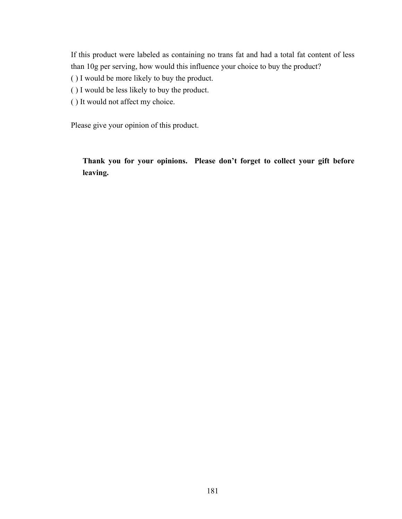If this product were labeled as containing no trans fat and had a total fat content of less than 10g per serving, how would this influence your choice to buy the product?

- ( ) I would be more likely to buy the product.
- ( ) I would be less likely to buy the product.
- ( ) It would not affect my choice.

Please give your opinion of this product.

**Thank you for your opinions. Please don't forget to collect your gift before leaving.**